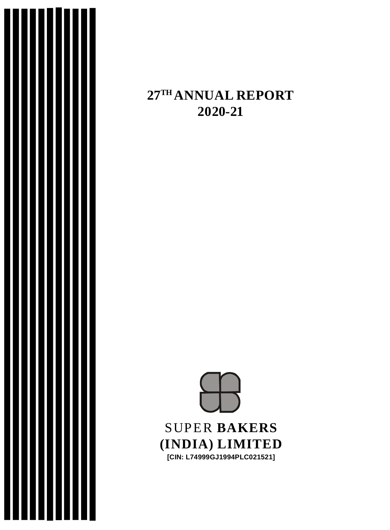

## **27TH ANNUAL REPORT 2020-21**

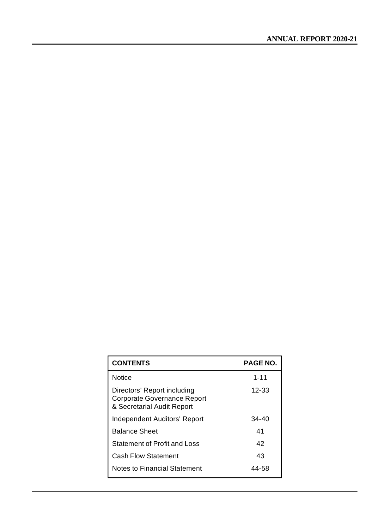| <b>CONTENTS</b>                                                                          | <b>PAGE NO.</b> |
|------------------------------------------------------------------------------------------|-----------------|
| <b>Notice</b>                                                                            | $1 - 11$        |
| Directors' Report including<br>Corporate Governance Report<br>& Secretarial Audit Report | $12 - 33$       |
| Independent Auditors' Report                                                             | $34 - 40$       |
| <b>Balance Sheet</b>                                                                     | 41              |
| Statement of Profit and Loss                                                             | 42              |
| <b>Cash Flow Statement</b>                                                               | 43              |
| Notes to Financial Statement                                                             | 44-58           |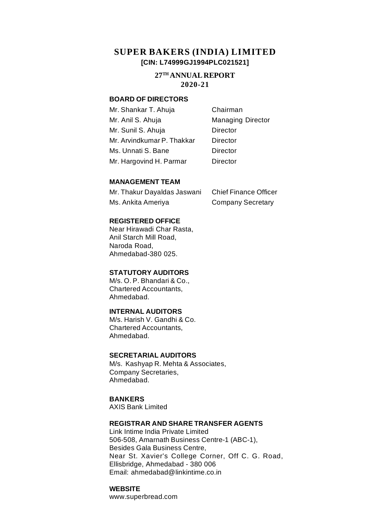## **SUPER BAKERS (INDIA) LIMITED [CIN: L74999GJ1994PLC021521]**

#### **27TH ANNUAL REPORT 2020-21**

#### **BOARD OF DIRECTORS**

| Mr. Shankar T. Ahuja       | Chairman                 |
|----------------------------|--------------------------|
| Mr. Anil S. Ahuja          | <b>Managing Director</b> |
| Mr. Sunil S. Ahuja         | Director                 |
| Mr. Arvindkumar P. Thakkar | Director                 |
| Ms. Unnati S. Bane         | Director                 |
| Mr. Hargovind H. Parmar    | Director                 |

#### **MANAGEMENT TEAM**

| Mr. Thakur Dayaldas Jaswani | <b>Chief Finance Officer</b> |
|-----------------------------|------------------------------|
| Ms. Ankita Ameriya          | <b>Company Secretary</b>     |

#### **REGISTERED OFFICE**

Near Hirawadi Char Rasta, Anil Starch Mill Road, Naroda Road, Ahmedabad-380 025.

#### **STATUTORY AUDITORS**

M/s. O. P. Bhandari & Co., Chartered Accountants, Ahmedabad.

#### **INTERNAL AUDITORS**

M/s. Harish V. Gandhi & Co. Chartered Accountants, Ahmedabad.

#### **SECRETARIAL AUDITORS**

M/s. Kashyap R. Mehta & Associates, Company Secretaries, Ahmedabad.

#### **BANKERS**

AXIS Bank Limited

#### **REGISTRAR AND SHARE TRANSFER AGENTS**

Link Intime India Private Limited 506-508, Amarnath Business Centre-1 (ABC-1), Besides Gala Business Centre, Near St. Xavier's College Corner, Off C. G. Road, Ellisbridge, Ahmedabad - 380 006 Email: [ahmedabad@linkintime.co.in](mailto:ahmedabad@linkintime.co.in)

#### **WEBSITE**

[www.superbread.com](http://www.superbread.com)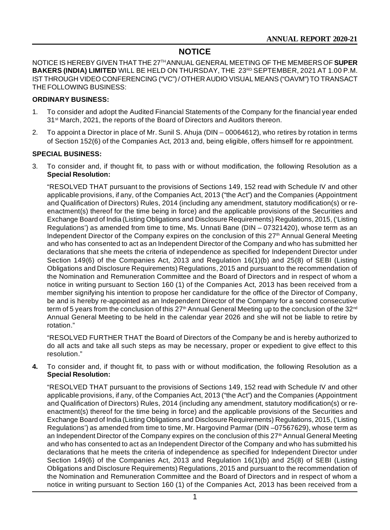## **NOTICE**

NOTICE IS HEREBY GIVEN THAT THE 27TH ANNUAL GENERAL MEETING OF THE MEMBERS OF **SUPER** BAKERS (INDIA) LIMITED WILL BE HELD ON THURSDAY, THE 23<sup>RD</sup> SEPTEMBER, 2021 AT 1.00 P.M. IST THROUGH VIDEO CONFERENCING ("VC") / OTHER AUDIO VISUAL MEANS ("OAVM") TO TRANSACT THE FOLLOWING BUSINESS:

#### **ORDINARY BUSINESS:**

- 1. To consider and adopt the Audited Financial Statements of the Company for the financial year ended 31<sup>st</sup> March, 2021, the reports of the Board of Directors and Auditors thereon.
- 2. To appoint a Director in place of Mr. Sunil S. Ahuja (DIN 00064612), who retires by rotation in terms of Section 152(6) of the Companies Act, 2013 and, being eligible, offers himself for re appointment.

#### **SPECIAL BUSINESS:**

3. To consider and, if thought fit, to pass with or without modification, the following Resolution as a **Special Resolution:**

"RESOLVED THAT pursuant to the provisions of Sections 149, 152 read with Schedule IV and other applicable provisions, if any, of the Companies Act, 2013 ("the Act") and the Companies (Appointment and Qualification of Directors) Rules, 2014 (including any amendment, statutory modification(s) or reenactment(s) thereof for the time being in force) and the applicable provisions of the Securities and Exchange Board of India (Listing Obligations and Disclosure Requirements) Regulations, 2015, ('Listing Regulations') as amended from time to time, Ms. Unnati Bane (DIN – 07321420), whose term as an Independent Director of the Company expires on the conclusion of this 27<sup>th</sup> Annual General Meeting and who has consented to act as an Independent Director of the Company and who has submitted her declarations that she meets the criteria of independence as specified for Independent Director under Section 149(6) of the Companies Act, 2013 and Regulation 16(1)(b) and 25(8) of SEBI (Listing Obligations and Disclosure Requirements) Regulations, 2015 and pursuant to the recommendation of the Nomination and Remuneration Committee and the Board of Directors and in respect of whom a notice in writing pursuant to Section 160 (1) of the Companies Act, 2013 has been received from a member signifying his intention to propose her candidature for the office of the Director of Company, be and is hereby re-appointed as an Independent Director of the Company for a second consecutive term of 5 years from the conclusion of this 27<sup>th</sup> Annual General Meeting up to the conclusion of the 32<sup>nd</sup> Annual General Meeting to be held in the calendar year 2026 and she will not be liable to retire by rotation."

"RESOLVED FURTHER THAT the Board of Directors of the Company be and is hereby authorized to do all acts and take all such steps as may be necessary, proper or expedient to give effect to this resolution."

**4.** To consider and, if thought fit, to pass with or without modification, the following Resolution as a **Special Resolution:**

"RESOLVED THAT pursuant to the provisions of Sections 149, 152 read with Schedule IV and other applicable provisions, if any, of the Companies Act, 2013 ("the Act") and the Companies (Appointment and Qualification of Directors) Rules, 2014 (including any amendment, statutory modification(s) or reenactment(s) thereof for the time being in force) and the applicable provisions of the Securities and Exchange Board of India (Listing Obligations and Disclosure Requirements) Regulations, 2015, ('Listing Regulations') as amended from time to time, Mr. Hargovind Parmar (DIN –07567629), whose term as an Independent Director of the Company expires on the conclusion of this 27<sup>th</sup> Annual General Meeting and who has consented to act as an Independent Director of the Company and who has submitted his declarations that he meets the criteria of independence as specified for Independent Director under Section 149(6) of the Companies Act, 2013 and Regulation 16(1)(b) and 25(8) of SEBI (Listing Obligations and Disclosure Requirements) Regulations, 2015 and pursuant to the recommendation of the Nomination and Remuneration Committee and the Board of Directors and in respect of whom a notice in writing pursuant to Section 160 (1) of the Companies Act, 2013 has been received from a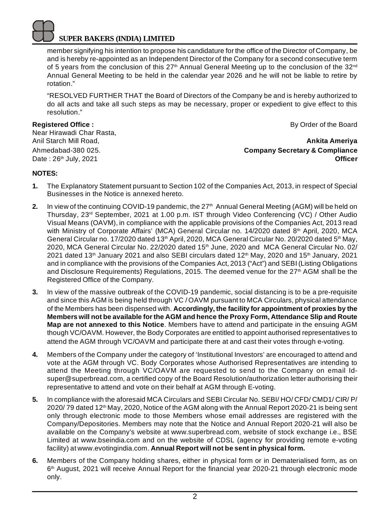member signifying his intention to propose his candidature for the office of the Director of Company, be and is hereby re-appointed as an Independent Director of the Company for a second consecutive term of 5 years from the conclusion of this  $27<sup>th</sup>$  Annual General Meeting up to the conclusion of the  $32<sup>nd</sup>$ Annual General Meeting to be held in the calendar year 2026 and he will not be liable to retire by rotation."

"RESOLVED FURTHER THAT the Board of Directors of the Company be and is hereby authorized to do all acts and take all such steps as may be necessary, proper or expedient to give effect to this resolution."

Near Hirawadi Char Rasta,

**Registered Office : By Order of the Board By Order of the Board** 

Anil Starch Mill Road, **Ankita Ameriya** Ahmedabad-380 025. **Company Secretary & Compliance** Date : 26th July, 2021 **Officer**

## **NOTES:**

- **1.** The Explanatory Statement pursuant to Section 102 of the Companies Act, 2013, in respect of Special Businesses in the Notice is annexed hereto.
- **2.** In view of the continuing COVID-19 pandemic, the 27<sup>th</sup> Annual General Meeting (AGM) will be held on Thursday, 23rd September, 2021 at 1.00 p.m. IST through Video Conferencing (VC) / Other Audio Visual Means (OAVM), in compliance with the applicable provisions of the Companies Act, 2013 read with Ministry of Corporate Affairs' (MCA) General Circular no. 14/2020 dated 8<sup>th</sup> April, 2020, MCA General Circular no. 17/2020 dated 13<sup>th</sup> April, 2020, MCA General Circular No. 20/2020 dated 5<sup>th</sup> May, 2020, MCA General Circular No. 22/2020 dated 15<sup>th</sup> June, 2020 and MCA General Circular No. 02/ 2021 dated 13<sup>th</sup> January 2021 and also SEBI circulars dated 12<sup>th</sup> May, 2020 and 15<sup>th</sup> January, 2021 and in compliance with the provisions of the Companies Act, 2013 ("Act") and SEBI (Listing Obligations and Disclosure Requirements) Requlations, 2015. The deemed venue for the  $27<sup>th</sup>$  AGM shall be the Registered Office of the Company.
- **3.** In view of the massive outbreak of the COVID-19 pandemic, social distancing is to be a pre-requisite and since this AGM is being held through VC / OAVM pursuant to MCA Circulars, physical attendance of the Members has been dispensed with. **Accordingly, the facility for appointment of proxies by the Members will not be available for the AGM and hence the Proxy Form, Attendance Slip and Route Map are not annexed to this Notice**. Members have to attend and participate in the ensuing AGM though VC/OAVM. However, the Body Corporates are entitled to appoint authorised representatives to attend the AGM through VC/OAVM and participate there at and cast their votes through e-voting.
- **4.** Members of the Company under the category of 'Institutional Investors' are encouraged to attend and vote at the AGM through VC. Body Corporates whose Authorised Representatives are intending to attend the Meeting through VC/OAVM are requested to send to the Company on email Id[super@superbread.com,](mailto:super@superbread.com,) a certified copy of the Board Resolution/authorization letter authorising their representative to attend and vote on their behalf at AGM through E-voting.
- **5.** In compliance with the aforesaid MCA Circulars and SEBI Circular No. SEBI/ HO/ CFD/ CMD1/ CIR/ P/  $2020/79$  dated 12<sup>th</sup> May, 2020, Notice of the AGM along with the Annual Report 2020-21 is being sent only through electronic mode to those Members whose email addresses are registered with the Company/Depositories. Members may note that the Notice and Annual Report 2020-21 will also be available on the Company's website at [www.superbread.com,](http://www.superbread.com,) website of stock exchange i.e., BSE Limited at [www.bseindia.com](http://www.bseindia.com) and on the website of CDSL (agency for providing remote e-voting facility) at [www.evotingindia.com.](http://www.evotingindia.com.) **Annual Report will not be sent in physical form.**
- **6.** Members of the Company holding shares, either in physical form or in Dematerialised form, as on 6 th August, 2021 will receive Annual Report for the financial year 2020-21 through electronic mode only.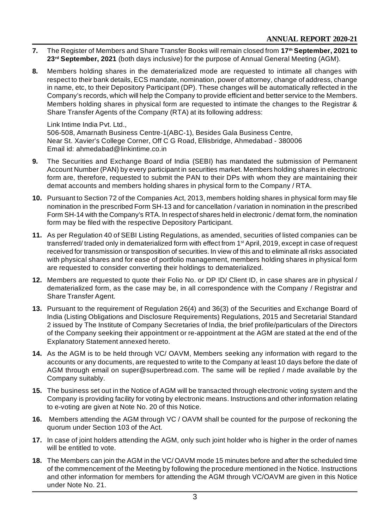- **7.** The Register of Members and Share Transfer Books will remain closed from **17th September, 2021 to 23rd September, 2021** (both days inclusive) for the purpose of Annual General Meeting (AGM).
- **8.** Members holding shares in the dematerialized mode are requested to intimate all changes with respect to their bank details, ECS mandate, nomination, power of attorney, change of address, change in name, etc, to their Depository Participant (DP). These changes will be automatically reflected in the Company's records, which will help the Company to provide efficient and better service to the Members. Members holding shares in physical form are requested to intimate the changes to the Registrar & Share Transfer Agents of the Company (RTA) at its following address:

#### Link Intime India Pvt. Ltd.,

506-508, Amarnath Business Centre-1(ABC-1), Besides Gala Business Centre, Near St. Xavier's College Corner, Off C G Road, Ellisbridge, Ahmedabad - 380006 Email id: [ahmedabad@linkintime.co.in](mailto:ahmedabad@linkintime.co.in)

- **9.** The Securities and Exchange Board of India (SEBI) has mandated the submission of Permanent Account Number (PAN) by every participant in securities market. Members holding shares in electronic form are, therefore, requested to submit the PAN to their DPs with whom they are maintaining their demat accounts and members holding shares in physical form to the Company / RTA.
- **10.** Pursuant to Section 72 of the Companies Act, 2013, members holding shares in physical form may file nomination in the prescribed Form SH-13 and for cancellation / variation in nomination in the prescribed Form SH-14 with the Company's RTA. In respect of shares held in electronic / demat form, the nomination form may be filed with the respective Depository Participant.
- **11.** As per Regulation 40 of SEBI Listing Regulations, as amended, securities of listed companies can be transferred/ traded only in dematerialized form with effect from 1st April, 2019, except in case of request received for transmission or transposition of securities. In view of this and to eliminate all risks associated with physical shares and for ease of portfolio management, members holding shares in physical form are requested to consider converting their holdings to dematerialized.
- **12.** Members are requested to quote their Folio No. or DP ID/ Client ID, in case shares are in physical / dematerialized form, as the case may be, in all correspondence with the Company / Registrar and Share Transfer Agent.
- **13.** Pursuant to the requirement of Regulation 26(4) and 36(3) of the Securities and Exchange Board of India (Listing Obligations and Disclosure Requirements) Regulations, 2015 and Secretarial Standard 2 issued by The Institute of Company Secretaries of India, the brief profile/particulars of the Directors of the Company seeking their appointment or re-appointment at the AGM are stated at the end of the Explanatory Statement annexed hereto.
- **14.** As the AGM is to be held through VC/ OAVM, Members seeking any information with regard to the accounts or any documents, are requested to write to the Company at least 10 days before the date of AGM through email on [super@superbread.com.](mailto:super@superbread.com.) The same will be replied / made available by the Company suitably.
- **15.** The business set out in the Notice of AGM will be transacted through electronic voting system and the Company is providing facility for voting by electronic means. Instructions and other information relating to e-voting are given at Note No. 20 of this Notice.
- **16.** Members attending the AGM through VC / OAVM shall be counted for the purpose of reckoning the quorum under Section 103 of the Act.
- **17.** In case of joint holders attending the AGM, only such joint holder who is higher in the order of names will be entitled to vote.
- **18.** The Members can join the AGM in the VC/ OAVM mode 15 minutes before and after the scheduled time of the commencement of the Meeting by following the procedure mentioned in the Notice. Instructions and other information for members for attending the AGM through VC/OAVM are given in this Notice under Note No. 21.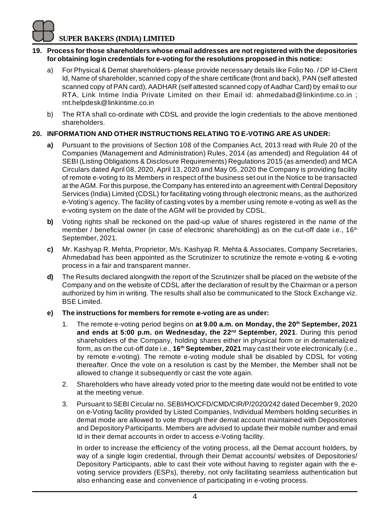#### **19. Process for those shareholders whose email addresses are not registered with the depositories for obtaining login credentials for e-voting for the resolutions proposed in this notice:**

- a) For Physical & Demat shareholders- please provide necessary details like Folio No. / DP Id-Client Id, Name of shareholder, scanned copy of the share certificate (front and back), PAN (self attested scanned copy of PAN card), AADHAR (self attested scanned copy of Aadhar Card) by email to our RTA, Link Intime India Private Limited on their Email id: [ahmedabad@linkintime.co.in](mailto:ahmedabad@linkintime.co.in) ; [rnt.helpdesk@linkintime.co.in](mailto:rnt.helpdesk@linkintime.co.in)
- b) The RTA shall co-ordinate with CDSL and provide the login credentials to the above mentioned shareholders.

## **20. INFORMATION AND OTHER INSTRUCTIONS RELATING TO E-VOTING ARE AS UNDER:**

- **a)** Pursuant to the provisions of Section 108 of the Companies Act, 2013 read with Rule 20 of the Companies (Management and Administration) Rules, 2014 (as amended) and Regulation 44 of SEBI (Listing Obligations & Disclosure Requirements) Regulations 2015 (as amended) and MCA Circulars dated April 08, 2020, April 13, 2020 and May 05, 2020 the Company is providing facility of remote e-voting to its Members in respect of the business set out in the Notice to be transacted at the AGM. For this purpose, the Company has entered into an agreement with Central Depository Services (India) Limited (CDSL) for facilitating voting through electronic means, as the authorized e-Voting's agency. The facility of casting votes by a member using remote e-voting as well as the e-voting system on the date of the AGM will be provided by CDSL.
- **b)** Voting rights shall be reckoned on the paid-up value of shares registered in the name of the member / beneficial owner (in case of electronic shareholding) as on the cut-off date i.e.,  $16<sup>th</sup>$ September, 2021.
- **c)** Mr. Kashyap R. Mehta, Proprietor, M/s. Kashyap R. Mehta & Associates, Company Secretaries, Ahmedabad has been appointed as the Scrutinizer to scrutinize the remote e-voting & e-voting process in a fair and transparent manner.
- **d)** The Results declared alongwith the report of the Scrutinizer shall be placed on the website of the Company and on the website of CDSL after the declaration of result by the Chairman or a person authorized by him in writing. The results shall also be communicated to the Stock Exchange viz. BSE Limited.
- **e) The instructions for members for remote e-voting are as under:**
	- 1. The remote e-voting period begins on **at 9.00 a.m. on Monday, the 20th September, 2021 and ends at 5:00 p.m. on Wednesday, the 22nd September, 2021**. During this period shareholders of the Company, holding shares either in physical form or in dematerialized form, as on the cut-off date i.e., **16th September, 2021** may cast their vote electronically (i.e., by remote e-voting). The remote e-voting module shall be disabled by CDSL for voting thereafter. Once the vote on a resolution is cast by the Member, the Member shall not be allowed to change it subsequently or cast the vote again.
	- 2. Shareholders who have already voted prior to the meeting date would not be entitled to vote at the meeting venue.
	- 3. Pursuant to SEBI Circular no. SEBI/HO/CFD/CMD/CIR/P/2020/242 dated December 9, 2020 on e-Voting facility provided by Listed Companies, Individual Members holding securities in demat mode are allowed to vote through their demat account maintained with Depositories and Depository Participants. Members are advised to update their mobile number and email Id in their demat accounts in order to access e-Voting facility.

In order to increase the efficiency of the voting process, all the Demat account holders, by way of a single login credential, through their Demat accounts/ websites of Depositories/ Depository Participants, able to cast their vote without having to register again with the evoting service providers (ESPs), thereby, not only facilitating seamless authentication but also enhancing ease and convenience of participating in e-voting process.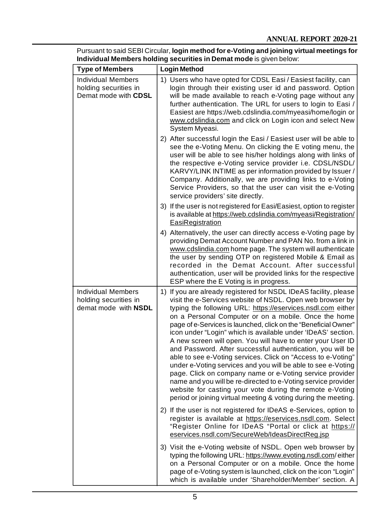| <b>Type of Members</b>                                                     | <b>Login Method</b>                                                                                                                                                                                                                                                                                                                                                                                                                                                                                                                                                                                                                                                                                                                                                                                                                                                                                             |  |  |
|----------------------------------------------------------------------------|-----------------------------------------------------------------------------------------------------------------------------------------------------------------------------------------------------------------------------------------------------------------------------------------------------------------------------------------------------------------------------------------------------------------------------------------------------------------------------------------------------------------------------------------------------------------------------------------------------------------------------------------------------------------------------------------------------------------------------------------------------------------------------------------------------------------------------------------------------------------------------------------------------------------|--|--|
| <b>Individual Members</b><br>holding securities in<br>Demat mode with CDSL | 1) Users who have opted for CDSL Easi / Easiest facility, can<br>login through their existing user id and password. Option<br>will be made available to reach e-Voting page without any<br>further authentication. The URL for users to login to Easi /<br>Easiest are https://web.cdslindia.com/myeasi/home/login or<br>www.cdslindia.com and click on Login icon and select New<br>System Myeasi.                                                                                                                                                                                                                                                                                                                                                                                                                                                                                                             |  |  |
|                                                                            | 2) After successful login the Easi / Easiest user will be able to<br>see the e-Voting Menu. On clicking the E voting menu, the<br>user will be able to see his/her holdings along with links of<br>the respective e-Voting service provider i.e. CDSL/NSDL/<br>KARVY/LINK INTIME as per information provided by Issuer /<br>Company. Additionally, we are providing links to e-Voting<br>Service Providers, so that the user can visit the e-Voting<br>service providers' site directly.                                                                                                                                                                                                                                                                                                                                                                                                                        |  |  |
|                                                                            | 3) If the user is not registered for Easi/Easiest, option to register<br>is available at https://web.cdslindia.com/myeasi/Registration/<br>EasiRegistration                                                                                                                                                                                                                                                                                                                                                                                                                                                                                                                                                                                                                                                                                                                                                     |  |  |
|                                                                            | 4) Alternatively, the user can directly access e-Voting page by<br>providing Demat Account Number and PAN No. from a link in<br>www.cdslindia.com home page. The system will authenticate<br>the user by sending OTP on registered Mobile & Email as<br>recorded in the Demat Account. After successful<br>authentication, user will be provided links for the respective<br>ESP where the E Voting is in progress.                                                                                                                                                                                                                                                                                                                                                                                                                                                                                             |  |  |
| <b>Individual Members</b><br>holding securities in<br>demat mode with NSDL | 1) If you are already registered for NSDL IDeAS facility, please<br>visit the e-Services website of NSDL. Open web browser by<br>typing the following URL: https://eservices.nsdl.com either<br>on a Personal Computer or on a mobile. Once the home<br>page of e-Services is launched, click on the "Beneficial Owner"<br>icon under "Login" which is available under 'IDeAS' section.<br>A new screen will open. You will have to enter your User ID<br>and Password. After successful authentication, you will be<br>able to see e-Voting services. Click on "Access to e-Voting"<br>under e-Voting services and you will be able to see e-Voting<br>page. Click on company name or e-Voting service provider<br>name and you will be re-directed to e-Voting service provider<br>website for casting your vote during the remote e-Voting<br>period or joining virtual meeting & voting during the meeting. |  |  |
|                                                                            | 2) If the user is not registered for IDeAS e-Services, option to<br>register is available at https://eservices.nsdl.com. Select<br>"Register Online for IDeAS "Portal or click at https://<br>eservices.nsdl.com/SecureWeb/IdeasDirectReg.jsp                                                                                                                                                                                                                                                                                                                                                                                                                                                                                                                                                                                                                                                                   |  |  |
|                                                                            | 3) Visit the e-Voting website of NSDL. Open web browser by<br>typing the following URL: https://www.evoting.nsdl.com/either<br>on a Personal Computer or on a mobile. Once the home<br>page of e-Voting system is launched, click on the icon "Login"<br>which is available under 'Shareholder/Member' section. A                                                                                                                                                                                                                                                                                                                                                                                                                                                                                                                                                                                               |  |  |

Pursuant to said SEBI Circular, **login method for e-Voting and joining virtual meetings for Individual Members holding securities in Demat mode** is given below: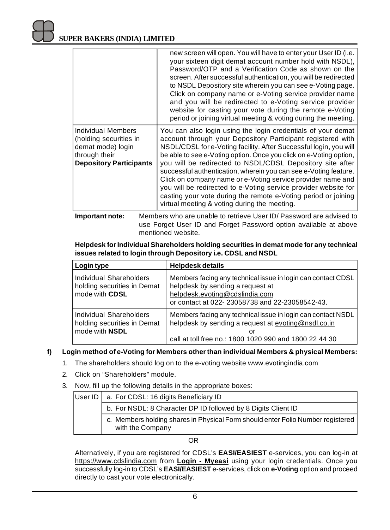|                                                                                                                      | new screen will open. You will have to enter your User ID (i.e.<br>your sixteen digit demat account number hold with NSDL),<br>Password/OTP and a Verification Code as shown on the<br>screen. After successful authentication, you will be redirected<br>to NSDL Depository site wherein you can see e-Voting page.<br>Click on company name or e-Voting service provider name<br>and you will be redirected to e-Voting service provider<br>website for casting your vote during the remote e-Voting<br>period or joining virtual meeting & voting during the meeting.                                                                                    |
|----------------------------------------------------------------------------------------------------------------------|-------------------------------------------------------------------------------------------------------------------------------------------------------------------------------------------------------------------------------------------------------------------------------------------------------------------------------------------------------------------------------------------------------------------------------------------------------------------------------------------------------------------------------------------------------------------------------------------------------------------------------------------------------------|
| Individual Members<br>(holding securities in<br>demat mode) login<br>through their<br><b>Depository Participants</b> | You can also login using the login credentials of your demat<br>account through your Depository Participant registered with<br>NSDL/CDSL for e-Voting facility. After Successful login, you will<br>be able to see e-Voting option. Once you click on e-Voting option,<br>you will be redirected to NSDL/CDSL Depository site after<br>successful authentication, wherein you can see e-Voting feature.<br>Click on company name or e-Voting service provider name and<br>you will be redirected to e-Voting service provider website for<br>casting your vote during the remote e-Voting period or joining<br>virtual meeting & voting during the meeting. |

**Important note:** Members who are unable to retrieve User ID/ Password are advised to use Forget User ID and Forget Password option available at above mentioned website.

**Helpdesk for Individual Shareholders holding securities in demat mode for any technical issues related to login through Depository i.e. CDSL and NSDL**

| Login type                                                               | <b>Helpdesk details</b>                                                                                                                                                              |
|--------------------------------------------------------------------------|--------------------------------------------------------------------------------------------------------------------------------------------------------------------------------------|
| Individual Shareholders<br>holding securities in Demat<br>mode with CDSL | Members facing any technical issue in login can contact CDSL<br>helpdesk by sending a request at<br>helpdesk.evoting@cdslindia.com<br>or contact at 022-23058738 and 22-23058542-43. |
| Individual Shareholders<br>holding securities in Demat<br>mode with NSDL | Members facing any technical issue in login can contact NSDL<br>helpdesk by sending a request at evoting@nsdl.co.in<br>Ωľ<br>call at toll free no.: 1800 1020 990 and 1800 22 44 30  |

## **f) Login method of e-Voting for Members other than individual Members & physical Members:**

- 1. The shareholders should log on to the e-voting website [www.evotingindia.com](http://www.evotingindia.com)
- 2. Click on "Shareholders" module.
- 3. Now, fill up the following details in the appropriate boxes:

| User ID   a. For CDSL: 16 digits Beneficiary ID                                                     |
|-----------------------------------------------------------------------------------------------------|
| b. For NSDL: 8 Character DP ID followed by 8 Digits Client ID                                       |
| c. Members holding shares in Physical Form should enter Folio Number registered<br>with the Company |

OR

Alternatively, if you are registered for CDSL's **EASI/EASIEST** e-services, you can log-in at <https://www.cdslindia.com> from **Login - Myeasi** using your login credentials. Once you successfully log-in to CDSL's **EASI/EASIEST** e-services, click on **e-Voting** option and proceed directly to cast your vote electronically.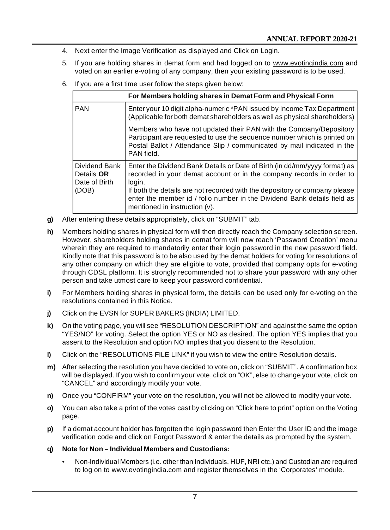- 4. Next enter the Image Verification as displayed and Click on Login.
- 5. If you are holding shares in demat form and had logged on to [www.evotingindia.com](http://www.evotingindia.com) and voted on an earlier e-voting of any company, then your existing password is to be used.
- 6. If you are a first time user follow the steps given below:

|                                              | For Members holding shares in Demat Form and Physical Form                                                                                                                                                                              |  |  |
|----------------------------------------------|-----------------------------------------------------------------------------------------------------------------------------------------------------------------------------------------------------------------------------------------|--|--|
| <b>PAN</b>                                   | Enter your 10 digit alpha-numeric *PAN issued by Income Tax Department<br>(Applicable for both demat shareholders as well as physical shareholders)                                                                                     |  |  |
|                                              | Members who have not updated their PAN with the Company/Depository<br>Participant are requested to use the sequence number which is printed on<br>Postal Ballot / Attendance Slip / communicated by mail indicated in the<br>PAN field. |  |  |
| Dividend Bank<br>Details OR<br>Date of Birth | Enter the Dividend Bank Details or Date of Birth (in dd/mm/yyyy format) as<br>recorded in your demat account or in the company records in order to<br>login.                                                                            |  |  |
| (DOB)                                        | If both the details are not recorded with the depository or company please<br>enter the member id / folio number in the Dividend Bank details field as<br>mentioned in instruction (v).                                                 |  |  |

- **g)** After entering these details appropriately, click on "SUBMIT" tab.
- **h)** Members holding shares in physical form will then directly reach the Company selection screen. However, shareholders holding shares in demat form will now reach 'Password Creation' menu wherein they are required to mandatorily enter their login password in the new password field. Kindly note that this password is to be also used by the demat holders for voting for resolutions of any other company on which they are eligible to vote, provided that company opts for e-voting through CDSL platform. It is strongly recommended not to share your password with any other person and take utmost care to keep your password confidential.
- **i)** For Members holding shares in physical form, the details can be used only for e-voting on the resolutions contained in this Notice.
- **j)** Click on the EVSN for SUPER BAKERS (INDIA) LIMITED.
- **k)** On the voting page, you will see "RESOLUTION DESCRIPTION" and against the same the option "YES/NO" for voting. Select the option YES or NO as desired. The option YES implies that you assent to the Resolution and option NO implies that you dissent to the Resolution.
- **l)** Click on the "RESOLUTIONS FILE LINK" if you wish to view the entire Resolution details.
- **m)** After selecting the resolution you have decided to vote on, click on "SUBMIT". A confirmation box will be displayed. If you wish to confirm your vote, click on "OK", else to change your vote, click on "CANCEL" and accordingly modify your vote.
- **n)** Once you "CONFIRM" your vote on the resolution, you will not be allowed to modify your vote.
- **o)** You can also take a print of the votes cast by clicking on "Click here to print" option on the Voting page.
- **p)** If a demat account holder has forgotten the login password then Enter the User ID and the image verification code and click on Forgot Password & enter the details as prompted by the system.
- **q) Note for Non Individual Members and Custodians:**
	- Non-Individual Members (i.e. other than Individuals, HUF, NRI etc.) and Custodian are required to log on to [www.evotingindia.com](http://www.evotingindia.com) and register themselves in the 'Corporates' module.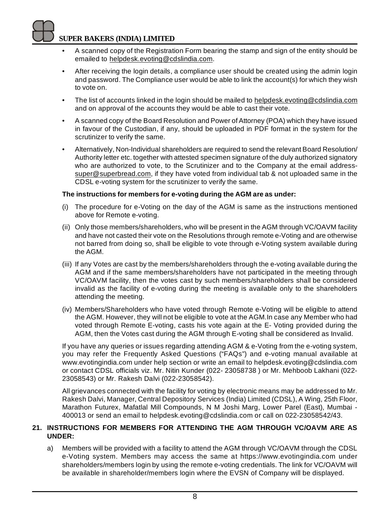- A scanned copy of the Registration Form bearing the stamp and sign of the entity should be emailed to [helpdesk.evoting@cdslindia.com.](mailto:helpdesk.evoting@cdslindia.com.)
- After receiving the login details, a compliance user should be created using the admin login and password. The Compliance user would be able to link the account(s) for which they wish to vote on.
- The list of accounts linked in the login should be mailed to [helpdesk.evoting@cdslindia.com](mailto:helpdesk.evoting@cdslindia.com) and on approval of the accounts they would be able to cast their vote.
- A scanned copy of the Board Resolution and Power of Attorney (POA) which they have issued in favour of the Custodian, if any, should be uploaded in PDF format in the system for the scrutinizer to verify the same.
- Alternatively, Non-Individual shareholders are required to send the relevant Board Resolution/ Authority letter etc. together with attested specimen signature of the duly authorized signatory who are authorized to vote, to the Scrutinizer and to the Company at the email address[super@superbread.com,](mailto:super@superbread.com,) if they have voted from individual tab & not uploaded same in the CDSL e-voting system for the scrutinizer to verify the same.

## **The instructions for members for e-voting during the AGM are as under:**

- (i) The procedure for e-Voting on the day of the AGM is same as the instructions mentioned above for Remote e-voting.
- (ii) Only those members/shareholders, who will be present in the AGM through VC/OAVM facility and have not casted their vote on the Resolutions through remote e-Voting and are otherwise not barred from doing so, shall be eligible to vote through e-Voting system available during the AGM.
- (iii) If any Votes are cast by the members/shareholders through the e-voting available during the AGM and if the same members/shareholders have not participated in the meeting through VC/OAVM facility, then the votes cast by such members/shareholders shall be considered invalid as the facility of e-voting during the meeting is available only to the shareholders attending the meeting.
- (iv) Members/Shareholders who have voted through Remote e-Voting will be eligible to attend the AGM. However, they will not be eligible to vote at the AGM.In case any Member who had voted through Remote E-voting, casts his vote again at the E- Voting provided during the AGM, then the Votes cast during the AGM through E-voting shall be considered as Invalid.

If you have any queries or issues regarding attending AGM & e-Voting from the e-voting system, you may refer the Frequently Asked Questions ("FAQs") and e-voting manual available at [www.evotingindia.com](http://www.evotingindia.com) under help section or write an email to [helpdesk.evoting@cdslindia.com](mailto:helpdesk.evoting@cdslindia.com) or contact CDSL officials viz. Mr. Nitin Kunder (022- 23058738 ) or Mr. Mehboob Lakhani (022- 23058543) or Mr. Rakesh Dalvi (022-23058542).

All grievances connected with the facility for voting by electronic means may be addressed to Mr. Rakesh Dalvi, Manager, Central Depository Services (India) Limited (CDSL), A Wing, 25th Floor, Marathon Futurex, Mafatlal Mill Compounds, N M Joshi Marg, Lower Parel (East), Mumbai - 400013 or send an email to [helpdesk.evoting@cdslindia.com](mailto:helpdesk.evoting@cdslindia.com) or call on 022-23058542/43.

## **21. INSTRUCTIONS FOR MEMBERS FOR ATTENDING THE AGM THROUGH VC/OAVM ARE AS UNDER:**

a) Members will be provided with a facility to attend the AGM through VC/OAVM through the CDSL e-Voting system. Members may access the same at <https://www.evotingindia.com> under shareholders/members login by using the remote e-voting credentials. The link for VC/OAVM will be available in shareholder/members login where the EVSN of Company will be displayed.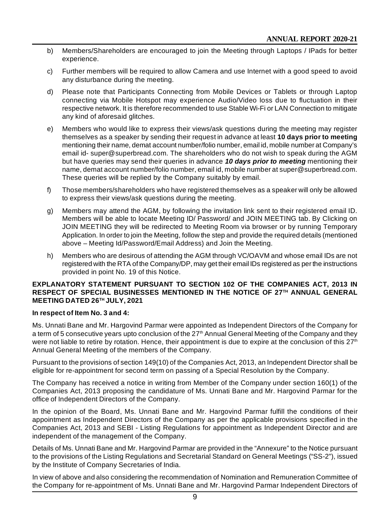- b) Members/Shareholders are encouraged to join the Meeting through Laptops / IPads for better experience.
- c) Further members will be required to allow Camera and use Internet with a good speed to avoid any disturbance during the meeting.
- d) Please note that Participants Connecting from Mobile Devices or Tablets or through Laptop connecting via Mobile Hotspot may experience Audio/Video loss due to fluctuation in their respective network. It is therefore recommended to use Stable Wi-Fi or LAN Connection to mitigate any kind of aforesaid glitches.
- e) Members who would like to express their views/ask questions during the meeting may register themselves as a speaker by sending their request in advance at least **10 days prior to meeting** mentioning their name, demat account number/folio number, email id, mobile number at Company's email id- [super@superbread.com.](mailto:super@superbread.com.) The shareholders who do not wish to speak during the AGM but have queries may send their queries in advance *10 days prior to meeting* mentioning their name, demat account number/folio number, email id, mobile number at [super@superbread.com.](mailto:super@superbread.com.) These queries will be replied by the Company suitably by email.
- f) Those members/shareholders who have registered themselves as a speaker will only be allowed to express their views/ask questions during the meeting.
- g) Members may attend the AGM, by following the invitation link sent to their registered email ID. Members will be able to locate Meeting ID/ Password/ and JOIN MEETING tab. By Clicking on JOIN MEETING they will be redirected to Meeting Room via browser or by running Temporary Application. In order to join the Meeting, follow the step and provide the required details (mentioned above – Meeting Id/Password/Email Address) and Join the Meeting.
- h) Members who are desirous of attending the AGM through VC/OAVM and whose email IDs are not registered with the RTA of the Company/DP, may get their email IDs registered as per the instructions provided in point No. 19 of this Notice.

#### **EXPLANATORY STATEMENT PURSUANT TO SECTION 102 OF THE COMPANIES ACT, 2013 IN RESPECT OF SPECIAL BUSINESSES MENTIONED IN THE NOTICE OF 27TH ANNUAL GENERAL MEETING DATED 26TH JULY, 2021**

#### **In respect of Item No. 3 and 4:**

Ms. Unnati Bane and Mr. Hargovind Parmar were appointed as Independent Directors of the Company for a term of 5 consecutive years upto conclusion of the  $27<sup>th</sup>$  Annual General Meeting of the Company and they were not liable to retire by rotation. Hence, their appointment is due to expire at the conclusion of this  $27<sup>th</sup>$ Annual General Meeting of the members of the Company.

Pursuant to the provisions of section 149(10) of the Companies Act, 2013, an Independent Director shall be eligible for re-appointment for second term on passing of a Special Resolution by the Company.

The Company has received a notice in writing from Member of the Company under section 160(1) of the Companies Act, 2013 proposing the candidature of Ms. Unnati Bane and Mr. Hargovind Parmar for the office of Independent Directors of the Company.

In the opinion of the Board, Ms. Unnati Bane and Mr. Hargovind Parmar fulfill the conditions of their appointment as Independent Directors of the Company as per the applicable provisions specified in the Companies Act, 2013 and SEBI - Listing Regulations for appointment as Independent Director and are independent of the management of the Company.

Details of Ms. Unnati Bane and Mr. Hargovind Parmar are provided in the "Annexure" to the Notice pursuant to the provisions of the Listing Regulations and Secretarial Standard on General Meetings ("SS-2"), issued by the Institute of Company Secretaries of India.

In view of above and also considering the recommendation of Nomination and Remuneration Committee of the Company for re-appointment of Ms. Unnati Bane and Mr. Hargovind Parmar Independent Directors of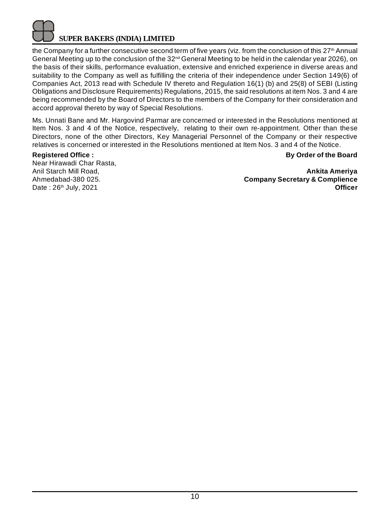the Company for a further consecutive second term of five years (viz. from the conclusion of this 27<sup>th</sup> Annual General Meeting up to the conclusion of the 32nd General Meeting to be held in the calendar year 2026), on the basis of their skills, performance evaluation, extensive and enriched experience in diverse areas and suitability to the Company as well as fulfilling the criteria of their independence under Section 149(6) of Companies Act, 2013 read with Schedule IV thereto and Regulation 16(1) (b) and 25(8) of SEBI (Listing Obligations and Disclosure Requirements) Regulations, 2015, the said resolutions at item Nos. 3 and 4 are being recommended by the Board of Directors to the members of the Company for their consideration and accord approval thereto by way of Special Resolutions.

Ms. Unnati Bane and Mr. Hargovind Parmar are concerned or interested in the Resolutions mentioned at Item Nos. 3 and 4 of the Notice, respectively, relating to their own re-appointment. Other than these Directors, none of the other Directors, Key Managerial Personnel of the Company or their respective relatives is concerned or interested in the Resolutions mentioned at Item Nos. 3 and 4 of the Notice.

## **Registered Office : By Order of the Board**

Near Hirawadi Char Rasta,

Anil Starch Mill Road, **Ankita Ameriya** Ahmedabad-380 025. **Company Secretary & Complience** Date : 26<sup>th</sup> July, 2021 **Officer Officer**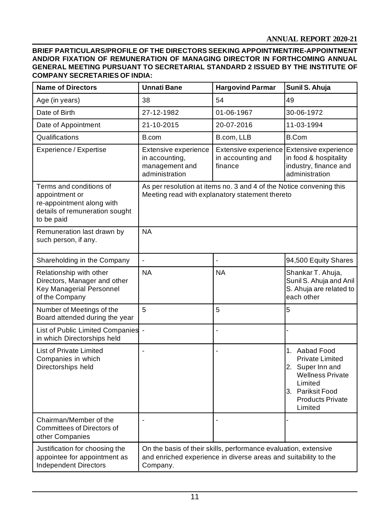**BRIEF PARTICULARS/PROFILE OF THE DIRECTORS SEEKING APPOINTMENT/RE-APPOINTMENT AND/OR FIXATION OF REMUNERATION OF MANAGING DIRECTOR IN FORTHCOMING ANNUAL GENERAL MEETING PURSUANT TO SECRETARIAL STANDARD 2 ISSUED BY THE INSTITUTE OF COMPANY SECRETARIES OF INDIA:**

| <b>Name of Directors</b>                                                                                               | <b>Unnati Bane</b><br><b>Hargovind Parmar</b>                                                                                                  |                                                      | Sunil S. Ahuja                                                                                                                                              |  |
|------------------------------------------------------------------------------------------------------------------------|------------------------------------------------------------------------------------------------------------------------------------------------|------------------------------------------------------|-------------------------------------------------------------------------------------------------------------------------------------------------------------|--|
| Age (in years)                                                                                                         | 38                                                                                                                                             | 54                                                   | 49                                                                                                                                                          |  |
| Date of Birth                                                                                                          | 27-12-1982                                                                                                                                     | 01-06-1967                                           | 30-06-1972                                                                                                                                                  |  |
| Date of Appointment                                                                                                    | 21-10-2015                                                                                                                                     | 20-07-2016                                           | 11-03-1994                                                                                                                                                  |  |
| Qualifications                                                                                                         | B.com                                                                                                                                          | B.com, LLB                                           | <b>B.Com</b>                                                                                                                                                |  |
| Experience / Expertise                                                                                                 | Extensive experience<br>in accounting,<br>management and<br>administration                                                                     | Extensive experience<br>in accounting and<br>finance | Extensive experience<br>in food & hospitality<br>industry, finance and<br>administration                                                                    |  |
| Terms and conditions of<br>appointment or<br>re-appointment along with<br>details of remuneration sought<br>to be paid | As per resolution at items no. 3 and 4 of the Notice convening this<br>Meeting read with explanatory statement thereto                         |                                                      |                                                                                                                                                             |  |
| Remuneration last drawn by<br>such person, if any.                                                                     | <b>NA</b>                                                                                                                                      |                                                      |                                                                                                                                                             |  |
| Shareholding in the Company                                                                                            | $\overline{\phantom{a}}$                                                                                                                       | $\overline{a}$                                       | 94,500 Equity Shares                                                                                                                                        |  |
| Relationship with other<br>Directors, Manager and other<br>Key Managerial Personnel<br>of the Company                  | <b>NA</b>                                                                                                                                      | <b>NA</b>                                            | Shankar T. Ahuja,<br>Sunil S. Ahuja and Anil<br>S. Ahuja are related to<br>each other                                                                       |  |
| Number of Meetings of the<br>Board attended during the year                                                            | 5                                                                                                                                              | 5                                                    | 5                                                                                                                                                           |  |
| List of Public Limited Companies -<br>in which Directorships held                                                      |                                                                                                                                                |                                                      |                                                                                                                                                             |  |
| List of Private Limited<br>Companies in which<br>Directorships held                                                    | ÷,                                                                                                                                             |                                                      | 1. Aabad Food<br><b>Private Limited</b><br>2. Super Inn and<br><b>Wellness Private</b><br>Limited<br>3. Pariksit Food<br><b>Products Private</b><br>Limited |  |
| Chairman/Member of the<br><b>Committees of Directors of</b><br>other Companies                                         | ÷                                                                                                                                              |                                                      |                                                                                                                                                             |  |
| Justification for choosing the<br>appointee for appointment as<br><b>Independent Directors</b>                         | On the basis of their skills, performance evaluation, extensive<br>and enriched experience in diverse areas and suitability to the<br>Company. |                                                      |                                                                                                                                                             |  |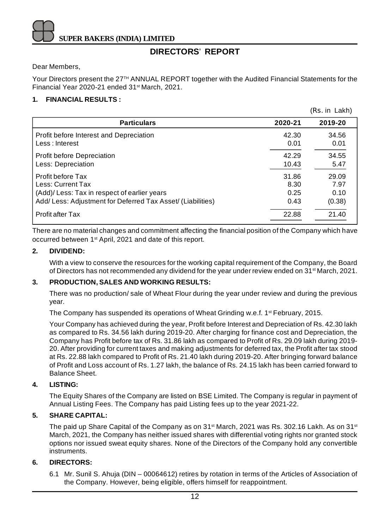## **DIRECTORS**' **REPORT**

Dear Members,

Your Directors present the 27<sup>TH</sup> ANNUAL REPORT together with the Audited Financial Statements for the Financial Year 2020-21 ended 31st March, 2021.

 $(D<sub>1</sub> - 1<sub>2</sub> + 1<sub>3</sub>)$ 

## **1. FINANCIAL RESULTS :**

|                                                            |         | (RS. IN LAKN) |
|------------------------------------------------------------|---------|---------------|
| <b>Particulars</b>                                         | 2020-21 | 2019-20       |
| Profit before Interest and Depreciation                    | 42.30   | 34.56         |
| Less: Interest                                             | 0.01    | 0.01          |
| <b>Profit before Depreciation</b>                          | 42.29   | 34.55         |
| Less: Depreciation                                         | 10.43   | 5.47          |
| Profit before Tax                                          | 31.86   | 29.09         |
| Less: Current Tax                                          | 8.30    | 7.97          |
| (Add)/ Less: Tax in respect of earlier years               | 0.25    | 0.10          |
| Add/Less: Adjustment for Deferred Tax Asset/ (Liabilities) | 0.43    | (0.38)        |
| <b>Profit after Tax</b>                                    | 22.88   | 21.40         |

There are no material changes and commitment affecting the financial position of the Company which have occurred between 1st April, 2021 and date of this report.

## **2. DIVIDEND:**

With a view to conserve the resources for the working capital requirement of the Company, the Board of Directors has not recommended any dividend for the year under review ended on 31<sup>st</sup> March, 2021.

## **3. PRODUCTION, SALES AND WORKING RESULTS:**

There was no production/ sale of Wheat Flour during the year under review and during the previous year.

The Company has suspended its operations of Wheat Grinding w.e.f. 1<sup>st</sup> February, 2015.

Your Company has achieved during the year, Profit before Interest and Depreciation of Rs. 42.30 lakh as compared to Rs. 34.56 lakh during 2019-20. After charging for finance cost and Depreciation, the Company has Profit before tax of Rs. 31.86 lakh as compared to Profit of Rs. 29.09 lakh during 2019- 20. After providing for current taxes and making adjustments for deferred tax, the Profit after tax stood at Rs. 22.88 lakh compared to Profit of Rs. 21.40 lakh during 2019-20. After bringing forward balance of Profit and Loss account of Rs. 1.27 lakh, the balance of Rs. 24.15 lakh has been carried forward to Balance Sheet.

## **4. LISTING:**

The Equity Shares of the Company are listed on BSE Limited. The Company is regular in payment of Annual Listing Fees. The Company has paid Listing fees up to the year 2021-22.

## **5. SHARE CAPITAL:**

The paid up Share Capital of the Company as on 31<sup>st</sup> March, 2021 was Rs. 302.16 Lakh. As on 31<sup>st</sup> March, 2021, the Company has neither issued shares with differential voting rights nor granted stock options nor issued sweat equity shares. None of the Directors of the Company hold any convertible instruments.

#### **6. DIRECTORS:**

6.1 Mr. Sunil S. Ahuja (DIN – 00064612) retires by rotation in terms of the Articles of Association of the Company. However, being eligible, offers himself for reappointment.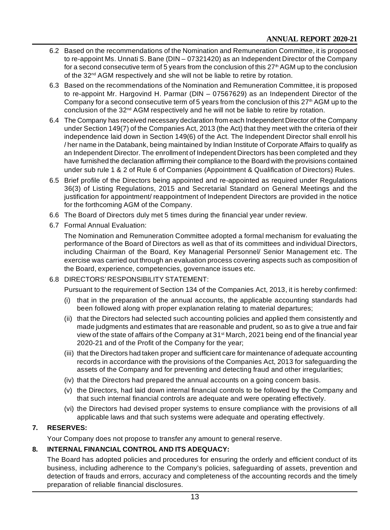- 6.2 Based on the recommendations of the Nomination and Remuneration Committee, it is proposed to re-appoint Ms. Unnati S. Bane (DIN – 07321420) as an Independent Director of the Company for a second consecutive term of 5 years from the conclusion of this  $27<sup>th</sup>$  AGM up to the conclusion of the 32<sup>nd</sup> AGM respectively and she will not be liable to retire by rotation.
- 6.3 Based on the recommendations of the Nomination and Remuneration Committee, it is proposed to re-appoint Mr. Hargovind H. Parmar (DIN – 07567629) as an Independent Director of the Company for a second consecutive term of 5 years from the conclusion of this  $27<sup>th</sup>$  AGM up to the conclusion of the 32<sup>nd</sup> AGM respectively and he will not be liable to retire by rotation.
- 6.4 The Company has received necessary declaration from each Independent Director of the Company under Section 149(7) of the Companies Act, 2013 (the Act) that they meet with the criteria of their independence laid down in Section 149(6) of the Act. The Independent Director shall enroll his / her name in the Databank, being maintained by Indian Institute of Corporate Affairs to qualify as an Independent Director. The enrollment of Independent Directors has been completed and they have furnished the declaration affirming their compliance to the Board with the provisions contained under sub rule 1 & 2 of Rule 6 of Companies (Appointment & Qualification of Directors) Rules.
- 6.5 Brief profile of the Directors being appointed and re-appointed as required under Regulations 36(3) of Listing Regulations, 2015 and Secretarial Standard on General Meetings and the justification for appointment/ reappointment of Independent Directors are provided in the notice for the forthcoming AGM of the Company.
- 6.6 The Board of Directors duly met 5 times during the financial year under review.
- 6.7 Formal Annual Evaluation:

The Nomination and Remuneration Committee adopted a formal mechanism for evaluating the performance of the Board of Directors as well as that of its committees and individual Directors, including Chairman of the Board, Key Managerial Personnel/ Senior Management etc. The exercise was carried out through an evaluation process covering aspects such as composition of the Board, experience, competencies, governance issues etc.

6.8 DIRECTORS' RESPONSIBILITY STATEMENT:

Pursuant to the requirement of Section 134 of the Companies Act, 2013, it is hereby confirmed:

- (i) that in the preparation of the annual accounts, the applicable accounting standards had been followed along with proper explanation relating to material departures;
- (ii) that the Directors had selected such accounting policies and applied them consistently and made judgments and estimates that are reasonable and prudent, so as to give a true and fair view of the state of affairs of the Company at 31<sup>st</sup> March, 2021 being end of the financial year 2020-21 and of the Profit of the Company for the year;
- (iii) that the Directors had taken proper and sufficient care for maintenance of adequate accounting records in accordance with the provisions of the Companies Act, 2013 for safeguarding the assets of the Company and for preventing and detecting fraud and other irregularities;
- (iv) that the Directors had prepared the annual accounts on a going concern basis.
- (v) the Directors, had laid down internal financial controls to be followed by the Company and that such internal financial controls are adequate and were operating effectively.
- (vi) the Directors had devised proper systems to ensure compliance with the provisions of all applicable laws and that such systems were adequate and operating effectively.

## **7. RESERVES:**

Your Company does not propose to transfer any amount to general reserve.

## **8. INTERNAL FINANCIAL CONTROL AND ITS ADEQUACY:**

The Board has adopted policies and procedures for ensuring the orderly and efficient conduct of its business, including adherence to the Company's policies, safeguarding of assets, prevention and detection of frauds and errors, accuracy and completeness of the accounting records and the timely preparation of reliable financial disclosures.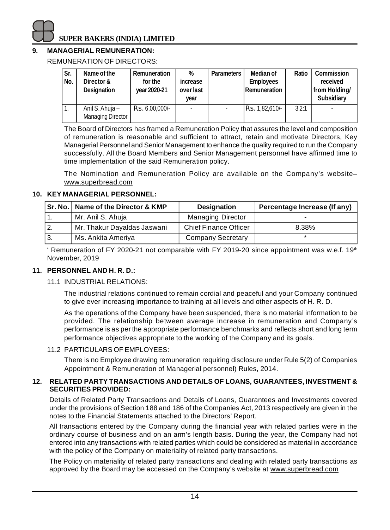## **9. MANAGERIAL REMUNERATION:**

REMUNERATION OF DIRECTORS:

| Sr.<br>No. | Name of the<br>Director &<br><b>Designation</b> | <b>Remuneration</b><br>for the<br>year 2020-21 | %<br><i>increase</i><br>over last<br>vear | <b>Parameters</b> | Median of<br><b>Employees</b><br>Remuneration | <b>Ratio</b> | <b>Commission</b><br>received<br>from Holding/<br><b>Subsidiary</b> |
|------------|-------------------------------------------------|------------------------------------------------|-------------------------------------------|-------------------|-----------------------------------------------|--------------|---------------------------------------------------------------------|
|            | Anil S. Ahuja –<br><b>Managing Director</b>     | Rs. 6,00,000/-                                 |                                           |                   | Rs. 1,82,610/-                                | 3.2:1        |                                                                     |

The Board of Directors has framed a Remuneration Policy that assures the level and composition of remuneration is reasonable and sufficient to attract, retain and motivate Directors, Key Managerial Personnel and Senior Management to enhance the quality required to run the Company successfully. All the Board Members and Senior Management personnel have affirmed time to time implementation of the said Remuneration policy.

The Nomination and Remuneration Policy are available on the Company's website– [www.superbread.com](http://www.superbread.com)

## **10. KEY MANAGERIAL PERSONNEL:**

|                  | Sr. No.   Name of the Director & KMP | <b>Designation</b>           | Percentage Increase (If any) |
|------------------|--------------------------------------|------------------------------|------------------------------|
|                  | Mr. Anil S. Ahuja                    | <b>Managing Director</b>     | -                            |
| $\overline{2}$ . | Mr. Thakur Dayaldas Jaswani          | <b>Chief Finance Officer</b> | 8.38%                        |
| ١З.              | Ms. Ankita Ameriva                   | Company Secretary            |                              |

 $^{\circ}$  Remuneration of FY 2020-21 not comparable with FY 2019-20 since appointment was w.e.f. 19th November, 2019

## **11. PERSONNEL AND H. R. D.:**

11.1 INDUSTRIAL RELATIONS:

The industrial relations continued to remain cordial and peaceful and your Company continued to give ever increasing importance to training at all levels and other aspects of H. R. D.

As the operations of the Company have been suspended, there is no material information to be provided. The relationship between average increase in remuneration and Company's performance is as per the appropriate performance benchmarks and reflects short and long term performance objectives appropriate to the working of the Company and its goals.

## 11.2 PARTICULARS OF EMPLOYEES:

There is no Employee drawing remuneration requiring disclosure under Rule 5(2) of Companies Appointment & Remuneration of Managerial personnel) Rules, 2014.

## **12. RELATED PARTY TRANSACTIONS AND DETAILS OF LOANS, GUARANTEES, INVESTMENT & SECURITIES PROVIDED:**

Details of Related Party Transactions and Details of Loans, Guarantees and Investments covered under the provisions of Section 188 and 186 of the Companies Act, 2013 respectively are given in the notes to the Financial Statements attached to the Directors' Report.

All transactions entered by the Company during the financial year with related parties were in the ordinary course of business and on an arm's length basis. During the year, the Company had not entered into any transactions with related parties which could be considered as material in accordance with the policy of the Company on materiality of related party transactions.

The Policy on materiality of related party transactions and dealing with related party transactions as approved by the Board may be accessed on the Company's website at [www.superbread.com](http://www.superbread.com)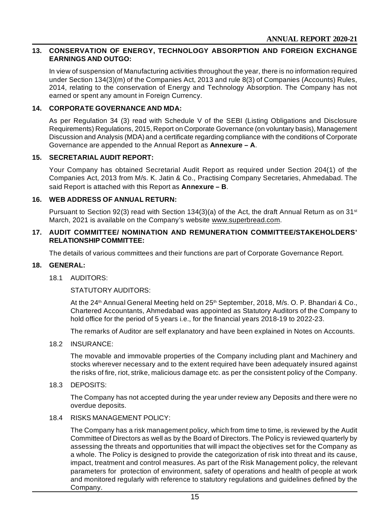#### **13. CONSERVATION OF ENERGY, TECHNOLOGY ABSORPTION AND FOREIGN EXCHANGE EARNINGS AND OUTGO:**

In view of suspension of Manufacturing activities throughout the year, there is no information required under Section 134(3)(m) of the Companies Act, 2013 and rule 8(3) of Companies (Accounts) Rules, 2014, relating to the conservation of Energy and Technology Absorption. The Company has not earned or spent any amount in Foreign Currency.

#### **14. CORPORATE GOVERNANCE AND MDA:**

As per Regulation 34 (3) read with Schedule V of the SEBI (Listing Obligations and Disclosure Requirements) Regulations, 2015, Report on Corporate Governance (on voluntary basis), Management Discussion and Analysis (MDA) and a certificate regarding compliance with the conditions of Corporate Governance are appended to the Annual Report as **Annexure – A**.

#### **15. SECRETARIAL AUDIT REPORT:**

Your Company has obtained Secretarial Audit Report as required under Section 204(1) of the Companies Act, 2013 from M/s. K. Jatin & Co., Practising Company Secretaries, Ahmedabad. The said Report is attached with this Report as **Annexure – B**.

#### **16. WEB ADDRESS OF ANNUAL RETURN:**

Pursuant to Section 92(3) read with Section 134(3)(a) of the Act, the draft Annual Return as on 31<sup>st</sup> March, 2021 is available on the Company's website [www.superbread.com.](http://www.superbread.com.)

#### **17. AUDIT COMMITTEE/ NOMINATION AND REMUNERATION COMMITTEE/STAKEHOLDERS' RELATIONSHIP COMMITTEE:**

The details of various committees and their functions are part of Corporate Governance Report.

#### **18. GENERAL:**

#### 18.1 AUDITORS:

STATUTORY AUDITORS:

At the 24<sup>th</sup> Annual General Meeting held on 25<sup>th</sup> September, 2018, M/s. O. P. Bhandari & Co., Chartered Accountants, Ahmedabad was appointed as Statutory Auditors of the Company to hold office for the period of 5 years i.e., for the financial years 2018-19 to 2022-23.

The remarks of Auditor are self explanatory and have been explained in Notes on Accounts.

18.2 INSURANCE:

The movable and immovable properties of the Company including plant and Machinery and stocks wherever necessary and to the extent required have been adequately insured against the risks of fire, riot, strike, malicious damage etc. as per the consistent policy of the Company.

18.3 DEPOSITS:

The Company has not accepted during the year under review any Deposits and there were no overdue deposits.

18.4 RISKS MANAGEMENT POLICY:

The Company has a risk management policy, which from time to time, is reviewed by the Audit Committee of Directors as well as by the Board of Directors. The Policy is reviewed quarterly by assessing the threats and opportunities that will impact the objectives set for the Company as a whole. The Policy is designed to provide the categorization of risk into threat and its cause, impact, treatment and control measures. As part of the Risk Management policy, the relevant parameters for protection of environment, safety of operations and health of people at work and monitored regularly with reference to statutory regulations and guidelines defined by the Company.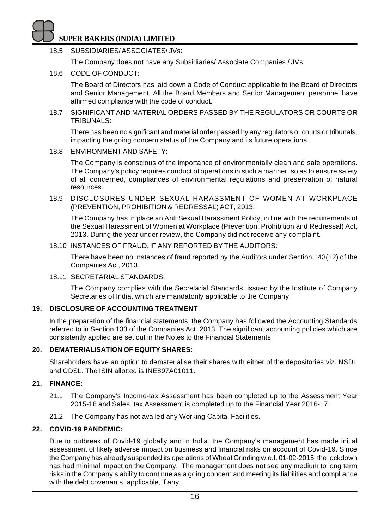18.5 SUBSIDIARIES/ ASSOCIATES/ JVs:

The Company does not have any Subsidiaries/ Associate Companies / JVs.

18.6 CODE OF CONDUCT:

The Board of Directors has laid down a Code of Conduct applicable to the Board of Directors and Senior Management. All the Board Members and Senior Management personnel have affirmed compliance with the code of conduct.

18.7 SIGNIFICANT AND MATERIAL ORDERS PASSED BY THE REGULATORS OR COURTS OR TRIBUNALS:

There has been no significant and material order passed by any regulators or courts or tribunals, impacting the going concern status of the Company and its future operations.

18.8 ENVIRONMENT AND SAFETY:

The Company is conscious of the importance of environmentally clean and safe operations. The Company's policy requires conduct of operations in such a manner, so as to ensure safety of all concerned, compliances of environmental regulations and preservation of natural resources.

18.9 DISCLOSURES UNDER SEXUAL HARASSMENT OF WOMEN AT WORKPLACE (PREVENTION, PROHIBITION & REDRESSAL) ACT, 2013:

The Company has in place an Anti Sexual Harassment Policy, in line with the requirements of the Sexual Harassment of Women at Workplace (Prevention, Prohibition and Redressal) Act, 2013. During the year under review, the Company did not receive any complaint.

18.10 INSTANCES OF FRAUD, IF ANY REPORTED BY THE AUDITORS:

There have been no instances of fraud reported by the Auditors under Section 143(12) of the Companies Act, 2013.

18.11 SECRETARIAL STANDARDS:

The Company complies with the Secretarial Standards, issued by the Institute of Company Secretaries of India, which are mandatorily applicable to the Company.

## **19. DISCLOSURE OF ACCOUNTING TREATMENT**

In the preparation of the financial statements, the Company has followed the Accounting Standards referred to in Section 133 of the Companies Act, 2013. The significant accounting policies which are consistently applied are set out in the Notes to the Financial Statements.

## **20. DEMATERIALISATION OF EQUITY SHARES:**

Shareholders have an option to dematerialise their shares with either of the depositories viz. NSDL and CDSL. The ISIN allotted is INE897A01011.

## **21. FINANCE:**

- 21.1 The Company's Income-tax Assessment has been completed up to the Assessment Year 2015-16 and Sales tax Assessment is completed up to the Financial Year 2016-17.
- 21.2 The Company has not availed any Working Capital Facilities.

## **22. COVID-19 PANDEMIC:**

Due to outbreak of Covid-19 globally and in India, the Company's management has made initial assessment of likely adverse impact on business and financial risks on account of Covid-19. Since the Company has already suspended its operations of Wheat Grinding w.e.f. 01-02-2015, the lockdown has had minimal impact on the Company. The management does not see any medium to long term risks in the Company's ability to continue as a going concern and meeting its liabilities and compliance with the debt covenants, applicable, if any.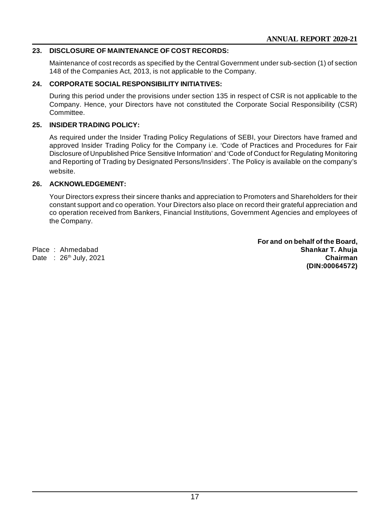## **23. DISCLOSURE OF MAINTENANCE OF COST RECORDS:**

Maintenance of cost records as specified by the Central Government under sub-section (1) of section 148 of the Companies Act, 2013, is not applicable to the Company.

## **24. CORPORATE SOCIAL RESPONSIBILITY INITIATIVES:**

During this period under the provisions under section 135 in respect of CSR is not applicable to the Company. Hence, your Directors have not constituted the Corporate Social Responsibility (CSR) Committee.

## **25. INSIDER TRADING POLICY:**

As required under the Insider Trading Policy Regulations of SEBI, your Directors have framed and approved Insider Trading Policy for the Company i.e. 'Code of Practices and Procedures for Fair Disclosure of Unpublished Price Sensitive Information' and 'Code of Conduct for Regulating Monitoring and Reporting of Trading by Designated Persons/Insiders'. The Policy is available on the company's website.

## **26. ACKNOWLEDGEMENT:**

Your Directors express their sincere thanks and appreciation to Promoters and Shareholders for their constant support and co operation. Your Directors also place on record their grateful appreciation and co operation received from Bankers, Financial Institutions, Government Agencies and employees of the Company.

**For and on behalf of the Board,** Place : Ahmedabad **Shankar T. Ahuja** Date : 26th July, 2021 **Chairman (DIN:00064572)**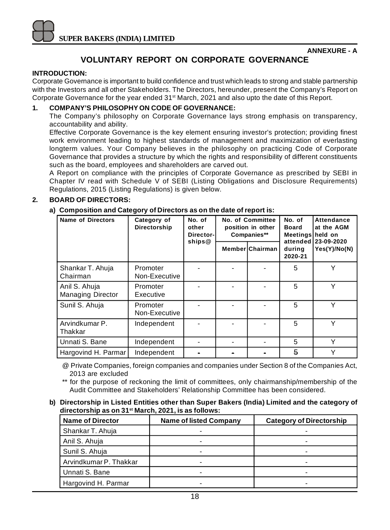## **VOLUNTARY REPORT ON CORPORATE GOVERNANCE**

#### **INTRODUCTION:**

Corporate Governance is important to build confidence and trust which leads to strong and stable partnership with the Investors and all other Stakeholders. The Directors, hereunder, present the Company's Report on Corporate Governance for the year ended 31st March, 2021 and also upto the date of this Report.

#### **1. COMPANY'S PHILOSOPHY ON CODE OF GOVERNANCE:**

The Company's philosophy on Corporate Governance lays strong emphasis on transparency, accountability and ability.

Effective Corporate Governance is the key element ensuring investor's protection; providing finest work environment leading to highest standards of management and maximization of everlasting longterm values. Your Company believes in the philosophy on practicing Code of Corporate Governance that provides a structure by which the rights and responsibility of different constituents such as the board, employees and shareholders are carved out.

A Report on compliance with the principles of Corporate Governance as prescribed by SEBI in Chapter IV read with Schedule V of SEBI (Listing Obligations and Disclosure Requirements) Regulations, 2015 (Listing Regulations) is given below.

## **2. BOARD OF DIRECTORS:**

#### **a) Composition and Category of Directors as on the date of report is:**

| Name of Directors                         | Category of<br>Directorship | No. of<br>other<br>Director-<br>ships@ | <b>No. of Committee</b><br>position in other<br>Companies** |                 | No. of<br><b>Board</b><br>Meetings held on<br>attended | Attendance<br>at the AGM<br>123-09-2020 |
|-------------------------------------------|-----------------------------|----------------------------------------|-------------------------------------------------------------|-----------------|--------------------------------------------------------|-----------------------------------------|
|                                           |                             |                                        |                                                             | MemberlChairman | during<br>2020-21                                      | Yes(Y)/No(N)                            |
| Shankar T. Ahuja<br>Chairman              | Promoter<br>Non-Executive   |                                        |                                                             |                 | 5                                                      |                                         |
| Anil S. Ahuja<br><b>Managing Director</b> | Promoter<br>Executive       |                                        |                                                             |                 | 5                                                      | ٧                                       |
| Sunil S. Ahuja                            | Promoter<br>Non-Executive   |                                        |                                                             |                 | 5                                                      | Υ                                       |
| Arvindkumar P.<br>Thakkar                 | Independent                 |                                        |                                                             |                 | 5                                                      | $\checkmark$                            |
| Unnati S. Bane                            | Independent                 |                                        |                                                             |                 | 5                                                      | Υ                                       |
| Hargovind H. Parmar                       | Independent                 |                                        |                                                             |                 | 5                                                      |                                         |

@ Private Companies, foreign companies and companies under Section 8 of the Companies Act, 2013 are excluded

for the purpose of reckoning the limit of committees, only chairmanship/membership of the Audit Committee and Stakeholders' Relationship Committee has been considered.

**b) Directorship in Listed Entities other than Super Bakers (India) Limited and the category of directorship as on 31st March, 2021, is as follows:**

| <b>Name of Director</b> | <b>Name of listed Company</b> | <b>Category of Directorship</b> |
|-------------------------|-------------------------------|---------------------------------|
| Shankar T. Ahuja        |                               |                                 |
| Anil S. Ahuja           |                               |                                 |
| Sunil S. Ahuja          |                               |                                 |
| Arvindkumar P. Thakkar  | -                             |                                 |
| Unnati S. Bane          |                               |                                 |
| Hargovind H. Parmar     | -                             |                                 |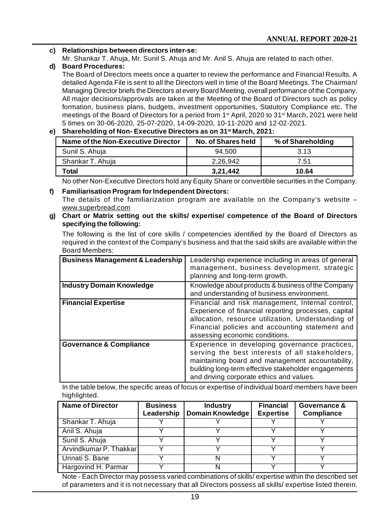- **c) Relationships between directors inter-se:**
	- Mr. Shankar T. Ahuja, Mr. Sunil S. Ahuja and Mr. Anil S. Ahuja are related to each other.

## **d) Board Procedures:**

The Board of Directors meets once a quarter to review the performance and Financial Results. A detailed Agenda File is sent to all the Directors well in time of the Board Meetings. The Chairman/ Managing Director briefs the Directors at every Board Meeting, overall performance of the Company. All major decisions/approvals are taken at the Meeting of the Board of Directors such as policy formation, business plans, budgets, investment opportunities, Statutory Compliance etc. The meetings of the Board of Directors for a period from 1st April, 2020 to 31st March, 2021 were held 5 times on 30-06-2020, 25-07-2020, 14-09-2020, 10-11-2020 and 12-02-2021.

**e) Shareholding of Non- Executive Directors as on 31st March, 2021:**

| Name of the Non-Executive Director | No. of Shares held | % of Shareholding |
|------------------------------------|--------------------|-------------------|
| Sunil S. Ahuia                     | 94.500             | 3.13              |
| Shankar T. Ahuja                   | 2.26.942           | 7.51              |
| Total                              | 3.21.442           | 10.64             |

No other Non-Executive Directors hold any Equity Share or convertible securities in the Company.

- **f) Familiarisation Program for Independent Directors:** The details of the familiarization program are available on the Company's website – [www.superbread.com](http://www.superbread.com)
- **g) Chart or Matrix setting out the skills/ expertise/ competence of the Board of Directors specifying the following:**

The following is the list of core skills / competencies identified by the Board of Directors as required in the context of the Company's business and that the said skills are available within the Board Members:

| <b>Business Management &amp; Leadership</b><br><b>Industry Domain Knowledge</b> | Leadership experience including in areas of general<br>management, business development, strategic<br>planning and long-term growth.<br>Knowledge about products & business of the Company                                                                |
|---------------------------------------------------------------------------------|-----------------------------------------------------------------------------------------------------------------------------------------------------------------------------------------------------------------------------------------------------------|
|                                                                                 | and understanding of business environment.                                                                                                                                                                                                                |
| <b>Financial Expertise</b>                                                      | Financial and risk management, Internal control,<br>Experience of financial reporting processes, capital<br>allocation, resource utilization, Understanding of<br>Financial policies and accounting statement and<br>assessing economic conditions.       |
| <b>Governance &amp; Compliance</b>                                              | Experience in developing governance practices,<br>serving the best interests of all stakeholders,<br>maintaining board and management accountability,<br>building long-term effective stakeholder engagements<br>and driving corporate ethics and values. |

In the table below, the specific areas of focus or expertise of individual board members have been highlighted.

| <b>Name of Director</b> | <b>Business</b><br>Leadership | <b>Industry</b><br><b>Domain Knowledge</b> | <b>Financial</b><br><b>Expertise</b> | Governance &<br><b>Compliance</b> |
|-------------------------|-------------------------------|--------------------------------------------|--------------------------------------|-----------------------------------|
| Shankar T. Ahuja        |                               |                                            |                                      |                                   |
| Anil S. Ahuja           |                               |                                            |                                      |                                   |
| Sunil S. Ahuja          |                               |                                            |                                      |                                   |
| Arvindkumar P. Thakkarl |                               |                                            |                                      |                                   |
| Unnati S. Bane          |                               |                                            |                                      |                                   |
| Hargovind H. Parmar     |                               |                                            |                                      |                                   |

Note - Each Director may possess varied combinations of skills/ expertise within the described set of parameters and it is not necessary that all Directors possess all skills/ expertise listed therein.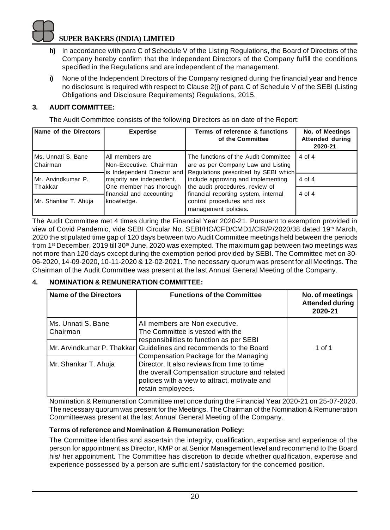- **h)** In accordance with para C of Schedule V of the Listing Regulations, the Board of Directors of the Company hereby confirm that the Independent Directors of the Company fulfill the conditions specified in the Regulations and are independent of the management.
- **i)** None of the Independent Directors of the Company resigned during the financial year and hence no disclosure is required with respect to Clause 2(j) of para C of Schedule V of the SEBI (Listing Obligations and Disclosure Requirements) Regulations, 2015.

## **3. AUDIT COMMITTEE:**

The Audit Committee consists of the following Directors as on date of the Report:

| Name of the Directors           | <b>Expertise</b>                                                                                                                                             | Terms of reference & functions<br>of the Committee                                                                 | No. of Meetings<br><b>Attended during</b><br>2020-21 |
|---------------------------------|--------------------------------------------------------------------------------------------------------------------------------------------------------------|--------------------------------------------------------------------------------------------------------------------|------------------------------------------------------|
| Ms. Unnati S. Bane<br>Chairman  | All members are<br>Non-Executive, Chairman                                                                                                                   | The functions of the Audit Committee<br>are as per Company Law and Listing<br>Regulations prescribed by SEBI which | 4 of 4                                               |
| IMr. Arvindkumar P.<br>lThakkar | is Independent Director and<br>majority are independent.<br>include approving and implementing<br>One member has thorough<br>the audit procedures, review of |                                                                                                                    | 4 of 4                                               |
| Mr. Shankar T. Ahuja            | financial and accounting<br>knowledge.                                                                                                                       | financial reporting system, internal<br>control procedures and risk<br>management policies.                        | 4 of 4                                               |

The Audit Committee met 4 times during the Financial Year 2020-21. Pursuant to exemption provided in view of Covid Pandemic, vide SEBI Circular No. SEBI/HO/CFD/CMD1/CIR/P/2020/38 dated 19<sup>th</sup> March, 2020 the stipulated time gap of 120 days between two Audit Committee meetings held between the periods from 1<sup>st</sup> December, 2019 till 30<sup>th</sup> June, 2020 was exempted. The maximum gap between two meetings was not more than 120 days except during the exemption period provided by SEBI. The Committee met on 30- 06-2020, 14-09-2020, 10-11-2020 & 12-02-2021. The necessary quorum was present for all Meetings. The Chairman of the Audit Committee was present at the last Annual General Meeting of the Company.

## **4. NOMINATION & REMUNERATION COMMITTEE:**

| <b>Name of the Directors</b>   | <b>Functions of the Committee</b>                                                                                                                                   | No. of meetings<br><b>Attended during</b><br>2020-21 |
|--------------------------------|---------------------------------------------------------------------------------------------------------------------------------------------------------------------|------------------------------------------------------|
| Ms. Unnati S. Bane<br>Chairman | All members are Non executive.<br>The Committee is vested with the<br>responsibilities to function as per SEBI                                                      |                                                      |
|                                | Mr. Arvindkumar P. Thakkarl Guidelines and recommends to the Board<br>Compensation Package for the Managing                                                         | 1 of 1                                               |
| Mr. Shankar T. Ahuja           | Director, It also reviews from time to time<br>the overall Compensation structure and related<br>policies with a view to attract, motivate and<br>retain employees. |                                                      |

Nomination & Remuneration Committee met once during the Financial Year 2020-21 on 25-07-2020. The necessary quorum was present for the Meetings. The Chairman of the Nomination & Remuneration Committeewas present at the last Annual General Meeting of the Company.

## **Terms of reference and Nomination & Remuneration Policy:**

The Committee identifies and ascertain the integrity, qualification, expertise and experience of the person for appointment as Director, KMP or at Senior Management level and recommend to the Board his/ her appointment. The Committee has discretion to decide whether qualification, expertise and experience possessed by a person are sufficient / satisfactory for the concerned position.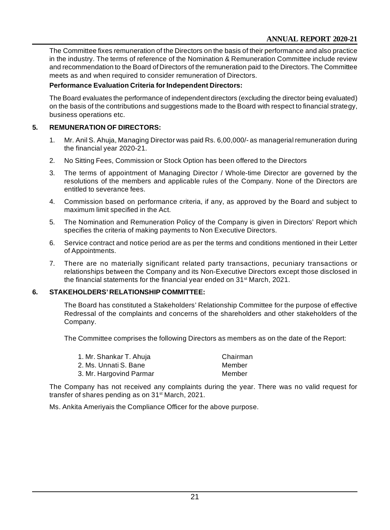The Committee fixes remuneration of the Directors on the basis of their performance and also practice in the industry. The terms of reference of the Nomination & Remuneration Committee include review and recommendation to the Board of Directors of the remuneration paid to the Directors. The Committee meets as and when required to consider remuneration of Directors.

## **Performance Evaluation Criteria for Independent Directors:**

The Board evaluates the performance of independent directors (excluding the director being evaluated) on the basis of the contributions and suggestions made to the Board with respect to financial strategy, business operations etc.

## **5. REMUNERATION OF DIRECTORS:**

- 1. Mr. Anil S. Ahuja, Managing Director was paid Rs. 6,00,000/- as managerial remuneration during the financial year 2020-21.
- 2. No Sitting Fees, Commission or Stock Option has been offered to the Directors
- 3. The terms of appointment of Managing Director / Whole-time Director are governed by the resolutions of the members and applicable rules of the Company. None of the Directors are entitled to severance fees.
- 4. Commission based on performance criteria, if any, as approved by the Board and subject to maximum limit specified in the Act.
- 5. The Nomination and Remuneration Policy of the Company is given in Directors' Report which specifies the criteria of making payments to Non Executive Directors.
- 6. Service contract and notice period are as per the terms and conditions mentioned in their Letter of Appointments.
- 7. There are no materially significant related party transactions, pecuniary transactions or relationships between the Company and its Non-Executive Directors except those disclosed in the financial statements for the financial year ended on 31<sup>st</sup> March, 2021.

## **6. STAKEHOLDERS' RELATIONSHIP COMMITTEE:**

The Board has constituted a Stakeholders' Relationship Committee for the purpose of effective Redressal of the complaints and concerns of the shareholders and other stakeholders of the Company.

The Committee comprises the following Directors as members as on the date of the Report:

| 1. Mr. Shankar T. Ahuja | Chairman |
|-------------------------|----------|
| 2. Ms. Unnati S. Bane   | Member   |
| 3. Mr. Hargovind Parmar | Member   |

The Company has not received any complaints during the year. There was no valid request for transfer of shares pending as on 31<sup>st</sup> March, 2021.

Ms. Ankita Ameriyais the Compliance Officer for the above purpose.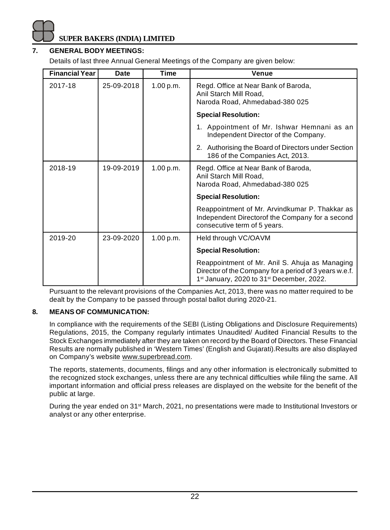

## **7. GENERAL BODY MEETINGS:**

Details of last three Annual General Meetings of the Company are given below:

| <b>Financial Year</b> | Date       | Time      | Venue                                                                                                                                                                         |  |
|-----------------------|------------|-----------|-------------------------------------------------------------------------------------------------------------------------------------------------------------------------------|--|
| 2017-18               | 25-09-2018 | 1.00 p.m. | Regd. Office at Near Bank of Baroda,<br>Anil Starch Mill Road,<br>Naroda Road, Ahmedabad-380 025                                                                              |  |
|                       |            |           | <b>Special Resolution:</b>                                                                                                                                                    |  |
|                       |            |           | 1. Appointment of Mr. Ishwar Hemnani as an<br>Independent Director of the Company.                                                                                            |  |
|                       |            |           | 2. Authorising the Board of Directors under Section<br>186 of the Companies Act, 2013.                                                                                        |  |
| 2018-19               | 19-09-2019 | 1.00 p.m. | Regd. Office at Near Bank of Baroda,<br>Anil Starch Mill Road,<br>Naroda Road, Ahmedabad-380 025                                                                              |  |
|                       |            |           | <b>Special Resolution:</b>                                                                                                                                                    |  |
|                       |            |           | Reappointment of Mr. Arvindkumar P. Thakkar as<br>Independent Directorof the Company for a second<br>consecutive term of 5 years.                                             |  |
| 2019-20               | 23-09-2020 | 1.00 p.m. | Held through VC/OAVM                                                                                                                                                          |  |
|                       |            |           | <b>Special Resolution:</b>                                                                                                                                                    |  |
|                       |            |           | Reappointment of Mr. Anil S. Ahuja as Managing<br>Director of the Company for a period of 3 years w.e.f.<br>1 <sup>st</sup> January, 2020 to 31 <sup>st</sup> December, 2022. |  |

Pursuant to the relevant provisions of the Companies Act, 2013, there was no matter required to be dealt by the Company to be passed through postal ballot during 2020-21.

#### **8. MEANS OF COMMUNICATION:**

In compliance with the requirements of the SEBI (Listing Obligations and Disclosure Requirements) Regulations, 2015, the Company regularly intimates Unaudited/ Audited Financial Results to the Stock Exchanges immediately after they are taken on record by the Board of Directors. These Financial Results are normally published in 'Western Times' (English and Gujarati).Results are also displayed on Company's website [www.superbread.com.](http://www.superbread.com.)

The reports, statements, documents, filings and any other information is electronically submitted to the recognized stock exchanges, unless there are any technical difficulties while filing the same. All important information and official press releases are displayed on the website for the benefit of the public at large.

During the year ended on 31<sup>st</sup> March, 2021, no presentations were made to Institutional Investors or analyst or any other enterprise.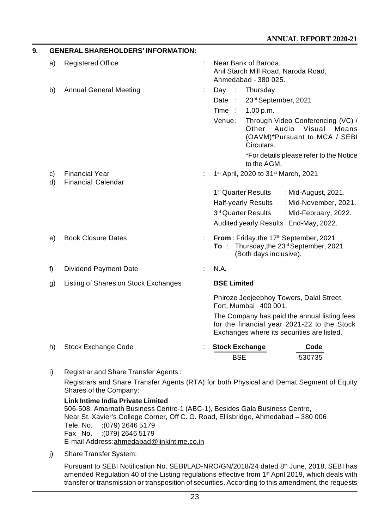| 9. |    | <b>GENERAL SHAREHOLDERS' INFORMATION:</b> |   |                                                                                                                                           |
|----|----|-------------------------------------------|---|-------------------------------------------------------------------------------------------------------------------------------------------|
|    | a) | <b>Registered Office</b>                  |   | Near Bank of Baroda,<br>Anil Starch Mill Road, Naroda Road,<br>Ahmedabad - 380 025.                                                       |
|    | b) | <b>Annual General Meeting</b>             | ÷ | Day :<br>Thursday                                                                                                                         |
|    |    |                                           |   | 23rd September, 2021<br>Date:                                                                                                             |
|    |    |                                           |   | Time:<br>1.00 p.m.                                                                                                                        |
|    |    |                                           |   | Venue:<br>Through Video Conferencing (VC) /<br>Audio<br>Other<br>Visual<br>Means<br>(OAVM)*Pursuant to MCA / SEBI<br>Circulars.           |
|    |    |                                           |   | *For details please refer to the Notice<br>to the AGM.                                                                                    |
|    | c) | <b>Financial Year</b>                     |   | 1st April, 2020 to 31st March, 2021                                                                                                       |
|    | d) | <b>Financial Calendar</b>                 |   |                                                                                                                                           |
|    |    |                                           |   | 1 <sup>st</sup> Quarter Results<br>: Mid-August, 2021.                                                                                    |
|    |    |                                           |   | : Mid-November, 2021.<br>Half-yearly Results<br>3rd Quarter Results                                                                       |
|    |    |                                           |   | : Mid-February, 2022.<br>Audited yearly Results: End-May, 2022.                                                                           |
|    |    |                                           |   |                                                                                                                                           |
|    | e) | <b>Book Closure Dates</b>                 |   | From: Friday, the 17 <sup>th</sup> September, 2021<br>To: Thursday, the 23rd September, 2021<br>(Both days inclusive).                    |
|    | f) | Dividend Payment Date                     |   | N.A.                                                                                                                                      |
|    | g) | Listing of Shares on Stock Exchanges      |   | <b>BSE Limited</b>                                                                                                                        |
|    |    |                                           |   | Phiroze Jeejeebhoy Towers, Dalal Street,<br>Fort, Mumbai 400 001.                                                                         |
|    |    |                                           |   | The Company has paid the annual listing fees<br>for the financial year 2021-22 to the Stock<br>Exchanges where its securities are listed. |
|    | h) | Stock Exchange Code                       |   | <b>Stock Exchange</b><br>Code<br><b>BSE</b><br>530735                                                                                     |

i) Registrar and Share Transfer Agents : Registrars and Share Transfer Agents (RTA) for both Physical and Demat Segment of Equity Shares of the Company:

**Link Intime India Private Limited** 506-508, Amarnath Business Centre-1 (ABC-1), Besides Gala Business Centre, Near St. Xavier's College Corner, Off C. G. Road, Ellisbridge, Ahmedabad – 380 006 Tele. No. :(079) 2646 5179 Fax No. :(079) 2646 5179 E-mail [Address:ahmedabad@linkintime.co.in](mailto:Address:ahmedabad@linkintime.co.in)

j) Share Transfer System:

Pursuant to SEBI Notification No. SEBI/LAD-NRO/GN/2018/24 dated 8<sup>th</sup> June, 2018, SEBI has amended Regulation 40 of the Listing regulations effective from 1<sup>st</sup> April 2019, which deals with transfer or transmission or transposition of securities. According to this amendment, the requests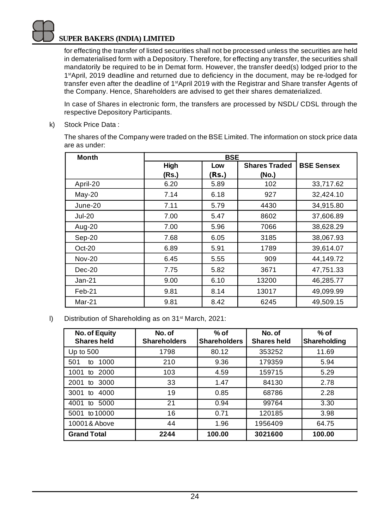for effecting the transfer of listed securities shall not be processed unless the securities are held in dematerialised form with a Depository. Therefore, for effecting any transfer, the securities shall mandatorily be required to be in Demat form. However, the transfer deed(s) lodged prior to the 1<sup>st</sup>April, 2019 deadline and returned due to deficiency in the document, may be re-lodged for transfer even after the deadline of 1<sup>st</sup>April 2019 with the Registrar and Share transfer Agents of the Company. Hence, Shareholders are advised to get their shares dematerialized.

In case of Shares in electronic form, the transfers are processed by NSDL/ CDSL through the respective Depository Participants.

k) Stock Price Data :

The shares of the Company were traded on the BSE Limited. The information on stock price data are as under:

| <b>Month</b>  |       |       |                      |                   |
|---------------|-------|-------|----------------------|-------------------|
|               | High  | Low   | <b>Shares Traded</b> | <b>BSE Sensex</b> |
|               | (Rs.) | (Rs.) | (No.)                |                   |
| April-20      | 6.20  | 5.89  | 102                  | 33,717.62         |
| $May-20$      | 7.14  | 6.18  | 927                  | 32,424.10         |
| June-20       | 7.11  | 5.79  | 4430                 | 34,915.80         |
| <b>Jul-20</b> | 7.00  | 5.47  | 8602                 | 37,606.89         |
| Aug-20        | 7.00  | 5.96  | 7066                 | 38,628.29         |
| Sep-20        | 7.68  | 6.05  | 3185                 | 38,067.93         |
| $Oct-20$      | 6.89  | 5.91  | 1789                 | 39,614.07         |
| <b>Nov-20</b> | 6.45  | 5.55  | 909                  | 44,149.72         |
| $Dec-20$      | 7.75  | 5.82  | 3671                 | 47,751.33         |
| $Jan-21$      | 9.00  | 6.10  | 13200                | 46,285.77         |
| Feb-21        | 9.81  | 8.14  | 13017                | 49,099.99         |
| Mar-21        | 9.81  | 8.42  | 6245                 | 49.509.15         |

l) Distribution of Shareholding as on 31st March, 2021:

| No. of Equity<br><b>Shares held</b> | No. of<br><b>Shareholders</b> | % of<br><b>Shareholders</b> | No. of<br><b>Shares held</b> | $%$ of<br>Shareholding |
|-------------------------------------|-------------------------------|-----------------------------|------------------------------|------------------------|
| Up to $500$                         | 1798                          | 80.12                       | 353252                       | 11.69                  |
| 501<br>1000<br>to                   | 210                           | 9.36                        | 179359                       | 5.94                   |
| $1001$ to<br>2000                   | 103                           | 4.59                        | 159715                       | 5.29                   |
| 3000<br>2001<br>to                  | 33                            | 1.47                        | 84130                        | 2.78                   |
| 4000<br>3001<br>to                  | 19                            | 0.85                        | 68786                        | 2.28                   |
| 5000<br>4001<br>to                  | 21                            | 0.94                        | 99764                        | 3.30                   |
| to 10000<br>5001                    | 16                            | 0.71                        | 120185                       | 3.98                   |
| 10001& Above                        | 44                            | 1.96                        | 1956409                      | 64.75                  |
| <b>Grand Total</b>                  | 2244                          | 100.00                      | 3021600                      | 100.00                 |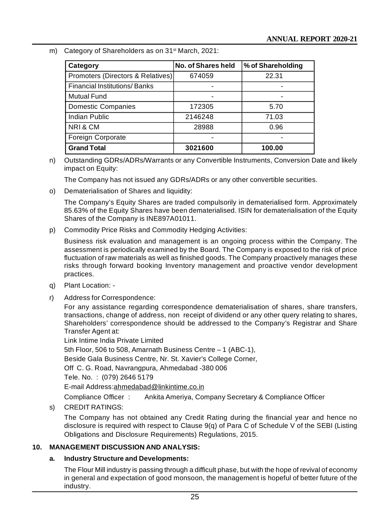m) Category of Shareholders as on 31<sup>st</sup> March, 2021:

| Category                            | No. of Shares held | % of Shareholding |  |
|-------------------------------------|--------------------|-------------------|--|
| Promoters (Directors & Relatives)   | 674059             | 22.31             |  |
| <b>Financial Institutions/Banks</b> |                    |                   |  |
| <b>Mutual Fund</b>                  |                    |                   |  |
| <b>Domestic Companies</b>           | 172305             | 5.70              |  |
| Indian Public                       | 2146248            | 71.03             |  |
| NRI&CM                              | 28988              | 0.96              |  |
| Foreign Corporate                   |                    |                   |  |
| <b>Grand Total</b>                  | 3021600            | 100.00            |  |

n) Outstanding GDRs/ADRs/Warrants or any Convertible Instruments, Conversion Date and likely impact on Equity:

The Company has not issued any GDRs/ADRs or any other convertible securities.

o) Dematerialisation of Shares and liquidity:

The Company's Equity Shares are traded compulsorily in dematerialised form. Approximately 85.63% of the Equity Shares have been dematerialised. ISIN for dematerialisation of the Equity Shares of the Company is INE897A01011.

p) Commodity Price Risks and Commodity Hedging Activities:

Business risk evaluation and management is an ongoing process within the Company. The assessment is periodically examined by the Board. The Company is exposed to the risk of price fluctuation of raw materials as well as finished goods. The Company proactively manages these risks through forward booking Inventory management and proactive vendor development practices.

- q) Plant Location: -
- r) Address for Correspondence:

For any assistance regarding correspondence dematerialisation of shares, share transfers, transactions, change of address, non receipt of dividend or any other query relating to shares, Shareholders' correspondence should be addressed to the Company's Registrar and Share Transfer Agent at:

Link Intime India Private Limited 5th Floor, 506 to 508, Amarnath Business Centre – 1 (ABC-1), Beside Gala Business Centre, Nr. St. Xavier's College Corner, Off C. G. Road, Navrangpura, Ahmedabad -380 006 Tele. No. : (079) 2646 5179 E-mail [Address:ahmedabad@linkintime.co.in](mailto:Address:ahmedabad@linkintime.co.in)

Compliance Officer : Ankita Ameriya, Company Secretary & Compliance Officer

s) CREDIT RATINGS:

The Company has not obtained any Credit Rating during the financial year and hence no disclosure is required with respect to Clause 9(q) of Para C of Schedule V of the SEBI (Listing Obligations and Disclosure Requirements) Regulations, 2015.

## **10. MANAGEMENT DISCUSSION AND ANALYSIS:**

## **a. Industry Structure and Developments:**

The Flour Mill industry is passing through a difficult phase, but with the hope of revival of economy in general and expectation of good monsoon, the management is hopeful of better future of the industry.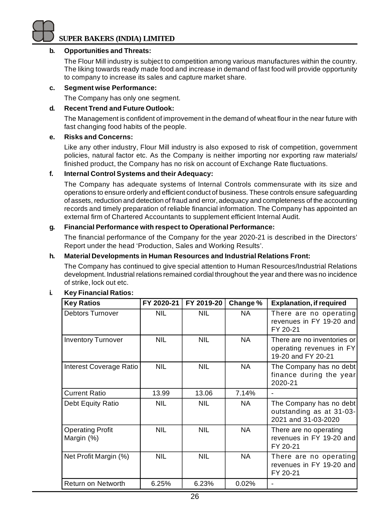#### **b. Opportunities and Threats:**

The Flour Mill industry is subject to competition among various manufactures within the country. The liking towards ready made food and increase in demand of fast food will provide opportunity to company to increase its sales and capture market share.

#### **c. Segment wise Performance:**

The Company has only one segment.

#### **d. Recent Trend and Future Outlook:**

The Management is confident of improvement in the demand of wheat flour in the near future with fast changing food habits of the people.

#### **e. Risks and Concerns:**

Like any other industry, Flour Mill industry is also exposed to risk of competition, government policies, natural factor etc. As the Company is neither importing nor exporting raw materials/ finished product, the Company has no risk on account of Exchange Rate fluctuations.

#### **f. Internal Control Systems and their Adequacy:**

The Company has adequate systems of Internal Controls commensurate with its size and operations to ensure orderly and efficient conduct of business. These controls ensure safeguarding of assets, reduction and detection of fraud and error, adequacy and completeness of the accounting records and timely preparation of reliable financial information. The Company has appointed an external firm of Chartered Accountants to supplement efficient Internal Audit.

## **g. Financial Performance with respect to Operational Performance:**

The financial performance of the Company for the year 2020-21 is described in the Directors' Report under the head 'Production, Sales and Working Results'.

#### **h. Material Developments in Human Resources and Industrial Relations Front:**

The Company has continued to give special attention to Human Resources/Industrial Relations development. Industrial relations remained cordial throughout the year and there was no incidence of strike, lock out etc.

| <b>Key Ratios</b>                     | FY 2020-21 | FY 2019-20 | Change %  | <b>Explanation, if required</b>                                               |
|---------------------------------------|------------|------------|-----------|-------------------------------------------------------------------------------|
| <b>Debtors Turnover</b>               | NIL        | NIL        | NA.       | There are no operating<br>revenues in FY 19-20 and<br>FY 20-21                |
| <b>Inventory Turnover</b>             | NIL.       | <b>NIL</b> | NA        | There are no inventories or<br>operating revenues in FY<br>19-20 and FY 20-21 |
| Interest Coverage Ratio               | NIL        | <b>NIL</b> | <b>NA</b> | The Company has no debt<br>finance during the year<br>2020-21                 |
| <b>Current Ratio</b>                  | 13.99      | 13.06      | 7.14%     |                                                                               |
| Debt Equity Ratio                     | NIL        | <b>NIL</b> | NA.       | The Company has no debt<br>outstanding as at 31-03-<br>2021 and 31-03-2020    |
| <b>Operating Profit</b><br>Margin (%) | NIL        | <b>NIL</b> | NA.       | There are no operating<br>revenues in FY 19-20 and<br>FY 20-21                |
| Net Profit Margin (%)                 | NIL.       | <b>NIL</b> | NA.       | There are no operating<br>revenues in FY 19-20 and<br>FY 20-21                |
| Return on Networth                    | 6.25%      | 6.23%      | 0.02%     |                                                                               |

## **i. Key Financial Ratios:**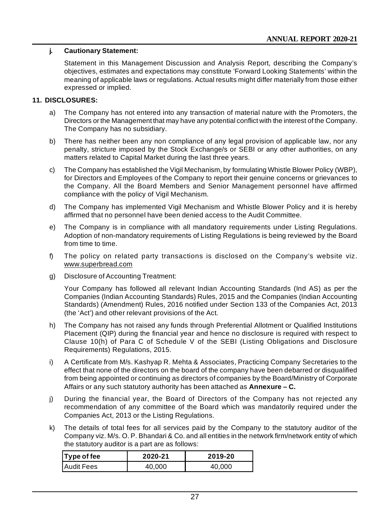## **j. Cautionary Statement:**

Statement in this Management Discussion and Analysis Report, describing the Company's objectives, estimates and expectations may constitute 'Forward Looking Statements' within the meaning of applicable laws or regulations. Actual results might differ materially from those either expressed or implied.

#### **11. DISCLOSURES:**

- a) The Company has not entered into any transaction of material nature with the Promoters, the Directors or the Management that may have any potential conflict with the interest of the Company. The Company has no subsidiary.
- b) There has neither been any non compliance of any legal provision of applicable law, nor any penalty, stricture imposed by the Stock Exchange/s or SEBI or any other authorities, on any matters related to Capital Market during the last three years.
- c) The Company has established the Vigil Mechanism, by formulating Whistle Blower Policy (WBP), for Directors and Employees of the Company to report their genuine concerns or grievances to the Company. All the Board Members and Senior Management personnel have affirmed compliance with the policy of Vigil Mechanism.
- d) The Company has implemented Vigil Mechanism and Whistle Blower Policy and it is hereby affirmed that no personnel have been denied access to the Audit Committee.
- e) The Company is in compliance with all mandatory requirements under Listing Regulations. Adoption of non-mandatory requirements of Listing Regulations is being reviewed by the Board from time to time.
- f) The policy on related party transactions is disclosed on the Company's website viz. [www.superbread.com](http://www.superbread.com)
- g) Disclosure of Accounting Treatment:

Your Company has followed all relevant Indian Accounting Standards (Ind AS) as per the Companies (Indian Accounting Standards) Rules, 2015 and the Companies (Indian Accounting Standards) (Amendment) Rules, 2016 notified under Section 133 of the Companies Act, 2013 (the 'Act') and other relevant provisions of the Act.

- h) The Company has not raised any funds through Preferential Allotment or Qualified Institutions Placement (QIP) during the financial year and hence no disclosure is required with respect to Clause 10(h) of Para C of Schedule V of the SEBI (Listing Obligations and Disclosure Requirements) Regulations, 2015.
- i) A Certificate from M/s. Kashyap R. Mehta & Associates, Practicing Company Secretaries to the effect that none of the directors on the board of the company have been debarred or disqualified from being appointed or continuing as directors of companies by the Board/Ministry of Corporate Affairs or any such statutory authority has been attached as **Annexure – C.**
- j) During the financial year, the Board of Directors of the Company has not rejected any recommendation of any committee of the Board which was mandatorily required under the Companies Act, 2013 or the Listing Regulations.
- k) The details of total fees for all services paid by the Company to the statutory auditor of the Company viz. M/s. O. P. Bhandari & Co. and all entities in the network firm/network entity of which the statutory auditor is a part are as follows:

| Type of fee       | 2020-21 | 2019-20 |
|-------------------|---------|---------|
| <b>Audit Fees</b> | 40.000  | 40.000  |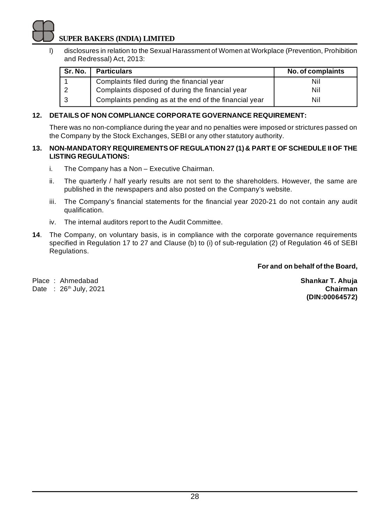l) disclosures in relation to the Sexual Harassment of Women at Workplace (Prevention, Prohibition and Redressal) Act, 2013:

| Sr. No. | <b>Particulars</b>                                     | No. of complaints |
|---------|--------------------------------------------------------|-------------------|
|         | Complaints filed during the financial year             | Nil               |
|         | Complaints disposed of during the financial year       | Nil               |
|         | Complaints pending as at the end of the financial year | Nil               |

## **12. DETAILS OF NON COMPLIANCE CORPORATE GOVERNANCE REQUIREMENT:**

There was no non-compliance during the year and no penalties were imposed or strictures passed on the Company by the Stock Exchanges, SEBI or any other statutory authority.

#### **13. NON-MANDATORY REQUIREMENTS OF REGULATION 27 (1) & PART E OF SCHEDULE II OF THE LISTING REGULATIONS:**

- i. The Company has a Non Executive Chairman.
- ii. The quarterly / half yearly results are not sent to the shareholders. However, the same are published in the newspapers and also posted on the Company's website.
- iii. The Company's financial statements for the financial year 2020-21 do not contain any audit qualification.
- iv. The internal auditors report to the Audit Committee.
- **14**. The Company, on voluntary basis, is in compliance with the corporate governance requirements specified in Regulation 17 to 27 and Clause (b) to (i) of sub-regulation (2) of Regulation 46 of SEBI Regulations.

**For and on behalf of the Board,**

Place : Ahmedabad **Shankar T. Ahuja** Date : 26th July, 2021 **Chairman**

**(DIN:00064572)**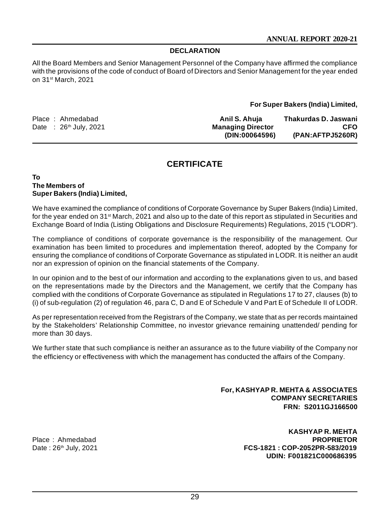## **DECLARATION**

All the Board Members and Senior Management Personnel of the Company have affirmed the compliance with the provisions of the code of conduct of Board of Directors and Senior Management for the year ended on 31st March, 2021

#### **For Super Bakers (India) Limited,**

| Place: Ahmedabad         | Anil S. Ahuia            | Thakurdas D. Jaswani |
|--------------------------|--------------------------|----------------------|
| Date : $26th$ July, 2021 | <b>Managing Director</b> | <b>CFO</b>           |
|                          | (DIN:00064596)           | (PAN:AFTPJ5260R)     |

## **CERTIFICATE**

#### **To The Members of Super Bakers (India) Limited,**

We have examined the compliance of conditions of Corporate Governance by Super Bakers (India) Limited, for the year ended on 31st March, 2021 and also up to the date of this report as stipulated in Securities and Exchange Board of India (Listing Obligations and Disclosure Requirements) Regulations, 2015 ("LODR").

The compliance of conditions of corporate governance is the responsibility of the management. Our examination has been limited to procedures and implementation thereof, adopted by the Company for ensuring the compliance of conditions of Corporate Governance as stipulated in LODR. It is neither an audit nor an expression of opinion on the financial statements of the Company.

In our opinion and to the best of our information and according to the explanations given to us, and based on the representations made by the Directors and the Management, we certify that the Company has complied with the conditions of Corporate Governance as stipulated in Regulations 17 to 27, clauses (b) to (i) of sub-regulation (2) of regulation 46, para C, D and E of Schedule V and Part E of Schedule II of LODR.

As per representation received from the Registrars of the Company, we state that as per records maintained by the Stakeholders' Relationship Committee, no investor grievance remaining unattended/ pending for more than 30 days.

We further state that such compliance is neither an assurance as to the future viability of the Company nor the efficiency or effectiveness with which the management has conducted the affairs of the Company.

> **For, KASHYAP R. MEHTA & ASSOCIATES COMPANY SECRETARIES FRN: S2011GJ166500**

Place: Ahmedabad

**KASHYAP R. MEHTA** Date : 26th July, 2021 **FCS-1821 : COP-2052PR-583/2019 UDIN: F001821C000686395**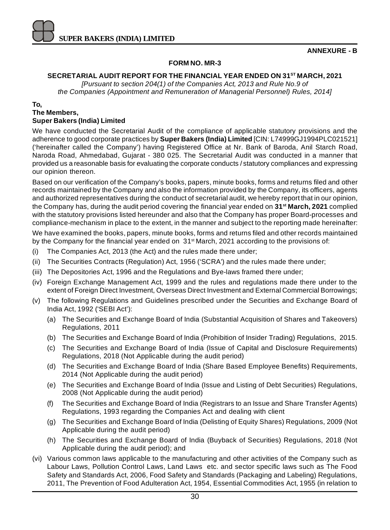

#### **ANNEXURE - B**

## **FORM NO. MR-3**

## **SECRETARIAL AUDIT REPORT FOR THE FINANCIAL YEAR ENDED ON 31ST MARCH, 2021**

*[Pursuant to section 204(1) of the Companies Act, 2013 and Rule No.9 of the Companies (Appointment and Remuneration of Managerial Personnel) Rules, 2014]*

#### **To,**

## **The Members,**

## **Super Bakers (India) Limited**

We have conducted the Secretarial Audit of the compliance of applicable statutory provisions and the adherence to good corporate practices by **Super Bakers (India) Limited** [CIN: L74999GJ1994PLC021521] ('hereinafter called the Company') having Registered Office at Nr. Bank of Baroda, Anil Starch Road, Naroda Road, Ahmedabad, Gujarat - 380 025. The Secretarial Audit was conducted in a manner that provided us a reasonable basis for evaluating the corporate conducts / statutory compliances and expressing our opinion thereon.

Based on our verification of the Company's books, papers, minute books, forms and returns filed and other records maintained by the Company and also the information provided by the Company, its officers, agents and authorized representatives during the conduct of secretarial audit, we hereby report that in our opinion, the Company has, during the audit period covering the financial year ended on **31st March, 2021** complied with the statutory provisions listed hereunder and also that the Company has proper Board-processes and compliance-mechanism in place to the extent, in the manner and subject to the reporting made hereinafter: We have examined the books, papers, minute books, forms and returns filed and other records maintained by the Company for the financial year ended on 31<sup>st</sup> March, 2021 according to the provisions of:

- (i) The Companies Act, 2013 (the Act) and the rules made there under;
- (ii) The Securities Contracts (Regulation) Act, 1956 ('SCRA') and the rules made there under;
- (iii) The Depositories Act, 1996 and the Regulations and Bye-laws framed there under;
- (iv) Foreign Exchange Management Act, 1999 and the rules and regulations made there under to the extent of Foreign Direct Investment, Overseas Direct Investment and External Commercial Borrowings;
- (v) The following Regulations and Guidelines prescribed under the Securities and Exchange Board of India Act, 1992 ('SEBI Act'):
	- (a) The Securities and Exchange Board of India (Substantial Acquisition of Shares and Takeovers) Regulations, 2011
	- (b) The Securities and Exchange Board of India (Prohibition of Insider Trading) Regulations, 2015.
	- (c) The Securities and Exchange Board of India (Issue of Capital and Disclosure Requirements) Regulations, 2018 (Not Applicable during the audit period)
	- (d) The Securities and Exchange Board of India (Share Based Employee Benefits) Requirements, 2014 (Not Applicable during the audit period)
	- (e) The Securities and Exchange Board of India (Issue and Listing of Debt Securities) Regulations, 2008 (Not Applicable during the audit period)
	- (f) The Securities and Exchange Board of India (Registrars to an Issue and Share Transfer Agents) Regulations, 1993 regarding the Companies Act and dealing with client
	- (g) The Securities and Exchange Board of India (Delisting of Equity Shares) Regulations, 2009 (Not Applicable during the audit period)
	- (h) The Securities and Exchange Board of India (Buyback of Securities) Regulations, 2018 (Not Applicable during the audit period); and
- (vi) Various common laws applicable to the manufacturing and other activities of the Company such as Labour Laws, Pollution Control Laws, Land Laws etc. and sector specific laws such as The Food Safety and Standards Act, 2006, Food Safety and Standards (Packaging and Labeling) Regulations, 2011, The Prevention of Food Adulteration Act, 1954, Essential Commodities Act, 1955 (in relation to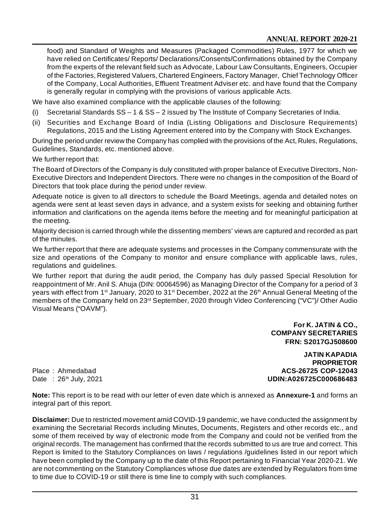food) and Standard of Weights and Measures (Packaged Commodities) Rules, 1977 for which we have relied on Certificates/ Reports/ Declarations/Consents/Confirmations obtained by the Company from the experts of the relevant field such as Advocate, Labour Law Consultants, Engineers, Occupier of the Factories, Registered Valuers, Chartered Engineers, Factory Manager, Chief Technology Officer of the Company, Local Authorities, Effluent Treatment Adviser etc. and have found that the Company is generally regular in complying with the provisions of various applicable Acts.

We have also examined compliance with the applicable clauses of the following:

- (i) Secretarial Standards SS 1 & SS 2 issued by The Institute of Company Secretaries of India.
- (ii) Securities and Exchange Board of India (Listing Obligations and Disclosure Requirements) Regulations, 2015 and the Listing Agreement entered into by the Company with Stock Exchanges.

During the period under review the Company has complied with the provisions of the Act, Rules, Regulations, Guidelines, Standards, etc. mentioned above.

We further report that:

The Board of Directors of the Company is duly constituted with proper balance of Executive Directors, Non-Executive Directors and Independent Directors. There were no changes in the composition of the Board of Directors that took place during the period under review.

Adequate notice is given to all directors to schedule the Board Meetings, agenda and detailed notes on agenda were sent at least seven days in advance, and a system exists for seeking and obtaining further information and clarifications on the agenda items before the meeting and for meaningful participation at the meeting.

Majority decision is carried through while the dissenting members' views are captured and recorded as part of the minutes.

We further report that there are adequate systems and processes in the Company commensurate with the size and operations of the Company to monitor and ensure compliance with applicable laws, rules, regulations and guidelines.

We further report that during the audit period, the Company has duly passed Special Resolution for reappointment of Mr. Anil S. Ahuja (DIN: 00064596) as Managing Director of the Company for a period of 3 years with effect from 1<sup>st</sup> January, 2020 to 31<sup>st</sup> December, 2022 at the 26<sup>th</sup> Annual General Meeting of the members of the Company held on 23<sup>rd</sup> September, 2020 through Video Conferencing ("VC")/ Other Audio Visual Means ("OAVM").

> **For K. JATIN & CO., COMPANY SECRETARIES FRN: S2017GJ508600**

**JATIN KAPADIA PROPRIETOR** Place : Ahmedabad **ACS-26725 COP-12043** Date : 26th July, 2021 **UDIN:A026725C000686483**

**Note:** This report is to be read with our letter of even date which is annexed as **Annexure-1** and forms an integral part of this report.

**Disclaimer:** Due to restricted movement amid COVID-19 pandemic, we have conducted the assignment by examining the Secretarial Records including Minutes, Documents, Registers and other records etc., and some of them received by way of electronic mode from the Company and could not be verified from the original records. The management has confirmed that the records submitted to us are true and correct. This Report is limited to the Statutory Compliances on laws / regulations /guidelines listed in our report which have been complied by the Company up to the date of this Report pertaining to Financial Year 2020-21. We are not commenting on the Statutory Compliances whose due dates are extended by Regulators from time to time due to COVID-19 or still there is time line to comply with such compliances.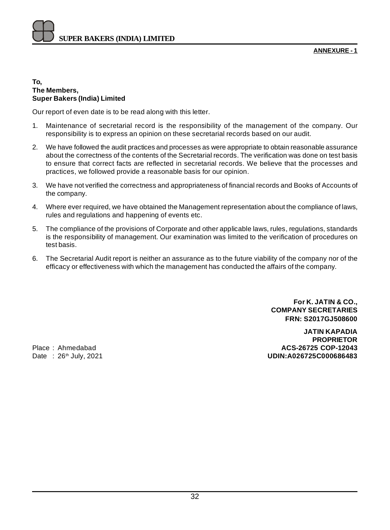**ANNEXURE - 1**

#### **To, The Members, Super Bakers (India) Limited**

Our report of even date is to be read along with this letter.

- 1. Maintenance of secretarial record is the responsibility of the management of the company. Our responsibility is to express an opinion on these secretarial records based on our audit.
- 2. We have followed the audit practices and processes as were appropriate to obtain reasonable assurance about the correctness of the contents of the Secretarial records. The verification was done on test basis to ensure that correct facts are reflected in secretarial records. We believe that the processes and practices, we followed provide a reasonable basis for our opinion.
- 3. We have not verified the correctness and appropriateness of financial records and Books of Accounts of the company.
- 4. Where ever required, we have obtained the Management representation about the compliance of laws, rules and regulations and happening of events etc.
- 5. The compliance of the provisions of Corporate and other applicable laws, rules, regulations, standards is the responsibility of management. Our examination was limited to the verification of procedures on test basis.
- 6. The Secretarial Audit report is neither an assurance as to the future viability of the company nor of the efficacy or effectiveness with which the management has conducted the affairs of the company.

**For K. JATIN & CO., COMPANY SECRETARIES FRN: S2017GJ508600**

**JATIN KAPADIA PROPRIETOR** Place : Ahmedabad **ACS-26725 COP-12043** Date : 26th July, 2021 **UDIN:A026725C000686483**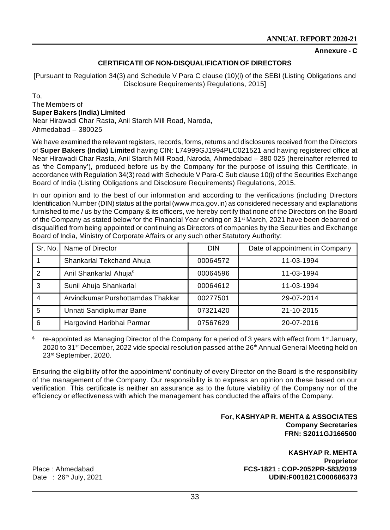#### **Annexure - C**

#### **CERTIFICATE OF NON-DISQUALIFICATION OF DIRECTORS**

[Pursuant to Regulation 34(3) and Schedule V Para C clause (10)(i) of the SEBI (Listing Obligations and Disclosure Requirements) Regulations, 2015]

To, The Members of **Super Bakers (India) Limited** Near Hirawadi Char Rasta, Anil Starch Mill Road, Naroda, Ahmedabad – 380025

We have examined the relevant registers, records, forms, returns and disclosures received from the Directors of **Super Bakers (India) Limited** having CIN: L74999GJ1994PLC021521 and having registered office at Near Hirawadi Char Rasta, Anil Starch Mill Road, Naroda, Ahmedabad – 380 025 (hereinafter referred to as 'the Company'), produced before us by the Company for the purpose of issuing this Certificate, in accordance with Regulation 34(3) read with Schedule V Para-C Sub clause 10(i) of the Securities Exchange Board of India (Listing Obligations and Disclosure Requirements) Regulations, 2015.

In our opinion and to the best of our information and according to the verifications (including Directors Identification Number (DIN) status at the portal ([www.mca.gov.in\)](http://www.mca.gov.in)) as considered necessary and explanations furnished to me / us by the Company & its officers, we hereby certify that none of the Directors on the Board of the Company as stated below for the Financial Year ending on 31<sup>st</sup> March, 2021 have been debarred or disqualified from being appointed or continuing as Directors of companies by the Securities and Exchange Board of India, Ministry of Corporate Affairs or any such other Statutory Authority:

| Sr. No. I | Name of Director                    | <b>DIN</b> | Date of appointment in Company |
|-----------|-------------------------------------|------------|--------------------------------|
|           | Shankarlal Tekchand Ahuja           | 00064572   | 11-03-1994                     |
| 2         | Anil Shankarlal Ahuja <sup>\$</sup> | 00064596   | 11-03-1994                     |
| 3         | Sunil Ahuja Shankarlal              | 00064612   | 11-03-1994                     |
| 4         | Arvindkumar Purshottamdas Thakkar   | 00277501   | 29-07-2014                     |
| 5         | Unnati Sandipkumar Bane             | 07321420   | 21-10-2015                     |
| 6         | Hargovind Haribhai Parmar           | 07567629   | 20-07-2016                     |

\$ re-appointed as Managing Director of the Company for a period of 3 years with effect from 1<sup>st</sup> January, 2020 to 31<sup>st</sup> December, 2022 vide special resolution passed at the 26<sup>th</sup> Annual General Meeting held on 23rd September, 2020.

Ensuring the eligibility of for the appointment/ continuity of every Director on the Board is the responsibility of the management of the Company. Our responsibility is to express an opinion on these based on our verification. This certificate is neither an assurance as to the future viability of the Company nor of the efficiency or effectiveness with which the management has conducted the affairs of the Company.

#### **For, KASHYAP R. MEHTA & ASSOCIATES Company Secretaries FRN: S2011GJ166500**

**KASHYAP R. MEHTA Proprietor** Place : Ahmedabad **FCS-1821 : COP-2052PR-583/2019** Date : 26th July, 2021 **UDIN:F001821C000686373**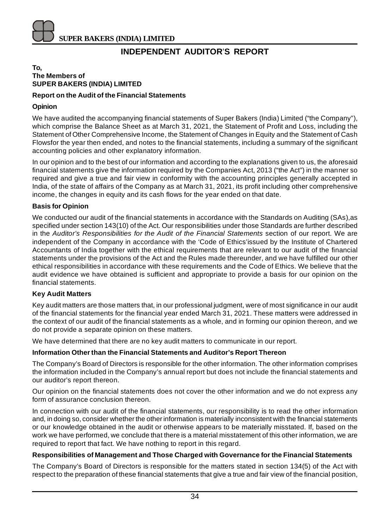

## **INDEPENDENT AUDITOR**'**S REPORT**

#### **To, The Members of SUPER BAKERS (INDIA) LIMITED**

## **Report on the Audit of the Financial Statements**

## **Opinion**

We have audited the accompanying financial statements of Super Bakers (India) Limited ("the Company"), which comprise the Balance Sheet as at March 31, 2021, the Statement of Profit and Loss, including the Statement of Other Comprehensive Income, the Statement of Changes in Equity and the Statement of Cash Flowsfor the year then ended, and notes to the financial statements, including a summary of the significant accounting policies and other explanatory information.

In our opinion and to the best of our information and according to the explanations given to us, the aforesaid financial statements give the information required by the Companies Act, 2013 ("the Act") in the manner so required and give a true and fair view in conformity with the accounting principles generally accepted in India, of the state of affairs of the Company as at March 31, 2021, its profit including other comprehensive income, the changes in equity and its cash flows for the year ended on that date.

#### **Basis for Opinion**

We conducted our audit of the financial statements in accordance with the Standards on Auditing (SAs),as specified under section 143(10) of the Act. Our responsibilities under those Standards are further described in the *Auditor's Responsibilities for the Audit of the Financial Statements* section of our report. We are independent of the Company in accordance with the 'Code of Ethics'issued by the Institute of Chartered Accountants of India together with the ethical requirements that are relevant to our audit of the financial statements under the provisions of the Act and the Rules made thereunder, and we have fulfilled our other ethical responsibilities in accordance with these requirements and the Code of Ethics. We believe that the audit evidence we have obtained is sufficient and appropriate to provide a basis for our opinion on the financial statements.

## **Key Audit Matters**

Key audit matters are those matters that, in our professional judgment, were of most significance in our audit of the financial statements for the financial year ended March 31, 2021. These matters were addressed in the context of our audit of the financial statements as a whole, and in forming our opinion thereon, and we do not provide a separate opinion on these matters.

We have determined that there are no key audit matters to communicate in our report.

## **Information Other than the Financial Statements and Auditor's Report Thereon**

The Company's Board of Directors is responsible for the other information. The other information comprises the information included in the Company's annual report but does not include the financial statements and our auditor's report thereon.

Our opinion on the financial statements does not cover the other information and we do not express any form of assurance conclusion thereon.

In connection with our audit of the financial statements, our responsibility is to read the other information and, in doing so, consider whether the other information is materially inconsistent with the financial statements or our knowledge obtained in the audit or otherwise appears to be materially misstated. If, based on the work we have performed, we conclude that there is a material misstatement of this other information, we are required to report that fact. We have nothing to report in this regard.

## **Responsibilities of Management and Those Charged with Governance for the Financial Statements**

The Company's Board of Directors is responsible for the matters stated in section 134(5) of the Act with respect to the preparation of these financial statements that give a true and fair view of the financial position,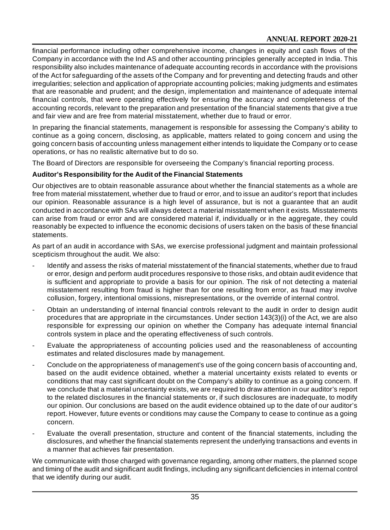financial performance including other comprehensive income, changes in equity and cash flows of the Company in accordance with the Ind AS and other accounting principles generally accepted in India. This responsibility also includes maintenance of adequate accounting records in accordance with the provisions of the Act for safeguarding of the assets of the Company and for preventing and detecting frauds and other irregularities; selection and application of appropriate accounting policies; making judgments and estimates that are reasonable and prudent; and the design, implementation and maintenance of adequate internal financial controls, that were operating effectively for ensuring the accuracy and completeness of the accounting records, relevant to the preparation and presentation of the financial statements that give a true and fair view and are free from material misstatement, whether due to fraud or error.

In preparing the financial statements, management is responsible for assessing the Company's ability to continue as a going concern, disclosing, as applicable, matters related to going concern and using the going concern basis of accounting unless management either intends to liquidate the Company or to cease operations, or has no realistic alternative but to do so.

The Board of Directors are responsible for overseeing the Company's financial reporting process.

## **Auditor's Responsibility for the Audit of the Financial Statements**

Our objectives are to obtain reasonable assurance about whether the financial statements as a whole are free from material misstatement, whether due to fraud or error, and to issue an auditor's report that includes our opinion. Reasonable assurance is a high level of assurance, but is not a guarantee that an audit conducted in accordance with SAs will always detect a material misstatement when it exists. Misstatements can arise from fraud or error and are considered material if, individually or in the aggregate, they could reasonably be expected to influence the economic decisions of users taken on the basis of these financial statements.

As part of an audit in accordance with SAs, we exercise professional judgment and maintain professional scepticism throughout the audit. We also:

- Identify and assess the risks of material misstatement of the financial statements, whether due to fraud or error, design and perform audit procedures responsive to those risks, and obtain audit evidence that is sufficient and appropriate to provide a basis for our opinion. The risk of not detecting a material misstatement resulting from fraud is higher than for one resulting from error, as fraud may involve collusion, forgery, intentional omissions, misrepresentations, or the override of internal control.
- Obtain an understanding of internal financial controls relevant to the audit in order to design audit procedures that are appropriate in the circumstances. Under section 143(3)(i) of the Act, we are also responsible for expressing our opinion on whether the Company has adequate internal financial controls system in place and the operating effectiveness of such controls.
- Evaluate the appropriateness of accounting policies used and the reasonableness of accounting estimates and related disclosures made by management.
- Conclude on the appropriateness of management's use of the going concern basis of accounting and, based on the audit evidence obtained, whether a material uncertainty exists related to events or conditions that may cast significant doubt on the Company's ability to continue as a going concern. If we conclude that a material uncertainty exists, we are required to draw attention in our auditor's report to the related disclosures in the financial statements or, if such disclosures are inadequate, to modify our opinion. Our conclusions are based on the audit evidence obtained up to the date of our auditor's report. However, future events or conditions may cause the Company to cease to continue as a going concern.
- Evaluate the overall presentation, structure and content of the financial statements, including the disclosures, and whether the financial statements represent the underlying transactions and events in a manner that achieves fair presentation.

We communicate with those charged with governance regarding, among other matters, the planned scope and timing of the audit and significant audit findings, including any significant deficiencies in internal control that we identify during our audit.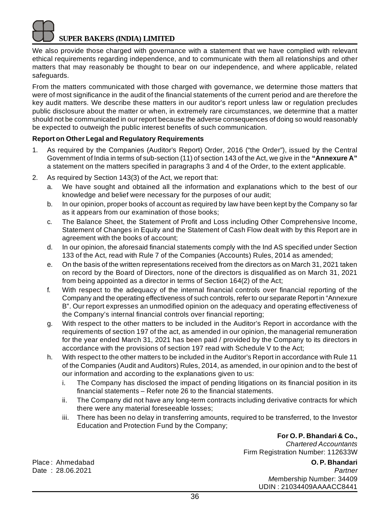We also provide those charged with governance with a statement that we have complied with relevant ethical requirements regarding independence, and to communicate with them all relationships and other matters that may reasonably be thought to bear on our independence, and where applicable, related safeguards.

From the matters communicated with those charged with governance, we determine those matters that were of most significance in the audit of the financial statements of the current period and are therefore the key audit matters. We describe these matters in our auditor's report unless law or regulation precludes public disclosure about the matter or when, in extremely rare circumstances, we determine that a matter should not be communicated in our report because the adverse consequences of doing so would reasonably be expected to outweigh the public interest benefits of such communication.

## **Report on Other Legal and Regulatory Requirements**

- 1. As required by the Companies (Auditor's Report) Order, 2016 ("the Order"), issued by the Central Government of India in terms of sub-section (11) of section 143 of the Act, we give in the **"Annexure A"** a statement on the matters specified in paragraphs 3 and 4 of the Order, to the extent applicable.
- 2. As required by Section 143(3) of the Act, we report that:
	- a. We have sought and obtained all the information and explanations which to the best of our knowledge and belief were necessary for the purposes of our audit;
	- b. In our opinion, proper books of account as required by law have been kept by the Company so far as it appears from our examination of those books;
	- c. The Balance Sheet, the Statement of Profit and Loss including Other Comprehensive Income, Statement of Changes in Equity and the Statement of Cash Flow dealt with by this Report are in agreement with the books of account;
	- d. In our opinion, the aforesaid financial statements comply with the Ind AS specified under Section 133 of the Act, read with Rule 7 of the Companies (Accounts) Rules, 2014 as amended;
	- e. On the basis of the written representations received from the directors as on March 31, 2021 taken on record by the Board of Directors, none of the directors is disqualified as on March 31, 2021 from being appointed as a director in terms of Section 164(2) of the Act;
	- f. With respect to the adequacy of the internal financial controls over financial reporting of the Company and the operating effectiveness of such controls, refer to our separate Report in "Annexure B". Our report expresses an unmodified opinion on the adequacy and operating effectiveness of the Company's internal financial controls over financial reporting;
	- g. With respect to the other matters to be included in the Auditor's Report in accordance with the requirements of section 197 of the act, as amended in our opinion, the managerial remuneration for the year ended March 31, 2021 has been paid / provided by the Company to its directors in accordance with the provisions of section 197 read with Schedule V to the Act;
	- h. With respect to the other matters to be included in the Auditor's Report in accordance with Rule 11 of the Companies (Audit and Auditors) Rules, 2014, as amended, in our opinion and to the best of our information and according to the explanations given to us:
		- i. The Company has disclosed the impact of pending litigations on its financial position in its financial statements – Refer note 26 to the financial statements.
		- ii. The Company did not have any long-term contracts including derivative contracts for which there were any material foreseeable losses;
		- iii. There has been no delay in transferring amounts, required to be transferred, to the Investor Education and Protection Fund by the Company;

**For O. P. Bhandari & Co.,** *Chartered Accountants* Firm Registration Number: 112633W

Place : Ahmedabad **O. P. Bhandari** Date : 28.06.2021 *Partner M*embership Number: 34409 UDIN : 21034409AAAACC8441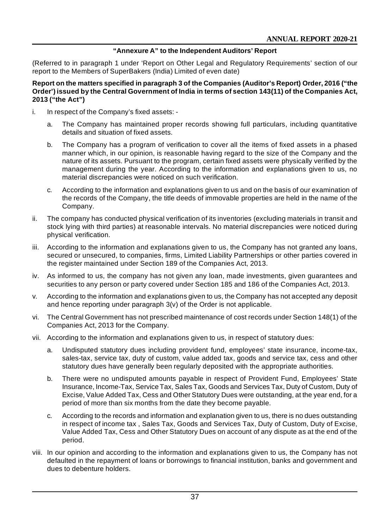## **"Annexure A" to the Independent Auditors' Report**

(Referred to in paragraph 1 under 'Report on Other Legal and Regulatory Requirements' section of our report to the Members of SuperBakers (India) Limited of even date)

#### **Report on the matters specified in paragraph 3 of the Companies (Auditor's Report) Order, 2016 ("the Order') issued by the Central Government of India in terms of section 143(11) of the Companies Act, 2013 ("the Act")**

- i. In respect of the Company's fixed assets:
	- a. The Company has maintained proper records showing full particulars, including quantitative details and situation of fixed assets.
	- b. The Company has a program of verification to cover all the items of fixed assets in a phased manner which, in our opinion, is reasonable having regard to the size of the Company and the nature of its assets. Pursuant to the program, certain fixed assets were physically verified by the management during the year. According to the information and explanations given to us, no material discrepancies were noticed on such verification.
	- c. According to the information and explanations given to us and on the basis of our examination of the records of the Company, the title deeds of immovable properties are held in the name of the Company.
- ii. The company has conducted physical verification of its inventories (excluding materials in transit and stock lying with third parties) at reasonable intervals. No material discrepancies were noticed during physical verification.
- iii. According to the information and explanations given to us, the Company has not granted any loans, secured or unsecured, to companies, firms, Limited Liability Partnerships or other parties covered in the register maintained under Section 189 of the Companies Act, 2013.
- iv. As informed to us, the company has not given any loan, made investments, given guarantees and securities to any person or party covered under Section 185 and 186 of the Companies Act, 2013.
- v. According to the information and explanations given to us, the Company has not accepted any deposit and hence reporting under paragraph 3(v) of the Order is not applicable.
- vi. The Central Government has not prescribed maintenance of cost records under Section 148(1) of the Companies Act, 2013 for the Company.
- vii. According to the information and explanations given to us, in respect of statutory dues:
	- a. Undisputed statutory dues including provident fund, employees' state insurance, income-tax, sales-tax, service tax, duty of custom, value added tax, goods and service tax, cess and other statutory dues have generally been regularly deposited with the appropriate authorities.
	- b. There were no undisputed amounts payable in respect of Provident Fund, Employees' State Insurance, Income-Tax, Service Tax, Sales Tax, Goods and Services Tax, Duty of Custom, Duty of Excise, Value Added Tax, Cess and Other Statutory Dues were outstanding, at the year end, for a period of more than six months from the date they become payable.
	- c. According to the records and information and explanation given to us, there is no dues outstanding in respect of income tax , Sales Tax, Goods and Services Tax, Duty of Custom, Duty of Excise, Value Added Tax, Cess and Other Statutory Dues on account of any dispute as at the end of the period.
- viii. In our opinion and according to the information and explanations given to us, the Company has not defaulted in the repayment of loans or borrowings to financial institution, banks and government and dues to debenture holders.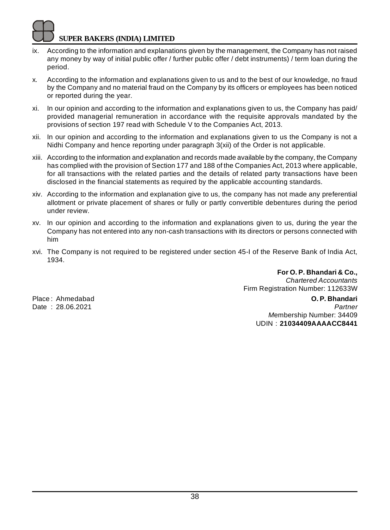- ix. According to the information and explanations given by the management, the Company has not raised any money by way of initial public offer / further public offer / debt instruments) / term loan during the period.
- x. According to the information and explanations given to us and to the best of our knowledge, no fraud by the Company and no material fraud on the Company by its officers or employees has been noticed or reported during the year.
- xi. In our opinion and according to the information and explanations given to us, the Company has paid/ provided managerial remuneration in accordance with the requisite approvals mandated by the provisions of section 197 read with Schedule V to the Companies Act, 2013.
- xii. In our opinion and according to the information and explanations given to us the Company is not a Nidhi Company and hence reporting under paragraph 3(xii) of the Order is not applicable.
- xiii. According to the information and explanation and records made available by the company, the Company has complied with the provision of Section 177 and 188 of the Companies Act, 2013 where applicable, for all transactions with the related parties and the details of related party transactions have been disclosed in the financial statements as required by the applicable accounting standards.
- xiv. According to the information and explanation give to us, the company has not made any preferential allotment or private placement of shares or fully or partly convertible debentures during the period under review.
- xv. In our opinion and according to the information and explanations given to us, during the year the Company has not entered into any non-cash transactions with its directors or persons connected with him
- xvi. The Company is not required to be registered under section 45-I of the Reserve Bank of India Act, 1934.

**For O. P. Bhandari & Co.,** *Chartered Accountants* Firm Registration Number: 112633W

Date: 28.06.2021

Place : Ahmedabad **O. P. Bhandari** *M*embership Number: 34409 UDIN : **21034409AAAACC8441**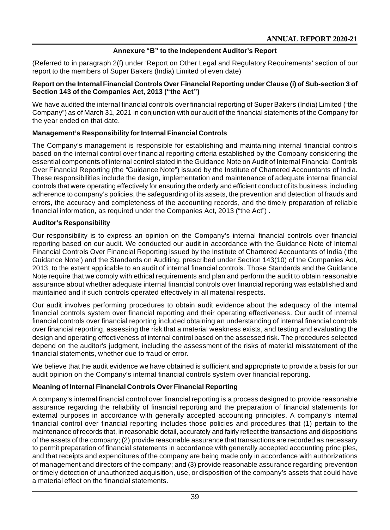## **Annexure "B" to the Independent Auditor's Report**

(Referred to in paragraph 2(f) under 'Report on Other Legal and Regulatory Requirements' section of our report to the members of Super Bakers (India) Limited of even date)

#### **Report on the Internal Financial Controls Over Financial Reporting under Clause (i) of Sub-section 3 of Section 143 of the Companies Act, 2013 ("the Act")**

We have audited the internal financial controls over financial reporting of Super Bakers (India) Limited ("the Company") as of March 31, 2021 in conjunction with our audit of the financial statements of the Company for the year ended on that date.

## **Management's Responsibility for Internal Financial Controls**

The Company's management is responsible for establishing and maintaining internal financial controls based on the internal control over financial reporting criteria established by the Company considering the essential components of internal control stated in the Guidance Note on Audit of Internal Financial Controls Over Financial Reporting (the "Guidance Note") issued by the Institute of Chartered Accountants of India. These responsibilities include the design, implementation and maintenance of adequate internal financial controls that were operating effectively for ensuring the orderly and efficient conduct of its business, including adherence to company's policies, the safeguarding of its assets, the prevention and detection of frauds and errors, the accuracy and completeness of the accounting records, and the timely preparation of reliable financial information, as required under the Companies Act, 2013 ("the Act") .

#### **Auditor's Responsibility**

Our responsibility is to express an opinion on the Company's internal financial controls over financial reporting based on our audit. We conducted our audit in accordance with the Guidance Note of Internal Financial Controls Over Financial Reporting issued by the Institute of Chartered Accountants of India ('the Guidance Note') and the Standards on Auditing, prescribed under Section 143(10) of the Companies Act, 2013, to the extent applicable to an audit of internal financial controls. Those Standards and the Guidance Note require that we comply with ethical requirements and plan and perform the audit to obtain reasonable assurance about whether adequate internal financial controls over financial reporting was established and maintained and if such controls operated effectively in all material respects.

Our audit involves performing procedures to obtain audit evidence about the adequacy of the internal financial controls system over financial reporting and their operating effectiveness. Our audit of internal financial controls over financial reporting included obtaining an understanding of internal financial controls over financial reporting, assessing the risk that a material weakness exists, and testing and evaluating the design and operating effectiveness of internal control based on the assessed risk. The procedures selected depend on the auditor's judgment, including the assessment of the risks of material misstatement of the financial statements, whether due to fraud or error.

We believe that the audit evidence we have obtained is sufficient and appropriate to provide a basis for our audit opinion on the Company's internal financial controls system over financial reporting.

## **Meaning of Internal Financial Controls Over Financial Reporting**

A company's internal financial control over financial reporting is a process designed to provide reasonable assurance regarding the reliability of financial reporting and the preparation of financial statements for external purposes in accordance with generally accepted accounting principles. A company's internal financial control over financial reporting includes those policies and procedures that (1) pertain to the maintenance of records that, in reasonable detail, accurately and fairly reflect the transactions and dispositions of the assets of the company; (2) provide reasonable assurance that transactions are recorded as necessary to permit preparation of financial statements in accordance with generally accepted accounting principles, and that receipts and expenditures of the company are being made only in accordance with authorizations of management and directors of the company; and (3) provide reasonable assurance regarding prevention or timely detection of unauthorized acquisition, use, or disposition of the company's assets that could have a material effect on the financial statements.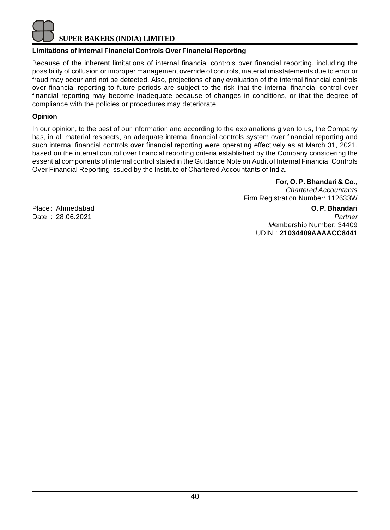

## **Limitations of Internal Financial Controls Over Financial Reporting**

Because of the inherent limitations of internal financial controls over financial reporting, including the possibility of collusion or improper management override of controls, material misstatements due to error or fraud may occur and not be detected. Also, projections of any evaluation of the internal financial controls over financial reporting to future periods are subject to the risk that the internal financial control over financial reporting may become inadequate because of changes in conditions, or that the degree of compliance with the policies or procedures may deteriorate.

#### **Opinion**

In our opinion, to the best of our information and according to the explanations given to us, the Company has, in all material respects, an adequate internal financial controls system over financial reporting and such internal financial controls over financial reporting were operating effectively as at March 31, 2021, based on the internal control over financial reporting criteria established by the Company considering the essential components of internal control stated in the Guidance Note on Audit of Internal Financial Controls Over Financial Reporting issued by the Institute of Chartered Accountants of India.

> **For, O. P. Bhandari & Co.,** *Chartered Accountants* Firm Registration Number: 112633W

Place : Ahmedabad **O. P. Bhandari**

Date : 28.06.2021 *Partner M*embership Number: 34409 UDIN : **21034409AAAACC8441**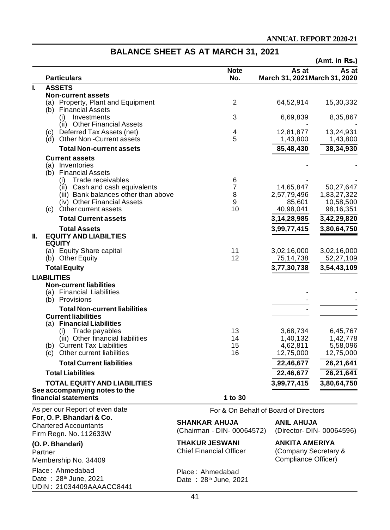UDIN : 21034409AAAACC8441

#### **(Amt. in Rs.) Note As at As at Particulars No. March 31, 2021March 31, 2020 I. ASSETS Non-current assets** (a) Property, Plant and Equipment 2 64,52,914 15,30,332 (b) Financial Assets<br>(i) Investments (i) Investments 3 6,69,839 8,35,867 (ii) Other Financial Assets - - (c) Deferred Tax Assets (net)  $\begin{array}{cccc} 4 & 12,81,877 & 13,24,931 \\ 2,81,877 & 13,24,931 \\ 3,24,931 & 5 & 1.43.800 & 1.43.800 \end{array}$ (d) Other Non -Current assets 5 1,43,800 1,43,800 **Total Non-current assets 85,48,430 38,34,930 Current assets** (a) Inventories (b) Financial Assets (i) Trade receivables 6 - - Cash and cash equivalents<br>
Bank balances other than above <br>
8 2,57,79,496 1,83,27,322 iii) Bank balances other than above 8 2,57,79,496 1,633,801 (iv) Other Financial Assets (iv) Other Financial Assets 6 85,601 10,58,500<br>Other current assets 6 85,601 10 40,98,041 98,16,351  $(c)$  Other current assets **Total Current assets 3,14,28,985 3,42,29,820 Total Assets 3,99,77,415 3,80,64,750 II. EQUITY AND LIABILTIES EQUITY** (a) Equity Share capital 11 3,02,16,000 3,02,16,000<br>
(b) Other Equity 12 75,14,738 52,27,109 (b) Other Equity **Total Equity 3,77,30,738 3,54,43,109 LIABILITIES Non-current liabilities** (a) Financial Liabilities  $(b)$  Provisions **Total Non-current liabilities Current liabilities** (a) **Financial Liabilities** (i) Trade payables 13 3,68,734 6,45,767 (iii) Other financial liabilities 14 1,40,132 1,42,778 (b) Current Tax Liabilities 15 4,62,811 5,58,096 (c) Other current liabilities 16 12,75,000 12,75,000 **Total Current liabilities 22,46,677 26,21,641 Total Liabilities 22,46,677 26,21,641 TOTAL EQUITY AND LIABILITIES 3,99,77,415 3,80,64,750 See accompanying notes to the financial statements 1 to 30** As per our Report of even date **For, O. P. Bhandari & Co.** Chartered Accountants Firm Regn. No. 112633W **(O. P. Bhandari)** Partner Membership No. 34409 Place : Ahmedabad Date  $: 28<sup>th</sup>$  June, 2021 For & On Behalf of Board of Directors **SHANKAR AHUJA ANIL AHUJA** (Chairman - DIN- 00064572) (Director- DIN- 00064596) **THAKUR JESWANI ANKITA AMERIYA** (Company Secretary & Compliance Officer) Place : Ahmedabad Date: 28<sup>th</sup> June, 2021

## **BALANCE SHEET AS AT MARCH 31, 2021**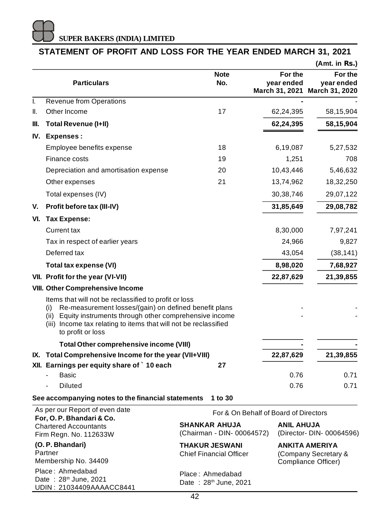## **STATEMENT OF PROFIT AND LOSS FOR THE YEAR ENDED MARCH 31, 2021**

|     |                                                                                                                                                                                                                                                                                 |                                                         |                                                               | (Amt. in Rs.)                                          |
|-----|---------------------------------------------------------------------------------------------------------------------------------------------------------------------------------------------------------------------------------------------------------------------------------|---------------------------------------------------------|---------------------------------------------------------------|--------------------------------------------------------|
|     | <b>Particulars</b>                                                                                                                                                                                                                                                              | <b>Note</b><br>No.                                      | For the<br>year ended                                         | For the<br>year ended<br>March 31, 2021 March 31, 2020 |
| I.  | <b>Revenue from Operations</b>                                                                                                                                                                                                                                                  |                                                         |                                                               |                                                        |
| II. | Other Income                                                                                                                                                                                                                                                                    | 17                                                      | 62,24,395                                                     | 58,15,904                                              |
| Ш.  | Total Revenue (I+II)                                                                                                                                                                                                                                                            |                                                         | 62,24,395                                                     | 58,15,904                                              |
|     | IV. Expenses:                                                                                                                                                                                                                                                                   |                                                         |                                                               |                                                        |
|     | Employee benefits expense                                                                                                                                                                                                                                                       | 18                                                      | 6,19,087                                                      | 5,27,532                                               |
|     | Finance costs                                                                                                                                                                                                                                                                   | 19                                                      | 1,251                                                         | 708                                                    |
|     | Depreciation and amortisation expense                                                                                                                                                                                                                                           | 20                                                      | 10,43,446                                                     | 5,46,632                                               |
|     | Other expenses                                                                                                                                                                                                                                                                  | 21                                                      | 13,74,962                                                     | 18,32,250                                              |
|     | Total expenses (IV)                                                                                                                                                                                                                                                             |                                                         | 30, 38, 746                                                   | 29,07,122                                              |
| V.  | Profit before tax (III-IV)                                                                                                                                                                                                                                                      |                                                         | 31,85,649                                                     | 29,08,782                                              |
|     | VI. Tax Expense:                                                                                                                                                                                                                                                                |                                                         |                                                               |                                                        |
|     | Current tax                                                                                                                                                                                                                                                                     |                                                         | 8,30,000                                                      | 7,97,241                                               |
|     | Tax in respect of earlier years                                                                                                                                                                                                                                                 |                                                         | 24,966                                                        | 9,827                                                  |
|     | Deferred tax                                                                                                                                                                                                                                                                    |                                                         | 43,054                                                        | (38, 141)                                              |
|     | Total tax expense (VI)                                                                                                                                                                                                                                                          |                                                         | 8,98,020                                                      | 7,68,927                                               |
|     | VII. Profit for the year (VI-VII)                                                                                                                                                                                                                                               |                                                         | 22,87,629                                                     | 21,39,855                                              |
|     | <b>VIII. Other Comprehensive Income</b>                                                                                                                                                                                                                                         |                                                         |                                                               |                                                        |
|     | Items that will not be reclassified to profit or loss<br>Re-measurement losses/(gain) on defined benefit plans<br>(i)<br>Equity instruments through other comprehensive income<br>(ii)<br>(iii) Income tax relating to items that will not be reclassified<br>to profit or loss |                                                         |                                                               |                                                        |
|     | Total Other comprehensive income (VIII)                                                                                                                                                                                                                                         |                                                         |                                                               |                                                        |
|     | IX. Total Comprehensive Income for the year (VII+VIII)                                                                                                                                                                                                                          |                                                         | 22,87,629                                                     | 21,39,855                                              |
|     | XII. Earnings per equity share of `10 each                                                                                                                                                                                                                                      | 27                                                      |                                                               |                                                        |
|     | <b>Basic</b>                                                                                                                                                                                                                                                                    |                                                         | 0.76                                                          | 0.71                                                   |
|     | <b>Diluted</b>                                                                                                                                                                                                                                                                  |                                                         | 0.76                                                          | 0.71                                                   |
|     | See accompanying notes to the financial statements                                                                                                                                                                                                                              | 1 to 30                                                 |                                                               |                                                        |
|     | As per our Report of even date<br>For, O. P. Bhandari & Co.                                                                                                                                                                                                                     | For & On Behalf of Board of Directors                   |                                                               |                                                        |
|     | <b>Chartered Accountants</b><br>Firm Regn. No. 112633W                                                                                                                                                                                                                          | <b>SHANKAR AHUJA</b><br>(Chairman - DIN- 00064572)      | ANIL AHUJA                                                    | (Director- DIN- 00064596)                              |
|     | (O. P. Bhandari)<br>Partner<br>Membership No. 34409                                                                                                                                                                                                                             | <b>THAKUR JESWANI</b><br><b>Chief Financial Officer</b> | ANKITA AMERIYA<br>(Company Secretary &<br>Compliance Officer) |                                                        |
|     | Place: Ahmedabad<br>Date: 28 <sup>th</sup> June, 2021<br>UDIN: 21034409AAAACC8441                                                                                                                                                                                               | Place: Ahmedabad<br>Date: 28 <sup>th</sup> June, 2021   |                                                               |                                                        |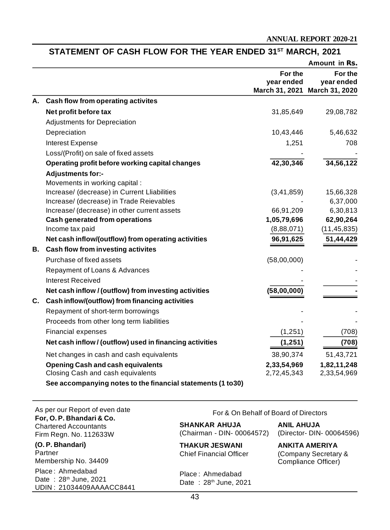## **STATEMENT OF CASH FLOW FOR THE YEAR ENDED 31ST MARCH, 2021**

|    |                                                              |                       | Amount in Rs.                 |
|----|--------------------------------------------------------------|-----------------------|-------------------------------|
|    |                                                              | For the<br>year ended | For the<br>year ended         |
|    |                                                              |                       | March 31, 2021 March 31, 2020 |
|    | A. Cash flow from operating activites                        |                       |                               |
|    | Net profit before tax                                        | 31,85,649             | 29,08,782                     |
|    | Adjustments for Depreciation                                 |                       |                               |
|    | Depreciation                                                 | 10,43,446             | 5,46,632                      |
|    | Interest Expense                                             | 1,251                 | 708                           |
|    | Loss/(Profit) on sale of fixed assets                        |                       |                               |
|    | Operating profit before working capital changes              | 42,30,346             | 34,56,122                     |
|    | Adjustments for:-                                            |                       |                               |
|    | Movements in working capital :                               |                       |                               |
|    | Increase/ (decrease) in Current Lliabilities                 | (3, 41, 859)          | 15,66,328                     |
|    | Increase/ (decrease) in Trade Reievables                     |                       | 6,37,000                      |
|    | Increase/ (decrease) in other current assets                 | 66,91,209             | 6,30,813                      |
|    | <b>Cash generated from operations</b>                        | 1,05,79,696           | 62,90,264                     |
|    | Income tax paid                                              | (8,88,071)            | (11, 45, 835)                 |
|    | Net cash inflow/(outflow) from operating activities          | 96,91,625             | 51,44,429                     |
| В. | Cash flow from investing activites                           |                       |                               |
|    | Purchase of fixed assets                                     | (58,00,000)           |                               |
|    | Repayment of Loans & Advances                                |                       |                               |
|    | <b>Interest Received</b>                                     |                       |                               |
|    | Net cash inflow / (outflow) from investing activities        | (58,00,000)           |                               |
| C. | Cash inflow/(outflow) from financing activities              |                       |                               |
|    | Repayment of short-term borrowings                           |                       |                               |
|    | Proceeds from other long term liabilities                    |                       |                               |
|    | <b>Financial expenses</b>                                    | (1, 251)              | (708)                         |
|    | Net cash inflow / (outflow) used in financing activities     | (1,251)               | (708)                         |
|    | Net changes in cash and cash equivalents                     | 38,90,374             | 51,43,721                     |
|    | <b>Opening Cash and cash equivalents</b>                     | 2,33,54,969           | 1,82,11,248                   |
|    | Closing Cash and cash equivalents                            | 2,72,45,343           | 2,33,54,969                   |
|    | See accompanying notes to the financial statements (1 to 30) |                       |                               |

As per our Report of even date **For, O. P. Bhandari & Co.** Chartered Accountants Firm Regn. No. 112633W

**(O. P. Bhandari)** Partner Membership No. 34409 Place : Ahmedabad Date: 28<sup>th</sup> June, 2021 UDIN : 21034409AAAACC8441 For & On Behalf of Board of Directors

**SHANKAR AHUJA ANIL AHUJA** (Chairman - DIN- 00064572)

(Company Secretary & Compliance Officer)

**THAKUR JESWANI ANKITA AMERIYA**<br>
Chief Financial Officer (Company Secretar

Place : Ahmedabad Date: 28<sup>th</sup> June, 2021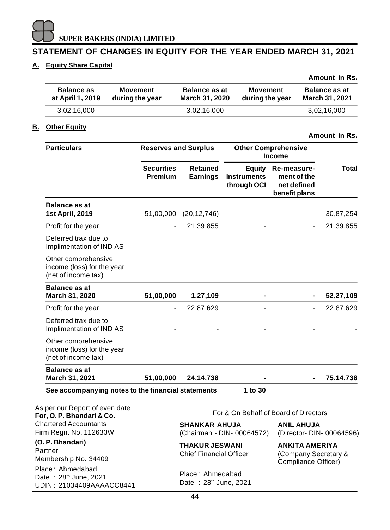

## **STATEMENT OF CHANGES IN EQUITY FOR THE YEAR ENDED MARCH 31, 2021**

## **A. Equity Share Capital**

|                                       |                                    |                                        |                                    | Amount in Rs.                                 |
|---------------------------------------|------------------------------------|----------------------------------------|------------------------------------|-----------------------------------------------|
| <b>Balance as</b><br>at April 1, 2019 | <b>Movement</b><br>during the year | <b>Balance as at</b><br>March 31, 2020 | <b>Movement</b><br>during the year | <b>Balance as at</b><br><b>March 31, 2021</b> |
| 3,02,16,000                           | ۰                                  | 3,02,16,000                            | ٠                                  | 3,02,16,000                                   |

## **B. Other Equity**

**Amount in Rs.**

| <b>Particulars</b>                                                                | <b>Reserves and Surplus</b>  |                                                         | <b>Other Comprehensive</b><br><b>Income</b> |                                                                      |           |
|-----------------------------------------------------------------------------------|------------------------------|---------------------------------------------------------|---------------------------------------------|----------------------------------------------------------------------|-----------|
|                                                                                   | <b>Securities</b><br>Premium | <b>Retained</b><br><b>Earnings</b>                      | Equity<br><b>Instruments</b><br>through OCI | <b>Re-measure-</b><br>ment of the<br>net defined<br>benefit plans    | Total     |
| <b>Balance as at</b><br><b>1st April, 2019</b>                                    | 51,00,000                    | (20, 12, 746)                                           |                                             |                                                                      | 30,87,254 |
| Profit for the year                                                               |                              | 21,39,855                                               |                                             |                                                                      | 21,39,855 |
| Deferred trax due to<br>Implimentation of IND AS                                  |                              |                                                         |                                             |                                                                      |           |
| Other comprehensive<br>income (loss) for the year<br>(net of income tax)          |                              |                                                         |                                             |                                                                      |           |
| <b>Balance as at</b><br>March 31, 2020                                            | 51,00,000                    | 1,27,109                                                |                                             |                                                                      | 52,27,109 |
| Profit for the year                                                               |                              | 22,87,629                                               |                                             |                                                                      | 22,87,629 |
| Deferred trax due to<br>Implimentation of IND AS                                  |                              |                                                         |                                             |                                                                      |           |
| Other comprehensive<br>income (loss) for the year<br>(net of income tax)          |                              |                                                         |                                             |                                                                      |           |
| <b>Balance as at</b><br>March 31, 2021                                            | 51,00,000                    | 24, 14, 738                                             |                                             |                                                                      | 75,14,738 |
| See accompanying notes to the financial statements                                |                              |                                                         | 1 to 30                                     |                                                                      |           |
| As per our Report of even date<br>For, O. P. Bhandari & Co.                       |                              |                                                         |                                             | For & On Behalf of Board of Directors                                |           |
| <b>Chartered Accountants</b><br>Firm Regn. No. 112633W                            |                              | <b>SHANKAR AHUJA</b>                                    | (Chairman - DIN- 00064572)                  | <b>ANIL AHUJA</b><br>(Director- DIN- 00064596)                       |           |
| (O. P. Bhandari)<br>Partner<br>Membership No. 34409                               |                              | <b>THAKUR JESWANI</b><br><b>Chief Financial Officer</b> |                                             | <b>ANKITA AMERIYA</b><br>(Company Secretary &<br>Compliance Officer) |           |
| Place: Ahmedabad<br>Date: 28 <sup>th</sup> June, 2021<br>UDIN: 21034409AAAACC8441 |                              | Place: Ahmedabad<br>Date: 28th June, 2021               |                                             |                                                                      |           |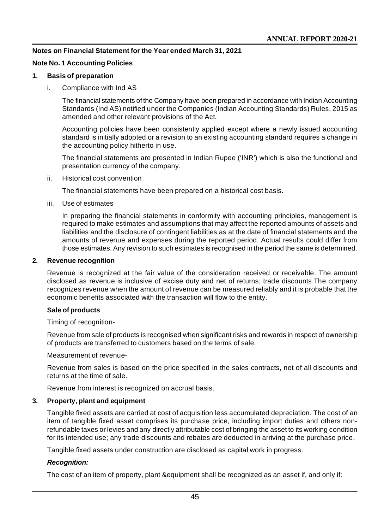#### **Notes on Financial Statement for the Year ended March 31, 2021**

#### **Note No. 1 Accounting Policies**

#### **1. Basis of preparation**

i. Compliance with Ind AS

The financial statements of the Company have been prepared in accordance with Indian Accounting Standards (Ind AS) notified under the Companies (Indian Accounting Standards) Rules, 2015 as amended and other relevant provisions of the Act.

Accounting policies have been consistently applied except where a newly issued accounting standard is initially adopted or a revision to an existing accounting standard requires a change in the accounting policy hitherto in use.

The financial statements are presented in Indian Rupee ('INR') which is also the functional and presentation currency of the company.

ii. Historical cost convention

The financial statements have been prepared on a historical cost basis.

iii. Use of estimates

In preparing the financial statements in conformity with accounting principles, management is required to make estimates and assumptions that may affect the reported amounts of assets and liabilities and the disclosure of contingent liabilities as at the date of financial statements and the amounts of revenue and expenses during the reported period. Actual results could differ from those estimates. Any revision to such estimates is recognised in the period the same is determined.

#### **2. Revenue recognition**

Revenue is recognized at the fair value of the consideration received or receivable. The amount disclosed as revenue is inclusive of excise duty and net of returns, trade discounts.The company recognizes revenue when the amount of revenue can be measured reliably and it is probable that the economic benefits associated with the transaction will flow to the entity.

#### **Sale of products**

Timing of recognition-

Revenue from sale of products is recognised when significant risks and rewards in respect of ownership of products are transferred to customers based on the terms of sale.

Measurement of revenue-

Revenue from sales is based on the price specified in the sales contracts, net of all discounts and returns at the time of sale.

Revenue from interest is recognized on accrual basis.

#### **3. Property, plant and equipment**

Tangible fixed assets are carried at cost of acquisition less accumulated depreciation. The cost of an item of tangible fixed asset comprises its purchase price, including import duties and others nonrefundable taxes or levies and any directly attributable cost of bringing the asset to its working condition for its intended use; any trade discounts and rebates are deducted in arriving at the purchase price.

Tangible fixed assets under construction are disclosed as capital work in progress.

#### *Recognition:*

The cost of an item of property, plant &equipment shall be recognized as an asset if, and only if: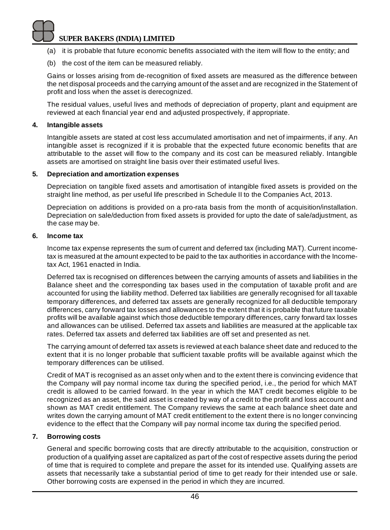- (a) it is probable that future economic benefits associated with the item will flow to the entity; and
- (b) the cost of the item can be measured reliably.

Gains or losses arising from de-recognition of fixed assets are measured as the difference between the net disposal proceeds and the carrying amount of the asset and are recognized in the Statement of profit and loss when the asset is derecognized.

The residual values, useful lives and methods of depreciation of property, plant and equipment are reviewed at each financial year end and adjusted prospectively, if appropriate.

#### **4. Intangible assets**

Intangible assets are stated at cost less accumulated amortisation and net of impairments, if any. An intangible asset is recognized if it is probable that the expected future economic benefits that are attributable to the asset will flow to the company and its cost can be measured reliably. Intangible assets are amortised on straight line basis over their estimated useful lives.

#### **5. Depreciation and amortization expenses**

Depreciation on tangible fixed assets and amortisation of intangible fixed assets is provided on the straight line method, as per useful life prescribed in Schedule II to the Companies Act, 2013.

Depreciation on additions is provided on a pro-rata basis from the month of acquisition/installation. Depreciation on sale/deduction from fixed assets is provided for upto the date of sale/adjustment, as the case may be.

#### **6. Income tax**

Income tax expense represents the sum of current and deferred tax (including MAT). Current incometax is measured at the amount expected to be paid to the tax authorities in accordance with the Incometax Act, 1961 enacted in India.

Deferred tax is recognised on differences between the carrying amounts of assets and liabilities in the Balance sheet and the corresponding tax bases used in the computation of taxable profit and are accounted for using the liability method. Deferred tax liabilities are generally recognised for all taxable temporary differences, and deferred tax assets are generally recognized for all deductible temporary differences, carry forward tax losses and allowances to the extent that it is probable that future taxable profits will be available against which those deductible temporary differences, carry forward tax losses and allowances can be utilised. Deferred tax assets and liabilities are measured at the applicable tax rates. Deferred tax assets and deferred tax liabilities are off set and presented as net.

The carrying amount of deferred tax assets is reviewed at each balance sheet date and reduced to the extent that it is no longer probable that sufficient taxable profits will be available against which the temporary differences can be utilised.

Credit of MAT is recognised as an asset only when and to the extent there is convincing evidence that the Company will pay normal income tax during the specified period, i.e., the period for which MAT credit is allowed to be carried forward. In the year in which the MAT credit becomes eligible to be recognized as an asset, the said asset is created by way of a credit to the profit and loss account and shown as MAT credit entitlement. The Company reviews the same at each balance sheet date and writes down the carrying amount of MAT credit entitlement to the extent there is no longer convincing evidence to the effect that the Company will pay normal income tax during the specified period.

## **7. Borrowing costs**

General and specific borrowing costs that are directly attributable to the acquisition, construction or production of a qualifying asset are capitalized as part of the cost of respective assets during the period of time that is required to complete and prepare the asset for its intended use. Qualifying assets are assets that necessarily take a substantial period of time to get ready for their intended use or sale. Other borrowing costs are expensed in the period in which they are incurred.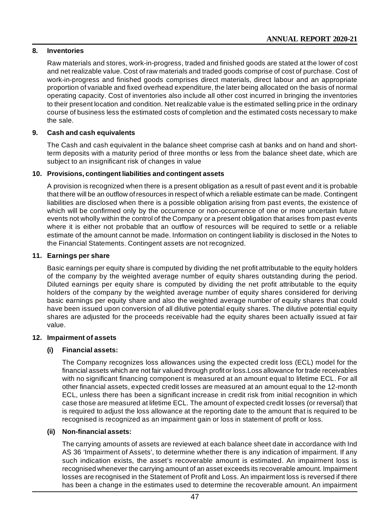## **8. Inventories**

Raw materials and stores, work-in-progress, traded and finished goods are stated at the lower of cost and net realizable value. Cost of raw materials and traded goods comprise of cost of purchase. Cost of work-in-progress and finished goods comprises direct materials, direct labour and an appropriate proportion of variable and fixed overhead expenditure, the later being allocated on the basis of normal operating capacity. Cost of inventories also include all other cost incurred in bringing the inventories to their present location and condition. Net realizable value is the estimated selling price in the ordinary course of business less the estimated costs of completion and the estimated costs necessary to make the sale.

## **9. Cash and cash equivalents**

The Cash and cash equivalent in the balance sheet comprise cash at banks and on hand and shortterm deposits with a maturity period of three months or less from the balance sheet date, which are subject to an insignificant risk of changes in value

## **10. Provisions, contingent liabilities and contingent assets**

A provision is recognized when there is a present obligation as a result of past event and it is probable that there will be an outflow of resources in respect of which a reliable estimate can be made. Contingent liabilities are disclosed when there is a possible obligation arising from past events, the existence of which will be confirmed only by the occurrence or non-occurrence of one or more uncertain future events not wholly within the control of the Company or a present obligation that arises from past events where it is either not probable that an outflow of resources will be required to settle or a reliable estimate of the amount cannot be made. Information on contingent liability is disclosed in the Notes to the Financial Statements. Contingent assets are not recognized.

## **11. Earnings per share**

Basic earnings per equity share is computed by dividing the net profit attributable to the equity holders of the company by the weighted average number of equity shares outstanding during the period. Diluted earnings per equity share is computed by dividing the net profit attributable to the equity holders of the company by the weighted average number of equity shares considered for deriving basic earnings per equity share and also the weighted average number of equity shares that could have been issued upon conversion of all dilutive potential equity shares. The dilutive potential equity shares are adjusted for the proceeds receivable had the equity shares been actually issued at fair value.

## **12. Impairment of assets**

## **(i) Financial assets:**

The Company recognizes loss allowances using the expected credit loss (ECL) model for the financial assets which are not fair valued through profit or loss.Loss allowance for trade receivables with no significant financing component is measured at an amount equal to lifetime ECL. For all other financial assets, expected credit losses are measured at an amount equal to the 12-month ECL, unless there has been a significant increase in credit risk from initial recognition in which case those are measured at lifetime ECL. The amount of expected credit losses (or reversal) that is required to adjust the loss allowance at the reporting date to the amount that is required to be recognised is recognized as an impairment gain or loss in statement of profit or loss.

## **(ii) Non-financial assets:**

The carrying amounts of assets are reviewed at each balance sheet date in accordance with Ind AS 36 'Impairment of Assets', to determine whether there is any indication of impairment. If any such indication exists, the asset's recoverable amount is estimated. An impairment loss is recognised whenever the carrying amount of an asset exceeds its recoverable amount. Impairment losses are recognised in the Statement of Profit and Loss. An impairment loss is reversed if there has been a change in the estimates used to determine the recoverable amount. An impairment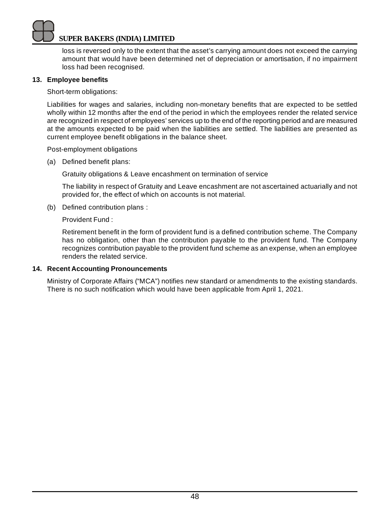loss is reversed only to the extent that the asset's carrying amount does not exceed the carrying amount that would have been determined net of depreciation or amortisation, if no impairment loss had been recognised.

## **13. Employee benefits**

Short-term obligations:

Liabilities for wages and salaries, including non-monetary benefits that are expected to be settled wholly within 12 months after the end of the period in which the employees render the related service are recognized in respect of employees' services up to the end of the reporting period and are measured at the amounts expected to be paid when the liabilities are settled. The liabilities are presented as current employee benefit obligations in the balance sheet.

Post-employment obligations

(a) Defined benefit plans:

Gratuity obligations & Leave encashment on termination of service

The liability in respect of Gratuity and Leave encashment are not ascertained actuarially and not provided for, the effect of which on accounts is not material.

(b) Defined contribution plans :

Provident Fund :

Retirement benefit in the form of provident fund is a defined contribution scheme. The Company has no obligation, other than the contribution payable to the provident fund. The Company recognizes contribution payable to the provident fund scheme as an expense, when an employee renders the related service.

## **14. Recent Accounting Pronouncements**

Ministry of Corporate Affairs ("MCA") notifies new standard or amendments to the existing standards. There is no such notification which would have been applicable from April 1, 2021.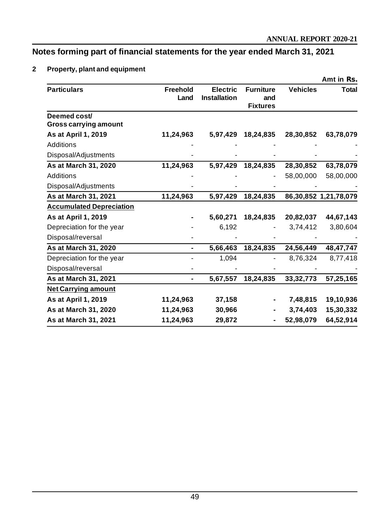## **Notes forming part of financial statements for the year ended March 31, 2021**

## **2 Property, plant and equipment**

|                                       |                  |                                        |                                            |                 | Amt in Rs.            |
|---------------------------------------|------------------|----------------------------------------|--------------------------------------------|-----------------|-----------------------|
| <b>Particulars</b>                    | Freehold<br>Land | <b>Electric</b><br><b>Installation</b> | <b>Furniture</b><br>and<br><b>Fixtures</b> | <b>Vehicles</b> | <b>Total</b>          |
| Deemed cost/<br>Gross carrying amount |                  |                                        |                                            |                 |                       |
| As at April 1, 2019                   | 11,24,963        | 5,97,429                               | 18,24,835                                  | 28,30,852       | 63,78,079             |
| <b>Additions</b>                      |                  |                                        |                                            |                 |                       |
| Disposal/Adjustments                  |                  |                                        |                                            |                 |                       |
| As at March 31, 2020                  | 11,24,963        | 5,97,429                               | 18,24,835                                  | 28,30,852       | 63,78,079             |
| Additions                             |                  |                                        |                                            | 58,00,000       | 58,00,000             |
| Disposal/Adjustments                  |                  |                                        |                                            |                 |                       |
| As at March 31, 2021                  | 11,24,963        | 5,97,429                               | 18,24,835                                  |                 | 86,30,852 1,21,78,079 |
| <b>Accumulated Depreciation</b>       |                  |                                        |                                            |                 |                       |
| As at April 1, 2019                   |                  | 5,60,271                               | 18,24,835                                  | 20,82,037       | 44,67,143             |
| Depreciation for the year             |                  | 6,192                                  |                                            | 3,74,412        | 3,80,604              |
| Disposal/reversal                     |                  |                                        |                                            |                 |                       |
| As at March 31, 2020                  |                  | 5,66,463                               | 18,24,835                                  | 24,56,449       | 48, 47, 747           |
| Depreciation for the year             |                  | 1,094                                  |                                            | 8,76,324        | 8,77,418              |
| Disposal/reversal                     |                  |                                        |                                            |                 |                       |
| As at March 31, 2021                  |                  | 5,67,557                               | 18,24,835                                  | 33, 32, 773     | 57,25,165             |
| <b>Net Carrying amount</b>            |                  |                                        |                                            |                 |                       |
| As at April 1, 2019                   | 11,24,963        | 37,158                                 |                                            | 7,48,815        | 19,10,936             |
| As at March 31, 2020                  | 11,24,963        | 30,966                                 |                                            | 3,74,403        | 15,30,332             |
| As at March 31, 2021                  | 11,24,963        | 29,872                                 |                                            | 52,98,079       | 64,52,914             |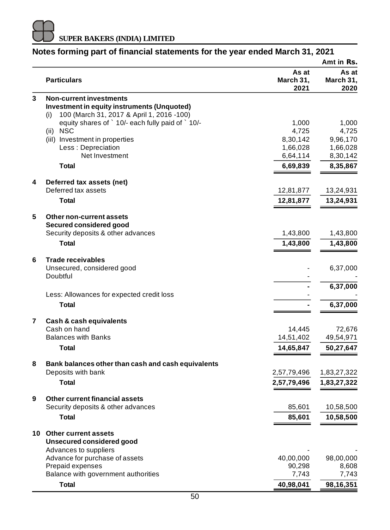

|                |                                                         |                            | Amt in Rs.                 |
|----------------|---------------------------------------------------------|----------------------------|----------------------------|
|                | <b>Particulars</b>                                      | As at<br>March 31,<br>2021 | As at<br>March 31,<br>2020 |
| 3              | <b>Non-current investments</b>                          |                            |                            |
|                | Investment in equity instruments (Unquoted)             |                            |                            |
|                | 100 (March 31, 2017 & April 1, 2016 -100)<br>(i)        |                            |                            |
|                | equity shares of ` 10/- each fully paid of ` 10/-       | 1,000                      | 1,000                      |
|                | (ii) NSC                                                | 4,725                      | 4,725                      |
|                | (iil) Investment in properties                          | 8,30,142                   | 9,96,170                   |
|                | Less : Depreciation                                     | 1,66,028                   | 1,66,028                   |
|                | Net Investment                                          | 6,64,114                   | 8,30,142                   |
|                | <b>Total</b>                                            | 6,69,839                   | 8,35,867                   |
| 4              | Deferred tax assets (net)                               |                            |                            |
|                | Deferred tax assets                                     | 12,81,877                  | 13,24,931                  |
|                | Total                                                   | 12,81,877                  | 13,24,931                  |
| 5              | Other non-current assets                                |                            |                            |
|                | Secured considered good                                 |                            |                            |
|                | Security deposits & other advances                      | 1,43,800                   | 1,43,800                   |
|                | <b>Total</b>                                            | 1,43,800                   | 1,43,800                   |
| 6              | <b>Trade receivables</b>                                |                            |                            |
|                | Unsecured, considered good                              |                            | 6,37,000                   |
|                | Doubtful                                                |                            |                            |
|                |                                                         |                            | 6,37,000                   |
|                | Less: Allowances for expected credit loss               |                            |                            |
|                | <b>Total</b>                                            |                            | 6,37,000                   |
| $\overline{7}$ | Cash & cash equivalents                                 |                            |                            |
|                | Cash on hand                                            | 14,445                     | 72,676                     |
|                | <b>Balances with Banks</b>                              | 14,51,402                  | 49,54,971                  |
|                | <b>Total</b>                                            | 14,65,847                  | 50,27,647                  |
| 8              | Bank balances other than cash and cash equivalents      |                            |                            |
|                | Deposits with bank                                      | 2,57,79,496                | 1,83,27,322                |
|                | <b>Total</b>                                            | 2,57,79,496                | 1,83,27,322                |
| 9              | Other current financial assets                          |                            |                            |
|                | Security deposits & other advances                      | 85,601                     | 10,58,500                  |
|                | <b>Total</b>                                            | 85,601                     | 10,58,500                  |
|                | 10 Other current assets                                 |                            |                            |
|                | <b>Unsecured considered good</b>                        |                            |                            |
|                | Advances to suppliers                                   |                            |                            |
|                | Advance for purchase of assets                          | 40,00,000                  | 98,00,000                  |
|                | Prepaid expenses<br>Balance with government authorities | 90,298<br>7,743            | 8,608<br>7,743             |
|                |                                                         |                            |                            |
|                | <b>Total</b>                                            | 40,98,041                  | 98,16,351                  |

## **Notes forming part of financial statements for the year ended March 31, 2021**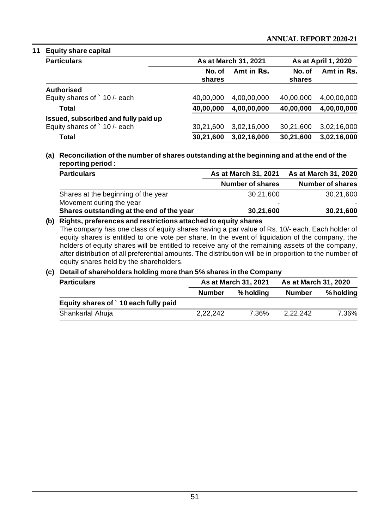## **11 Equity share capital**

| <b>Particulars</b>                   | As at March 31, 2021 |             | As at April 1, 2020 |             |
|--------------------------------------|----------------------|-------------|---------------------|-------------|
|                                      | No. of<br>shares     | Amt in Rs.  | No. of<br>shares    | Amt in Rs.  |
| Authorised                           |                      |             |                     |             |
| Equity shares of 10/- each           | 40.00.000            | 4.00.00.000 | 40.00.000           | 4,00,00,000 |
| Total                                | 40,00,000            | 4,00,00,000 | 40,00,000           | 4,00,00,000 |
| Issued, subscribed and fully paid up |                      |             |                     |             |
| Equity shares of 10/- each           | 30.21.600            | 3,02,16,000 | 30.21.600           | 3,02,16,000 |
| Total                                | 30.21.600            | 3,02,16,000 | 30,21,600           | 3,02,16,000 |

**(a) Reconciliation of the number of shares outstanding at the beginning and at the end of the reporting period :**

| <b>Particulars</b>                        | As at March 31, 2021 | As at March 31, 2020 |  |
|-------------------------------------------|----------------------|----------------------|--|
|                                           | Number of shares     | Number of shares     |  |
| Shares at the beginning of the year       | 30.21.600            | 30.21.600            |  |
| Movement during the year                  | -                    |                      |  |
| Shares outstanding at the end of the year | 30,21,600            | 30,21,600            |  |

#### **(b) Rights, preferences and restrictions attached to equity shares**

The company has one class of equity shares having a par value of Rs. 10/- each. Each holder of equity shares is entitled to one vote per share. In the event of liquidation of the company, the holders of equity shares will be entitled to receive any of the remaining assets of the company, after distribution of all preferential amounts. The distribution will be in proportion to the number of equity shares held by the shareholders.

#### **(c) Detail of shareholders holding more than 5% shares in the Company**

| <b>Particulars</b>                  | As at March 31, 2021 |           | As at March 31, 2020 |           |
|-------------------------------------|----------------------|-----------|----------------------|-----------|
|                                     | Number               | % holdina | <b>Number</b>        | % holding |
| Equity shares of 10 each fully paid |                      |           |                      |           |
| Shankarlal Ahuja                    | 2.22.242             | 7.36%     | 2.22.242             | 7.36%     |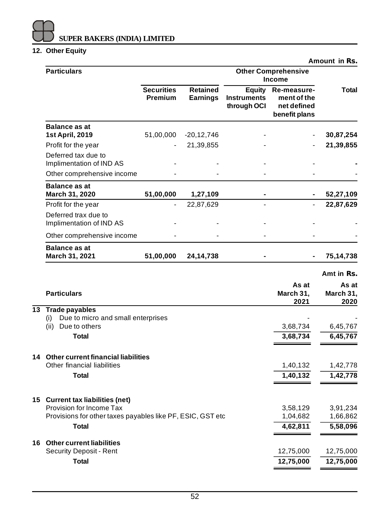## **12. Other Equity**

| <b>Particulars</b>                                              |                                     |                                    | <b>Other Comprehensive</b><br><b>Income</b>        |                                                            |                            |
|-----------------------------------------------------------------|-------------------------------------|------------------------------------|----------------------------------------------------|------------------------------------------------------------|----------------------------|
|                                                                 | <b>Securities</b><br><b>Premium</b> | <b>Retained</b><br><b>Earnings</b> | <b>Equity</b><br><b>Instruments</b><br>through OCI | Re-measure-<br>ment of the<br>net defined<br>benefit plans | Total                      |
| <b>Balance as at</b><br>1st April, 2019                         | 51,00,000                           | $-20, 12, 746$                     |                                                    |                                                            | 30,87,254                  |
| Profit for the year                                             |                                     | 21,39,855                          |                                                    |                                                            | 21,39,855                  |
| Deferred tax due to<br>Implimentation of IND AS                 |                                     |                                    |                                                    |                                                            |                            |
| Other comprehensive income                                      |                                     |                                    |                                                    |                                                            |                            |
| <b>Balance as at</b><br>March 31, 2020                          | 51,00,000                           | 1,27,109                           |                                                    |                                                            | 52,27,109                  |
| Profit for the year                                             |                                     | 22,87,629                          |                                                    |                                                            | 22,87,629                  |
| Deferred trax due to<br>Implimentation of IND AS                |                                     |                                    |                                                    |                                                            |                            |
| Other comprehensive income                                      |                                     |                                    |                                                    |                                                            |                            |
| <b>Balance as at</b><br>March 31, 2021                          | 51,00,000                           | 24,14,738                          |                                                    |                                                            | 75,14,738                  |
|                                                                 |                                     |                                    |                                                    |                                                            | Amt in Rs.                 |
| <b>Particulars</b>                                              |                                     |                                    |                                                    | As at<br>March 31,<br>2021                                 | As at<br>March 31,<br>2020 |
| 13 Trade payables                                               |                                     |                                    |                                                    |                                                            |                            |
| Due to micro and small enterprises<br>(i)<br>(ii) Due to others |                                     |                                    |                                                    | 3,68,734                                                   | 6,45,767                   |
| <b>Total</b>                                                    |                                     |                                    |                                                    | 3,68,734                                                   | 6,45,767                   |
|                                                                 |                                     |                                    |                                                    |                                                            |                            |
| 14 Other current financial liabilities                          |                                     |                                    |                                                    |                                                            |                            |
| Other financial liabilities                                     |                                     |                                    |                                                    | 1,40,132                                                   | 1,42,778                   |
| <b>Total</b>                                                    |                                     |                                    |                                                    | 1,40,132                                                   | 1,42,778                   |
| 15 Current tax liabilities (net)                                |                                     |                                    |                                                    |                                                            |                            |
| Provision for Income Tax                                        |                                     |                                    |                                                    | 3,58,129                                                   | 3,91,234                   |
| Provisions for other taxes payables like PF, ESIC, GST etc      |                                     |                                    |                                                    | 1,04,682                                                   | 1,66,862                   |
| Total                                                           |                                     |                                    |                                                    | 4,62,811                                                   | 5,58,096                   |
| 16 Other current liabilities                                    |                                     |                                    |                                                    |                                                            |                            |
| Security Deposit - Rent<br><b>Total</b>                         |                                     |                                    |                                                    | 12,75,000<br>12,75,000                                     | 12,75,000<br>12,75,000     |
|                                                                 |                                     |                                    |                                                    |                                                            |                            |

**Amount in Rs.**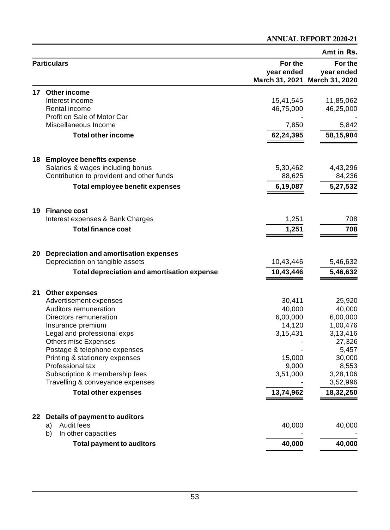## **ANNUAL REPORT 2020-21**

|    |                                                    |                       | Amt in Rs.                                             |
|----|----------------------------------------------------|-----------------------|--------------------------------------------------------|
|    | <b>Particulars</b>                                 | For the<br>year ended | For the<br>year ended<br>March 31, 2021 March 31, 2020 |
| 17 | Other income                                       |                       |                                                        |
|    | Interest income                                    | 15,41,545             | 11,85,062                                              |
|    | Rental income                                      | 46,75,000             | 46,25,000                                              |
|    | Profit on Sale of Motor Car                        |                       |                                                        |
|    | Miscellaneous Income                               | 7,850                 | 5,842                                                  |
|    | <b>Total other income</b>                          | 62,24,395             | 58,15,904                                              |
|    | 18 Employee benefits expense                       |                       |                                                        |
|    | Salaries & wages including bonus                   | 5,30,462              | 4,43,296                                               |
|    | Contribution to provident and other funds          | 88,625                | 84,236                                                 |
|    | Total employee benefit expenses                    | 6,19,087              | 5,27,532                                               |
|    | 19 Finance cost                                    |                       |                                                        |
|    | Interest expenses & Bank Charges                   | 1,251                 | 708                                                    |
|    | <b>Total finance cost</b>                          | 1,251                 | 708                                                    |
|    |                                                    |                       |                                                        |
| 20 | Depreciation and amortisation expenses             |                       |                                                        |
|    | Depreciation on tangible assets                    | 10,43,446             | 5,46,632                                               |
|    | <b>Total depreciation and amortisation expense</b> | 10,43,446             | 5,46,632                                               |
|    | 21 Other expenses                                  |                       |                                                        |
|    | Advertisement expenses                             | 30,411                | 25,920                                                 |
|    | Auditors remuneration                              | 40,000                | 40,000                                                 |
|    | Directors remuneration<br>Insurance premium        | 6,00,000<br>14,120    | 6,00,000<br>1,00,476                                   |
|    | Legal and professional exps                        | 3,15,431              | 3,13,416                                               |
|    | Others misc Expenses                               |                       | 27,326                                                 |
|    | Postage & telephone expenses                       |                       | 5,457                                                  |
|    | Printing & stationery expenses                     | 15,000                | 30,000                                                 |
|    | Professional tax                                   | 9,000                 | 8,553                                                  |
|    | Subscription & membership fees                     | 3,51,000              | 3,28,106                                               |
|    | Travelling & conveyance expenses                   |                       | 3,52,996                                               |
|    | <b>Total other expenses</b>                        | 13,74,962             | 18,32,250                                              |
|    | 22 Details of payment to auditors                  |                       |                                                        |
|    | Audit fees<br>a)                                   | 40,000                | 40,000                                                 |
|    | b)<br>In other capacities                          |                       |                                                        |
|    | <b>Total payment to auditors</b>                   | 40,000                | 40,000                                                 |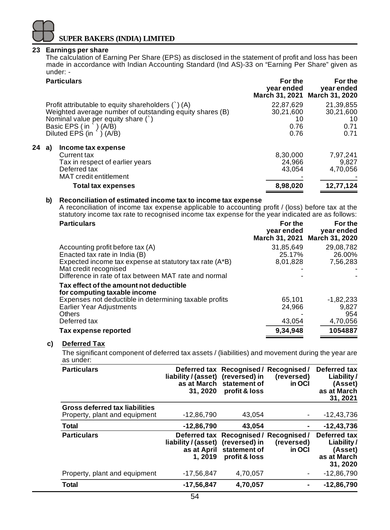#### **23 Earnings per share**

The calculation of Earning Per Share (EPS) as disclosed in the statement of profit and loss has been made in accordance with Indian Accounting Standard (Ind AS)-33 on "Earning Per Share" given as under: -

| <b>Particulars</b>                                       | For the<br>year ended | For the<br>year ended<br>March 31, 2021 March 31, 2020 |
|----------------------------------------------------------|-----------------------|--------------------------------------------------------|
| Profit attributable to equity shareholders $( )$ (A)     | 22,87,629             | 21,39,855                                              |
| Weighted average number of outstanding equity shares (B) | 30,21,600             | 30,21,600                                              |
| Nominal value per equity share $( )$                     | 10                    | 10                                                     |
| Basic EPS $(in^{\cdot}) (A/B)$                           | 0.76                  | 0.71                                                   |
| Diluted EPS (in $\rightarrow$ ) (A/B)                    | 0.76                  | 0.71                                                   |
| 24<br>Income tax expense<br>a)                           |                       |                                                        |
| Current tax                                              | 8,30,000              | 7,97,241                                               |
| Tax in respect of earlier years                          | 24.966                | 9.827                                                  |
| Deferred tax                                             | 43.054                | 4,70,056                                               |
| MAT credit entitlement                                   |                       |                                                        |
| <b>Total tax expenses</b>                                | 8,98,020              | 12,77,124                                              |

#### **b) Reconciliation of estimated income tax to income tax expense**

A reconciliation of income tax expense applicable to accounting profit / (loss) before tax at the statutory income tax rate to recognised income tax expense for the year indicated are as follows:

| <b>Particulars</b>                                                                                                                                                                                             | For the<br>year ended           | For the<br>year ended<br>March 31, 2021 March 31, 2020 |
|----------------------------------------------------------------------------------------------------------------------------------------------------------------------------------------------------------------|---------------------------------|--------------------------------------------------------|
| Accounting profit before tax (A)<br>Enacted tax rate in India (B)<br>Expected income tax expense at statutory tax rate (A*B)<br>Mat credit recognised<br>Difference in rate of tax between MAT rate and normal | 31.85.649<br>25.17%<br>8,01,828 | 29.08.782<br>26.00%<br>7,56,283                        |
| Tax effect of the amount not deductible<br>for computing taxable income                                                                                                                                        |                                 |                                                        |
| Expenses not deductible in determining taxable profits                                                                                                                                                         | 65,101                          | $-1.82.233$                                            |
| Earlier Year Adjustments                                                                                                                                                                                       | 24,966                          | 9.827                                                  |
| Others                                                                                                                                                                                                         |                                 | 954                                                    |
| Deferred tax                                                                                                                                                                                                   | 43,054                          | 4,70,056                                               |
| Tax expense reported                                                                                                                                                                                           | 9,34,948                        | 1054887                                                |

## **c) Deferred Tax**

The significant component of deferred tax assets / (liabilities) and movement during the year are as under:

| <b>Particulars</b>                                                     | liability / (asset) (reversed) in<br>31, 2020 | Deferred tax Recognised / Recognised /<br>as at March statement of<br>profit & loss                  | (reversed)<br>in OCI | Deferred tax<br>Liability/<br>(Asset)<br>as at March<br>31, 2021 |
|------------------------------------------------------------------------|-----------------------------------------------|------------------------------------------------------------------------------------------------------|----------------------|------------------------------------------------------------------|
| <b>Gross deferred tax liabilities</b><br>Property, plant and equipment | $-12,86,790$                                  | 43.054                                                                                               | ٠                    | $-12,43,736$                                                     |
| <b>Total</b>                                                           | $-12,86,790$                                  | 43.054                                                                                               | ۰                    | $-12,43,736$                                                     |
| <b>Particulars</b>                                                     | liability / (asset)<br>1. 2019                | Deferred tax Recognised / Recognised /<br>(reversed) in<br>as at April statement of<br>profit & loss | (reversed)<br>in OCI | Deferred tax<br>Liability/<br>(Asset)<br>as at March<br>31, 2020 |
| Property, plant and equipment                                          | $-17,56,847$                                  | 4,70,057                                                                                             | ٠                    | $-12,86,790$                                                     |
| <b>Total</b>                                                           | -17,56,847                                    | 4,70,057                                                                                             | ۰                    | $-12,86,790$                                                     |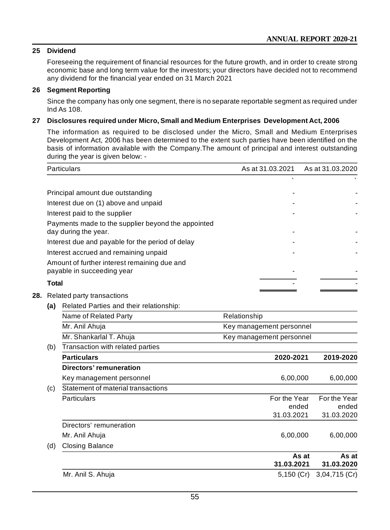## **25 Dividend**

Foreseeing the requirement of financial resources for the future growth, and in order to create strong economic base and long term value for the investors; your directors have decided not to recommend any dividend for the financial year ended on 31 March 2021

#### **26 Segment Reporting**

Since the company has only one segment, there is no separate reportable segment as required under Ind As 108.

#### **27 Disclosures required under Micro, Small and Medium Enterprises Development Act, 2006**

The information as required to be disclosed under the Micro, Small and Medium Enterprises Development Act, 2006 has been determined to the extent such parties have been identified on the basis of information available with the Company.The amount of principal and interest outstanding during the year is given below: -

| Particulars                                                                | As at 31.03.2021 | As at 31.03.2020 |
|----------------------------------------------------------------------------|------------------|------------------|
|                                                                            |                  |                  |
| Principal amount due outstanding                                           |                  |                  |
| Interest due on (1) above and unpaid                                       |                  |                  |
| Interest paid to the supplier                                              |                  |                  |
| Payments made to the supplier beyond the appointed<br>day during the year. |                  |                  |
| Interest due and payable for the period of delay                           |                  |                  |
| Interest accrued and remaining unpaid                                      |                  |                  |
| Amount of further interest remaining due and<br>payable in succeeding year |                  |                  |
| <b>Total</b>                                                               |                  |                  |

- **28.** Related party transactions
	- **(a)** Related Parties and their relationship:

| 1a 1 | Related Farties and their relationship. |                          |  |  |  |
|------|-----------------------------------------|--------------------------|--|--|--|
|      | Name of Related Party                   | Relationship             |  |  |  |
|      | Mr. Anil Ahuja                          | Key management personnel |  |  |  |
|      | Mr. Shankarlal T. Ahuja                 | Key management personnel |  |  |  |
| (b)  | Transaction with related parties        |                          |  |  |  |

| <b>Particulars</b>                        | 2020-2021    | 2019-2020     |
|-------------------------------------------|--------------|---------------|
| Directors' remuneration                   |              |               |
| Key management personnel                  | 6,00,000     | 6,00,000      |
| (c)<br>Statement of material transactions |              |               |
| <b>Particulars</b>                        | For the Year | For the Year  |
|                                           | ended        | ended         |
|                                           | 31.03.2021   | 31.03.2020    |
| Directors' remuneration                   |              |               |
| Mr. Anil Ahuja                            | 6,00,000     | 6,00,000      |
| (d)<br><b>Closing Balance</b>             |              |               |
|                                           | As at        | As at         |
|                                           | 31.03.2021   | 31.03.2020    |
| Mr. Anil S. Ahuja                         | $5,150$ (Cr) | 3,04,715 (Cr) |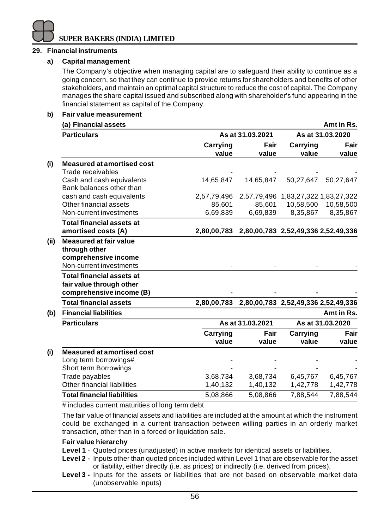#### **29. Financial instruments**

#### **a) Capital management**

The Company's objective when managing capital are to safeguard their ability to continue as a going concern, so that they can continue to provide returns for shareholders and benefits of other stakeholders, and maintain an optimal capital structure to reduce the cost of capital. The Company manages the share capital issued and subscribed along with shareholder's fund appearing in the financial statement as capital of the Company.

#### **b) Fair value measurement**

| (a) Financial assets                                  |                   |                  |                                     | Amt in Rs.       |
|-------------------------------------------------------|-------------------|------------------|-------------------------------------|------------------|
| <b>Particulars</b>                                    |                   | As at 31.03.2021 |                                     | As at 31.03.2020 |
|                                                       | Carrying<br>value | Fair<br>value    | <b>Carrying</b><br>value            | Fair<br>value    |
| <b>Measured at amortised cost</b>                     |                   |                  |                                     |                  |
| Trade receivables                                     |                   |                  |                                     |                  |
| Cash and cash equivalents<br>Bank balances other than | 14,65,847         | 14.65.847        | 50,27,647                           | 50,27,647        |
| cash and cash equivalents                             | 2,57,79,496       |                  | 2,57,79,496 1,83,27,322 1,83,27,322 |                  |
| Other financial assets                                | 85,601            | 85,601           | 10,58,500                           | 10,58,500        |
| Non-current investments                               | 6,69,839          | 6,69,839         | 8,35,867                            | 8,35,867         |
| <b>Total financial assets at</b>                      |                   |                  |                                     |                  |
| amortised costs (A)                                   | 2,80,00,783       |                  | 2,80,00,783 2,52,49,336 2,52,49,336 |                  |
| <b>Measured at fair value</b>                         |                   |                  |                                     |                  |
| through other                                         |                   |                  |                                     |                  |
| comprehensive income                                  |                   |                  |                                     |                  |
| Non-current investments                               |                   |                  |                                     |                  |
| <b>Total financial assets at</b>                      |                   |                  |                                     |                  |
| fair value through other                              |                   |                  |                                     |                  |
| comprehensive income (B)                              |                   |                  |                                     |                  |
| <b>Total financial assets</b>                         | 2.80.00.783       |                  | 2,80,00,783 2,52,49,336 2,52,49,336 |                  |
| <b>Financial liabilities</b>                          |                   |                  |                                     | Amt in Rs.       |
| <b>Particulars</b>                                    |                   | As at 31.03.2021 |                                     | As at 31.03.2020 |
|                                                       | Carrying          | Fair             | Carrying                            | Fair             |
|                                                       | value             | value            | value                               | value            |
| <b>Measured at amortised cost</b>                     |                   |                  |                                     |                  |
| Long term borrowings#                                 |                   |                  |                                     |                  |
| Short term Borrowings                                 |                   |                  |                                     |                  |
| Trade payables                                        | 3,68,734          | 3,68,734         | 6,45,767                            | 6,45,767         |
| Other financial liabilities                           | 1,40,132          | 1,40,132         | 1,42,778                            | 1,42,778         |
| <b>Total financial liabilities</b>                    | 5,08,866          | 5,08,866         | 7,88,544                            | 7,88,544         |
|                                                       |                   |                  |                                     |                  |

# includes current maturities of long term debt

The fair value of financial assets and liabilities are included at the amount at which the instrument could be exchanged in a current transaction between willing parties in an orderly market transaction, other than in a forced or liquidation sale.

#### **Fair value hierarchy**

- **Level 1** Quoted prices (unadjusted) in active markets for identical assets or liabilities.
- **Level 2 -** Inputs other than quoted prices included within Level 1 that are observable for the asset or liability, either directly (i.e. as prices) or indirectly (i.e. derived from prices).
- **Level 3 -** Inputs for the assets or liabilities that are not based on observable market data (unobservable inputs)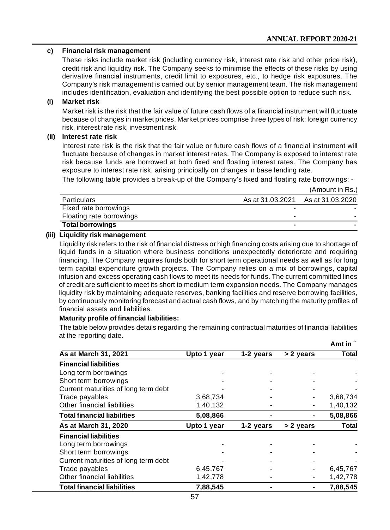(Amount in Rs.)

#### **c) Financial risk management**

These risks include market risk (including currency risk, interest rate risk and other price risk), credit risk and liquidity risk. The Company seeks to minimise the effects of these risks by using derivative financial instruments, credit limit to exposures, etc., to hedge risk exposures. The Company's risk management is carried out by senior management team. The risk management includes identification, evaluation and identifying the best possible option to reduce such risk.

#### **(i) Market risk**

Market risk is the risk that the fair value of future cash flows of a financial instrument will fluctuate because of changes in market prices. Market prices comprise three types of risk: foreign currency risk, interest rate risk, investment risk.

## **(ii) Interest rate risk**

Interest rate risk is the risk that the fair value or future cash flows of a financial instrument will fluctuate because of changes in market interest rates. The Company is exposed to interest rate risk because funds are borrowed at both fixed and floating interest rates. The Company has exposure to interest rate risk, arising principally on changes in base lending rate.

The following table provides a break-up of the Company's fixed and floating rate borrowings: -

|                          |                  | (AIIIUUIILIII KS. |
|--------------------------|------------------|-------------------|
| Particulars              | As at 31.03.2021 | As at 31.03.2020  |
| Fixed rate borrowings    |                  |                   |
| Floating rate borrowings |                  |                   |
| Total borrowings         |                  |                   |

## **(iii) Liquidity risk management**

Liquidity risk refers to the risk of financial distress or high financing costs arising due to shortage of liquid funds in a situation where business conditions unexpectedly deteriorate and requiring financing. The Company requires funds both for short term operational needs as well as for long term capital expenditure growth projects. The Company relies on a mix of borrowings, capital infusion and excess operating cash flows to meet its needs for funds. The current committed lines of credit are sufficient to meet its short to medium term expansion needs. The Company manages liquidity risk by maintaining adequate reserves, banking facilities and reserve borrowing facilities, by continuously monitoring forecast and actual cash flows, and by matching the maturity profiles of financial assets and liabilities.

#### **Maturity profile of financial liabilities:**

The table below provides details regarding the remaining contractual maturities of financial liabilities at the reporting date. **Amt in `**

|                                      |             |           |           | Amt In   |
|--------------------------------------|-------------|-----------|-----------|----------|
| As at March 31, 2021                 | Upto 1 year | 1-2 years | > 2 years | Total    |
| <b>Financial liabilities</b>         |             |           |           |          |
| Long term borrowings                 |             |           |           |          |
| Short term borrowings                |             |           |           |          |
| Current maturities of long term debt |             |           |           |          |
| Trade payables                       | 3,68,734    |           |           | 3,68,734 |
| Other financial liabilities          | 1,40,132    |           |           | 1,40,132 |
| <b>Total financial liabilities</b>   | 5,08,866    |           |           | 5,08,866 |
| As at March 31, 2020                 | Upto 1 year | 1-2 years | > 2 years | Total    |
| <b>Financial liabilities</b>         |             |           |           |          |
| Long term borrowings                 |             |           |           |          |
| Short term borrowings                |             |           |           |          |
| Current maturities of long term debt |             |           |           |          |
| Trade payables                       | 6,45,767    |           |           | 6,45,767 |
| Other financial liabilities          | 1,42,778    |           |           | 1,42,778 |
| <b>Total financial liabilities</b>   | 7,88,545    |           |           | 7,88,545 |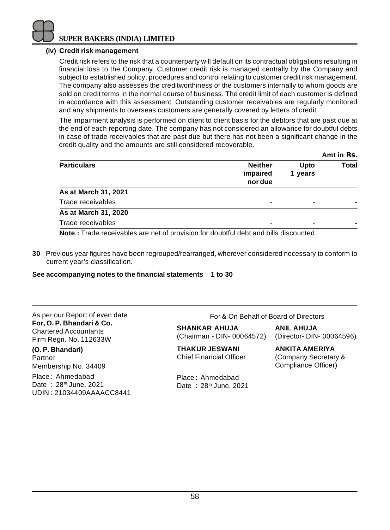

## **(iv) Credit risk management**

Credit risk refers to the risk that a counterparty will default on its contractual obligations resulting in financial loss to the Company. Customer credit risk is managed centrally by the Company and subject to established policy, procedures and control relating to customer credit risk management. The company also assesses the creditworthiness of the customers internally to whom goods are sold on credit terms in the normal course of business. The credit limit of each customer is defined in accordance with this assessment. Outstanding customer receivables are regularly monitored and any shipments to overseas customers are generally covered by letters of credit.

The impairment analysis is performed on client to client basis for the debtors that are past due at the end of each reporting date. The company has not considered an allowance for doubtful debts in case of trade receivables that are past due but there has not been a significant change in the credit quality and the amounts are still considered recoverable.

|                                                                                             |                                       |                          | Amt in Rs. |
|---------------------------------------------------------------------------------------------|---------------------------------------|--------------------------|------------|
| <b>Particulars</b>                                                                          | <b>Neither</b><br>impaired<br>nor due | Upto<br>1 years          | Total      |
| As at March 31, 2021                                                                        |                                       |                          |            |
| Trade receivables                                                                           |                                       | $\overline{\phantom{0}}$ |            |
| As at March 31, 2020                                                                        |                                       |                          |            |
| Trade receivables                                                                           |                                       |                          |            |
| <b>Note:</b> Trade receivables are net of provision for doubtful debt and bills discounted. |                                       |                          |            |

**30** Previous year figures have been regrouped/rearranged, wherever considered necessary to conform to current year's classification.

#### **See accompanying notes to the financial statements 1 to 30**

As per our Report of even date **For, O. P. Bhandari & Co.** Chartered Accountants Firm Regn. No. 112633W

**(O. P. Bhandari)** Partner Membership No. 34409

Place : Ahmedabad Date: 28<sup>th</sup> June, 2021 UDIN : 21034409AAAACC8441 For & On Behalf of Board of Directors

**SHANKAR AHUJA ANIL AHUJA** (Chairman - DIN- 00064572) (Director- DIN- 00064596)

**THAKUR JESWANI ANKITA AMERIYA** Chief Financial Officer (Company Secretary &

Place : Ahmedabad Date:  $28<sup>th</sup>$  June, 2021

Compliance Officer)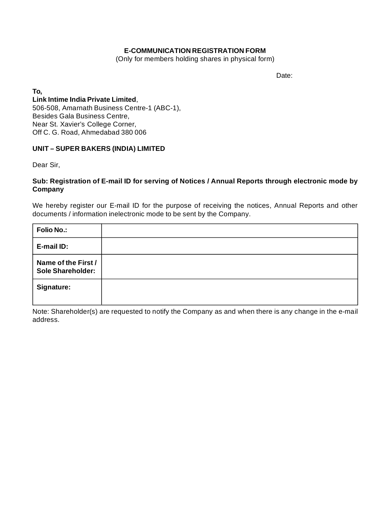#### **E-COMMUNICATION REGISTRATION FORM**

(Only for members holding shares in physical form)

Date:

**To,**

**Link Intime India Private Limited**, 506-508, Amarnath Business Centre-1 (ABC-1), Besides Gala Business Centre, Near St. Xavier's College Corner, Off C. G. Road, Ahmedabad 380 006

#### **UNIT – SUPER BAKERS (INDIA) LIMITED**

Dear Sir,

#### **Sub: Registration of E-mail ID for serving of Notices / Annual Reports through electronic mode by Company**

We hereby register our E-mail ID for the purpose of receiving the notices, Annual Reports and other documents / information inelectronic mode to be sent by the Company.

| <b>Folio No.:</b>                        |  |
|------------------------------------------|--|
| E-mail ID:                               |  |
| Name of the First /<br>Sole Shareholder: |  |
| Signature:                               |  |

Note: Shareholder(s) are requested to notify the Company as and when there is any change in the e-mail address.